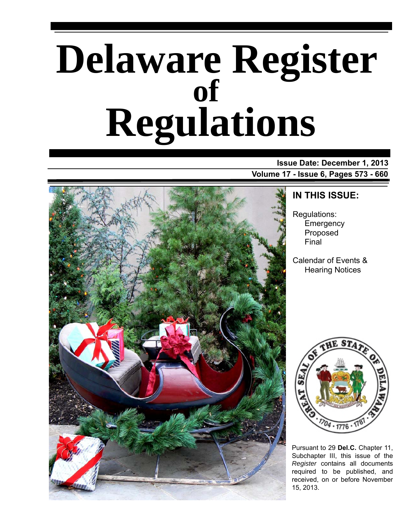# **Delaware Register Regulations of**

### **Issue Date: December 1, 2013 Volume 17 - Issue 6, Pages 573 - 660**



# **IN THIS ISSUE:**

Regulations: **Emergency** Proposed Final

Calendar of Events & Hearing Notices



Pursuant to 29 **Del.C.** Chapter 11, Subchapter III, this issue of the *Register* contains all documents required to be published, and received, on or before November 15, 2013.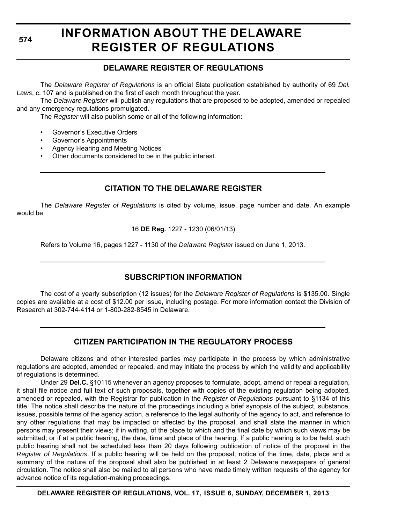# **INFORMATION ABOUT THE DELAWARE REGISTER OF REGULATIONS**

# **DELAWARE REGISTER OF REGULATIONS**

The *Delaware Register of Regulations* is an official State publication established by authority of 69 *Del. Laws*, c. 107 and is published on the first of each month throughout the year.

The *Delaware Register* will publish any regulations that are proposed to be adopted, amended or repealed and any emergency regulations promulgated.

The *Register* will also publish some or all of the following information:

- Governor's Executive Orders
- Governor's Appointments
- Agency Hearing and Meeting Notices
- Other documents considered to be in the public interest.

# **CITATION TO THE DELAWARE REGISTER**

The *Delaware Register of Regulations* is cited by volume, issue, page number and date. An example would be:

16 **DE Reg.** 1227 - 1230 (06/01/13)

Refers to Volume 16, pages 1227 - 1130 of the *Delaware Register* issued on June 1, 2013.

# **SUBSCRIPTION INFORMATION**

The cost of a yearly subscription (12 issues) for the *Delaware Register of Regulations* is \$135.00. Single copies are available at a cost of \$12.00 per issue, including postage. For more information contact the Division of Research at 302-744-4114 or 1-800-282-8545 in Delaware.

# **CITIZEN PARTICIPATION IN THE REGULATORY PROCESS**

Delaware citizens and other interested parties may participate in the process by which administrative regulations are adopted, amended or repealed, and may initiate the process by which the validity and applicability of regulations is determined.

Under 29 **Del.C.** §10115 whenever an agency proposes to formulate, adopt, amend or repeal a regulation, it shall file notice and full text of such proposals, together with copies of the existing regulation being adopted, amended or repealed, with the Registrar for publication in the *Register of Regulations* pursuant to §1134 of this title. The notice shall describe the nature of the proceedings including a brief synopsis of the subject, substance, issues, possible terms of the agency action, a reference to the legal authority of the agency to act, and reference to any other regulations that may be impacted or affected by the proposal, and shall state the manner in which persons may present their views; if in writing, of the place to which and the final date by which such views may be submitted; or if at a public hearing, the date, time and place of the hearing. If a public hearing is to be held, such public hearing shall not be scheduled less than 20 days following publication of notice of the proposal in the *Register of Regulations*. If a public hearing will be held on the proposal, notice of the time, date, place and a summary of the nature of the proposal shall also be published in at least 2 Delaware newspapers of general circulation. The notice shall also be mailed to all persons who have made timely written requests of the agency for advance notice of its regulation-making proceedings.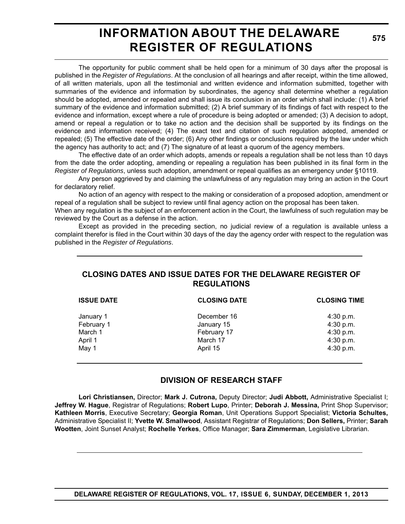# **INFORMATION ABOUT THE DELAWARE REGISTER OF REGULATIONS**

**575**

The opportunity for public comment shall be held open for a minimum of 30 days after the proposal is published in the *Register of Regulations*. At the conclusion of all hearings and after receipt, within the time allowed, of all written materials, upon all the testimonial and written evidence and information submitted, together with summaries of the evidence and information by subordinates, the agency shall determine whether a regulation should be adopted, amended or repealed and shall issue its conclusion in an order which shall include: (1) A brief summary of the evidence and information submitted; (2) A brief summary of its findings of fact with respect to the evidence and information, except where a rule of procedure is being adopted or amended; (3) A decision to adopt, amend or repeal a regulation or to take no action and the decision shall be supported by its findings on the evidence and information received; (4) The exact text and citation of such regulation adopted, amended or repealed; (5) The effective date of the order; (6) Any other findings or conclusions required by the law under which the agency has authority to act; and (7) The signature of at least a quorum of the agency members.

The effective date of an order which adopts, amends or repeals a regulation shall be not less than 10 days from the date the order adopting, amending or repealing a regulation has been published in its final form in the *Register of Regulations*, unless such adoption, amendment or repeal qualifies as an emergency under §10119.

Any person aggrieved by and claiming the unlawfulness of any regulation may bring an action in the Court for declaratory relief.

No action of an agency with respect to the making or consideration of a proposed adoption, amendment or repeal of a regulation shall be subject to review until final agency action on the proposal has been taken.

When any regulation is the subject of an enforcement action in the Court, the lawfulness of such regulation may be reviewed by the Court as a defense in the action.

Except as provided in the preceding section, no judicial review of a regulation is available unless a complaint therefor is filed in the Court within 30 days of the day the agency order with respect to the regulation was published in the *Register of Regulations*.

### **CLOSING DATES AND ISSUE DATES FOR THE DELAWARE REGISTER OF REGULATIONS**

| <b>ISSUE DATE</b> | <b>CLOSING DATE</b> | <b>CLOSING TIME</b> |  |
|-------------------|---------------------|---------------------|--|
| January 1         | December 16         | 4:30 p.m.           |  |
| February 1        | January 15          | 4:30 p.m.           |  |
| March 1           | February 17         | 4:30 p.m.           |  |
| April 1           | March 17            | 4:30 p.m.           |  |
| May 1             | April 15            | 4:30 p.m.           |  |
|                   |                     |                     |  |

# **DIVISION OF RESEARCH STAFF**

**Lori Christiansen,** Director; **Mark J. Cutrona,** Deputy Director; **Judi Abbott,** Administrative Specialist I; **Jeffrey W. Hague**, Registrar of Regulations; **Robert Lupo**, Printer; **Deborah J. Messina,** Print Shop Supervisor; **Kathleen Morris**, Executive Secretary; **Georgia Roman**, Unit Operations Support Specialist; **Victoria Schultes,** Administrative Specialist II; **Yvette W. Smallwood**, Assistant Registrar of Regulations; **Don Sellers,** Printer; **Sarah Wootten**, Joint Sunset Analyst; **Rochelle Yerkes**, Office Manager; **Sara Zimmerman**, Legislative Librarian.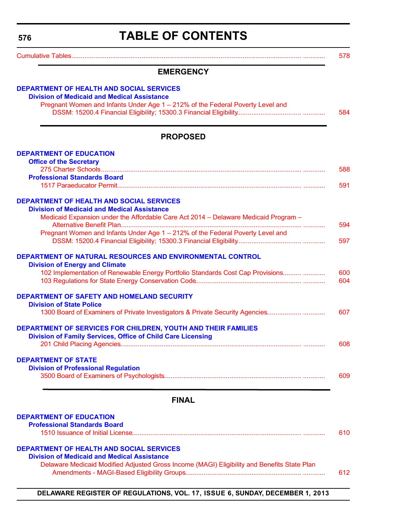# **TABLE OF CONTENTS**

<span id="page-3-0"></span>

|                                                                                                    | 578 |
|----------------------------------------------------------------------------------------------------|-----|
| <b>EMERGENCY</b>                                                                                   |     |
| <b>DEPARTMENT OF HEALTH AND SOCIAL SERVICES</b>                                                    |     |
| <b>Division of Medicaid and Medical Assistance</b>                                                 |     |
| Pregnant Women and Infants Under Age 1 - 212% of the Federal Poverty Level and                     | 584 |
|                                                                                                    |     |
| <b>PROPOSED</b>                                                                                    |     |
| <b>DEPARTMENT OF EDUCATION</b>                                                                     |     |
| <b>Office of the Secretary</b>                                                                     |     |
|                                                                                                    | 588 |
| <b>Professional Standards Board</b>                                                                |     |
|                                                                                                    | 591 |
| <b>DEPARTMENT OF HEALTH AND SOCIAL SERVICES</b>                                                    |     |
| <b>Division of Medicaid and Medical Assistance</b>                                                 |     |
| Medicaid Expansion under the Affordable Care Act 2014 - Delaware Medicaid Program -                | 594 |
| Pregnant Women and Infants Under Age 1 - 212% of the Federal Poverty Level and                     |     |
|                                                                                                    | 597 |
|                                                                                                    |     |
| DEPARTMENT OF NATURAL RESOURCES AND ENVIRONMENTAL CONTROL<br><b>Division of Energy and Climate</b> |     |
| 102 Implementation of Renewable Energy Portfolio Standards Cost Cap Provisions                     | 600 |
|                                                                                                    | 604 |
| DEPARTMENT OF SAFETY AND HOMELAND SECURITY                                                         |     |
| <b>Division of State Police</b>                                                                    |     |
| 1300 Board of Examiners of Private Investigators & Private Security Agencies                       | 607 |
| DEPARTMENT OF SERVICES FOR CHILDREN, YOUTH AND THEIR FAMILIES                                      |     |
| <b>Division of Family Services, Office of Child Care Licensing</b>                                 |     |
|                                                                                                    | 608 |
| <b>DEPARTMENT OF STATE</b>                                                                         |     |
| <b>Division of Professional Regulation</b>                                                         |     |
|                                                                                                    | 609 |
| <b>FINAL</b>                                                                                       |     |
|                                                                                                    |     |
| <b>DEPARTMENT OF EDUCATION</b><br><b>Professional Standards Board</b>                              |     |
|                                                                                                    | 610 |
|                                                                                                    |     |
| <b>DEPARTMENT OF HEALTH AND SOCIAL SERVICES</b>                                                    |     |
| <b>Division of Medicaid and Medical Assistance</b>                                                 |     |
| Delaware Medicaid Modified Adjusted Gross Income (MAGI) Eligibility and Benefits State Plan        |     |
|                                                                                                    | 612 |
|                                                                                                    |     |
|                                                                                                    |     |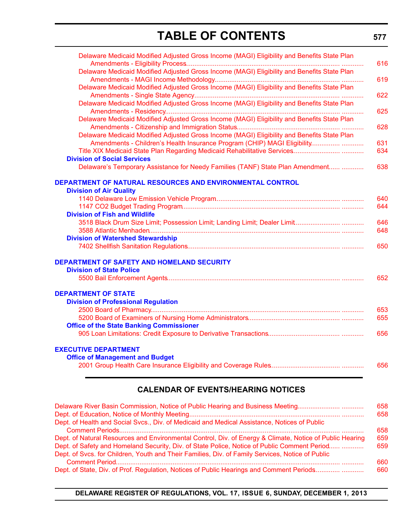# **TABLE OF CONTENTS**

**577**

| Delaware Medicaid Modified Adjusted Gross Income (MAGI) Eligibility and Benefits State Plan | 616 |
|---------------------------------------------------------------------------------------------|-----|
| Delaware Medicaid Modified Adjusted Gross Income (MAGI) Eligibility and Benefits State Plan |     |
|                                                                                             | 619 |
| Delaware Medicaid Modified Adjusted Gross Income (MAGI) Eligibility and Benefits State Plan |     |
|                                                                                             | 622 |
| Delaware Medicaid Modified Adjusted Gross Income (MAGI) Eligibility and Benefits State Plan | 625 |
| Delaware Medicaid Modified Adjusted Gross Income (MAGI) Eligibility and Benefits State Plan | 628 |
| Delaware Medicaid Modified Adjusted Gross Income (MAGI) Eligibility and Benefits State Plan |     |
| Amendments - Children's Health Insurance Program (CHIP) MAGI Eligibility                    | 631 |
|                                                                                             | 634 |
| <b>Division of Social Services</b>                                                          |     |
| Delaware's Temporary Assistance for Needy Families (TANF) State Plan Amendment              | 638 |
| DEPARTMENT OF NATURAL RESOURCES AND ENVIRONMENTAL CONTROL                                   |     |
| <b>Division of Air Quality</b>                                                              |     |
|                                                                                             | 640 |
|                                                                                             | 644 |
| <b>Division of Fish and Wildlife</b>                                                        |     |
|                                                                                             | 646 |
|                                                                                             | 648 |
| <b>Division of Watershed Stewardship</b>                                                    |     |
|                                                                                             | 650 |
| <b>DEPARTMENT OF SAFETY AND HOMELAND SECURITY</b>                                           |     |
| <b>Division of State Police</b>                                                             |     |
|                                                                                             | 652 |
| <b>DEPARTMENT OF STATE</b>                                                                  |     |
| <b>Division of Professional Regulation</b>                                                  |     |
|                                                                                             | 653 |
|                                                                                             | 655 |
| <b>Office of the State Banking Commissioner</b>                                             |     |
|                                                                                             | 656 |
| <b>EXECUTIVE DEPARTMENT</b>                                                                 |     |
| <b>Office of Management and Budget</b>                                                      |     |
|                                                                                             | 656 |

# **CALENDAR OF EVENTS/HEARING NOTICES**

| Delaware River Basin Commission, Notice of Public Hearing and Business Meeting                           | 658 |
|----------------------------------------------------------------------------------------------------------|-----|
|                                                                                                          | 658 |
| Dept. of Health and Social Svcs., Div. of Medicaid and Medical Assistance, Notices of Public             |     |
|                                                                                                          | 658 |
| Dept. of Natural Resources and Environmental Control, Div. of Energy & Climate, Notice of Public Hearing | 659 |
| Dept. of Safety and Homeland Security, Div. of State Police, Notice of Public Comment Period             | 659 |
| Dept. of Svcs. for Children, Youth and Their Families, Div. of Family Services, Notice of Public         |     |
|                                                                                                          | 660 |
| Dept. of State, Div. of Prof. Regulation, Notices of Public Hearings and Comment Periods                 | 660 |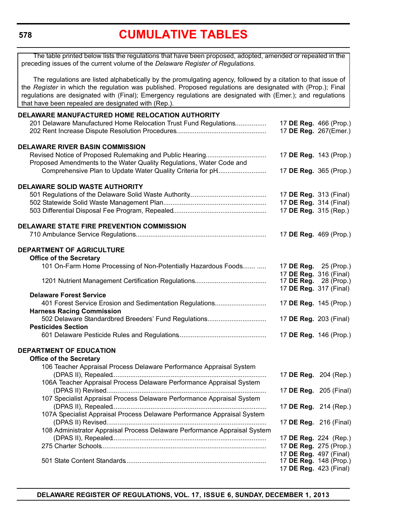# **[CUMULATIVE TABLES](#page-3-0)**

<span id="page-5-0"></span>The table printed below lists the regulations that have been proposed, adopted, amended or repealed in the preceding issues of the current volume of the *Delaware Register of Regulations*.

The regulations are listed alphabetically by the promulgating agency, followed by a citation to that issue of the *Register* in which the regulation was published. Proposed regulations are designated with (Prop.); Final regulations are designated with (Final); Emergency regulations are designated with (Emer.); and regulations that have been repealed are designated with (Rep.).

| DELAWARE MANUFACTURED HOME RELOCATION AUTHORITY                           |                                                        |                       |
|---------------------------------------------------------------------------|--------------------------------------------------------|-----------------------|
| 201 Delaware Manufactured Home Relocation Trust Fund Regulations          | 17 DE Reg. 466 (Prop.)                                 |                       |
|                                                                           | 17 DE Reg. 267(Emer.)                                  |                       |
| <b>DELAWARE RIVER BASIN COMMISSION</b>                                    |                                                        |                       |
| Proposed Amendments to the Water Quality Regulations, Water Code and      | 17 DE Reg. 143 (Prop.)                                 |                       |
| Comprehensive Plan to Update Water Quality Criteria for pH                | 17 DE Reg. 365 (Prop.)                                 |                       |
| <b>DELAWARE SOLID WASTE AUTHORITY</b>                                     |                                                        |                       |
|                                                                           | 17 DE Reg. 313 (Final)                                 |                       |
|                                                                           | 17 DE Reg. 314 (Final)                                 |                       |
|                                                                           | 17 DE Reg. 315 (Rep.)                                  |                       |
| <b>DELAWARE STATE FIRE PREVENTION COMMISSION</b>                          |                                                        |                       |
|                                                                           | 17 DE Reg. 469 (Prop.)                                 |                       |
| <b>DEPARTMENT OF AGRICULTURE</b>                                          |                                                        |                       |
| <b>Office of the Secretary</b>                                            |                                                        |                       |
| 101 On-Farm Home Processing of Non-Potentially Hazardous Foods            | 17 DE Reg. 25 (Prop.)                                  |                       |
|                                                                           | 17 DE Reg. 316 (Final)                                 |                       |
|                                                                           | 17 <b>DE Reg.</b> 28 (Prop.)<br>17 DE Reg. 317 (Final) |                       |
| <b>Delaware Forest Service</b>                                            |                                                        |                       |
| 401 Forest Service Erosion and Sedimentation Regulations                  | 17 DE Reg. 145 (Prop.)                                 |                       |
| <b>Harness Racing Commission</b>                                          |                                                        |                       |
| 502 Delaware Standardbred Breeders' Fund Regulations                      | 17 DE Reg. 203 (Final)                                 |                       |
| <b>Pesticides Section</b>                                                 |                                                        |                       |
|                                                                           | 17 DE Reg. 146 (Prop.)                                 |                       |
| <b>DEPARTMENT OF EDUCATION</b>                                            |                                                        |                       |
| <b>Office of the Secretary</b>                                            |                                                        |                       |
| 106 Teacher Appraisal Process Delaware Performance Appraisal System       |                                                        |                       |
|                                                                           | 17 DE Reg. 204 (Rep.)                                  |                       |
| 106A Teacher Appraisal Process Delaware Performance Appraisal System      |                                                        |                       |
| 107 Specialist Appraisal Process Delaware Performance Appraisal System    | 17 DE Reg. 205 (Final)                                 |                       |
|                                                                           |                                                        | 17 DE Reg. 214 (Rep.) |
| 107A Specialist Appraisal Process Delaware Performance Appraisal System   |                                                        |                       |
|                                                                           | 17 DE Reg. 216 (Final)                                 |                       |
| 108 Administrator Appraisal Process Delaware Performance Appraisal System |                                                        |                       |
|                                                                           | 17 DE Reg. 224 (Rep.)                                  |                       |
|                                                                           | 17 DE Reg. 275 (Prop.)                                 |                       |
|                                                                           | 17 DE Reg. 497 (Final)                                 |                       |
|                                                                           | 17 DE Reg. 148 (Prop.)                                 |                       |
|                                                                           | 17 DE Reg. 423 (Final)                                 |                       |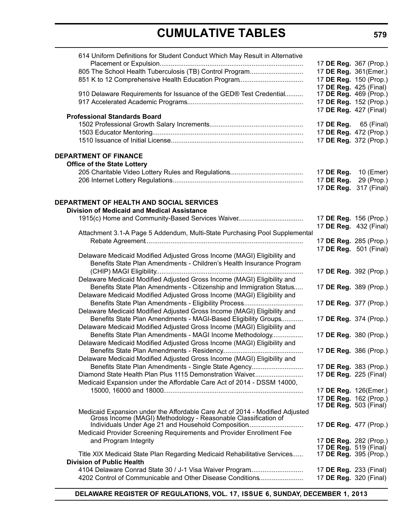| 614 Uniform Definitions for Student Conduct Which May Result in Alternative                                      |                                                  |             |
|------------------------------------------------------------------------------------------------------------------|--------------------------------------------------|-------------|
|                                                                                                                  | 17 DE Reg. 367 (Prop.)                           |             |
| 805 The School Health Tuberculosis (TB) Control Program                                                          | 17 DE Reg. 361(Emer.)                            |             |
| 851 K to 12 Comprehensive Health Education Program                                                               | 17 DE Reg. 150 (Prop.)                           |             |
|                                                                                                                  | 17 DE Reg. 425 (Final)                           |             |
| 910 Delaware Requirements for Issuance of the GED® Test Credential                                               | 17 <b>DE Reg.</b> 469 (Prop.)                    |             |
|                                                                                                                  | 17 DE Reg. 152 (Prop.)                           |             |
|                                                                                                                  | 17 DE Reg. 427 (Final)                           |             |
| <b>Professional Standards Board</b>                                                                              |                                                  |             |
|                                                                                                                  | 17 DE Reg. 65 (Final)                            |             |
|                                                                                                                  | 17 DE Reg. 472 (Prop.)<br>17 DE Reg. 372 (Prop.) |             |
|                                                                                                                  |                                                  |             |
| <b>DEPARTMENT OF FINANCE</b>                                                                                     |                                                  |             |
| <b>Office of the State Lottery</b>                                                                               |                                                  |             |
|                                                                                                                  | 17 DE Reg.                                       | 10 (Emer)   |
|                                                                                                                  | 17 DE Reg.                                       | 29 (Prop.)  |
|                                                                                                                  | 17 DE Reg.                                       | 317 (Final) |
|                                                                                                                  |                                                  |             |
| <b>DEPARTMENT OF HEALTH AND SOCIAL SERVICES</b>                                                                  |                                                  |             |
| <b>Division of Medicaid and Medical Assistance</b>                                                               |                                                  |             |
| 1915(c) Home and Community-Based Services Waiver                                                                 | 17 DE Reg. 156 (Prop.)                           |             |
| Attachment 3.1-A Page 5 Addendum, Multi-State Purchasing Pool Supplemental                                       | 17 DE Reg. 432 (Final)                           |             |
|                                                                                                                  | 17 DE Reg. 285 (Prop.)                           |             |
|                                                                                                                  | 17 DE Reg. 501 (Final)                           |             |
| Delaware Medicaid Modified Adjusted Gross Income (MAGI) Eligibility and                                          |                                                  |             |
| Benefits State Plan Amendments - Children's Health Insurance Program                                             |                                                  |             |
|                                                                                                                  | 17 DE Reg. 392 (Prop.)                           |             |
| Delaware Medicaid Modified Adjusted Gross Income (MAGI) Eligibility and                                          |                                                  |             |
| Benefits State Plan Amendments - Citizenship and Immigration Status                                              | 17 DE Reg. 389 (Prop.)                           |             |
| Delaware Medicaid Modified Adjusted Gross Income (MAGI) Eligibility and                                          |                                                  |             |
| Benefits State Plan Amendments - Eligibility Process                                                             | 17 DE Reg. 377 (Prop.)                           |             |
| Delaware Medicaid Modified Adjusted Gross Income (MAGI) Eligibility and                                          |                                                  |             |
| Benefits State Plan Amendments - MAGI-Based Eligibility Groups                                                   | 17 DE Reg. 374 (Prop.)                           |             |
| Delaware Medicaid Modified Adjusted Gross Income (MAGI) Eligibility and                                          |                                                  |             |
| Benefits State Plan Amendments - MAGI Income Methodology                                                         | 17 DE Reg. 380 (Prop.)                           |             |
| Delaware Medicaid Modified Adjusted Gross Income (MAGI) Eligibility and                                          |                                                  |             |
|                                                                                                                  | 17 DE Reg. 386 (Prop.)                           |             |
| Delaware Medicaid Modified Adjusted Gross Income (MAGI) Eligibility and                                          |                                                  |             |
| Benefits State Plan Amendments - Single State Agency<br>Diamond State Health Plan Plus 1115 Demonstration Waiver | 17 DE Reg. 383 (Prop.)                           |             |
| Medicaid Expansion under the Affordable Care Act of 2014 - DSSM 14000,                                           | 17 <b>DE Reg.</b> 225 (Final)                    |             |
|                                                                                                                  | 17 DE Reg. 126(Emer.)                            |             |
|                                                                                                                  | 17 DE Reg. 162 (Prop.)                           |             |
|                                                                                                                  | 17 <b>DE Reg.</b> 503 (Final)                    |             |
| Medicaid Expansion under the Affordable Care Act of 2014 - Modified Adjusted                                     |                                                  |             |
| Gross Income (MAGI) Methodology - Reasonable Classification of                                                   |                                                  |             |
| Individuals Under Age 21 and Household Composition                                                               | 17 DE Reg. 477 (Prop.)                           |             |
| Medicaid Provider Screening Requirements and Provider Enrollment Fee<br>and Program Integrity                    | 17 DE Reg. 282 (Prop.)                           |             |
|                                                                                                                  | 17 DE Reg. 519 (Final)                           |             |
| Title XIX Medicaid State Plan Regarding Medicaid Rehabilitative Services                                         | 17 DE Reg. 395 (Prop.)                           |             |
| <b>Division of Public Health</b>                                                                                 |                                                  |             |
| 4104 Delaware Conrad State 30 / J-1 Visa Waiver Program                                                          | 17 <b>DE Reg.</b> 233 (Final)                    |             |
| 4202 Control of Communicable and Other Disease Conditions                                                        | 17 DE Reg. 320 (Final)                           |             |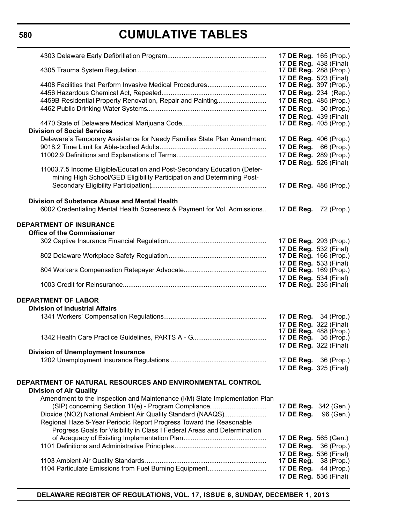# **CUMULATIVE TABLES**

|                                                                                             | 17 DE Reg. 165 (Prop.)<br>17 DE Reg. 438 (Final)        |            |
|---------------------------------------------------------------------------------------------|---------------------------------------------------------|------------|
|                                                                                             | 17 DE Reg. 288 (Prop.)<br>17 DE Reg. 523 (Final)        |            |
| 4408 Facilities that Perform Invasive Medical Procedures                                    | 17 <b>DE Reg.</b> 397 (Prop.)                           |            |
| 4459B Residential Property Renovation, Repair and Painting                                  | 17 DE Reg. 234 (Rep.)<br>17 DE Reg. 485 (Prop.)         |            |
|                                                                                             | 17 DE Reg. 30 (Prop.)                                   |            |
|                                                                                             | 17 DE Reg. 439 (Final)                                  |            |
| <b>Division of Social Services</b>                                                          | 17 <b>DE Reg.</b> 405 (Prop.)                           |            |
| Delaware's Temporary Assistance for Needy Families State Plan Amendment                     | 17 DE Reg. 406 (Prop.)                                  |            |
|                                                                                             | 17 <b>DE Reg.</b> 66 (Prop.)                            |            |
|                                                                                             | 17 DE Reg. 289 (Prop.)                                  |            |
| 11003.7.5 Income Eligible/Education and Post-Secondary Education (Deter-                    | 17 DE Reg. 526 (Final)                                  |            |
| mining High School/GED Eligibility Participation and Determining Post-                      |                                                         |            |
|                                                                                             | 17 DE Reg. 486 (Prop.)                                  |            |
| <b>Division of Substance Abuse and Mental Health</b>                                        |                                                         |            |
| 6002 Credentialing Mental Health Screeners & Payment for Vol. Admissions                    | 17 DE Reg.                                              | 72 (Prop.) |
| <b>DEPARTMENT OF INSURANCE</b><br><b>Office of the Commissioner</b>                         |                                                         |            |
|                                                                                             | 17 DE Reg. 293 (Prop.)                                  |            |
|                                                                                             | 17 DE Reg. 532 (Final)                                  |            |
|                                                                                             | 17 DE Reg. 166 (Prop.)                                  |            |
|                                                                                             | 17 DE Reg. 533 (Final)                                  |            |
|                                                                                             | 17 DE Reg. 169 (Prop.)                                  |            |
|                                                                                             | 17 DE Reg. 534 (Final)<br>17 <b>DE Reg.</b> 235 (Final) |            |
| <b>DEPARTMENT OF LABOR</b>                                                                  |                                                         |            |
| <b>Division of Industrial Affairs</b>                                                       |                                                         |            |
|                                                                                             | 17 <b>DE Reg.</b> 34 (Prop.)                            |            |
|                                                                                             | 17 DE Reg. 322 (Final)                                  |            |
|                                                                                             | 17 DE Reg. 488 (Prop.)                                  |            |
|                                                                                             | 17 <b>DE Reg.</b> 35 (Prop.)<br>17 DE Reg. 322 (Final)  |            |
| <b>Division of Unemployment Insurance</b>                                                   |                                                         |            |
|                                                                                             | 17 <b>DE Reg.</b> 36 (Prop.)                            |            |
|                                                                                             | 17 DE Reg. 325 (Final)                                  |            |
| DEPARTMENT OF NATURAL RESOURCES AND ENVIRONMENTAL CONTROL<br><b>Division of Air Quality</b> |                                                         |            |
| Amendment to the Inspection and Maintenance (I/M) State Implementation Plan                 |                                                         |            |
| (SIP) concerning Section 11(e) - Program Compliance                                         | 17 DE Reg. 342 (Gen.)                                   |            |
| Dioxide (NO2) National Ambient Air Quality Standard (NAAQS)                                 | 17 DE Reg.                                              | 96 (Gen.)  |
| Regional Haze 5-Year Periodic Report Progress Toward the Reasonable                         |                                                         |            |
| Progress Goals for Visibility in Class I Federal Areas and Determination                    |                                                         |            |
|                                                                                             | 17 DE Reg. 565 (Gen.)                                   |            |
|                                                                                             | 17 DE Reg.                                              | 36 (Prop.) |
|                                                                                             | 17 DE Reg. 536 (Final)                                  |            |
|                                                                                             | 17 DE Reg.                                              | 38 (Prop.) |
| 1104 Particulate Emissions from Fuel Burning Equipment                                      | 17 DE Reg.<br>17 DE Reg. 536 (Final)                    | 44 (Prop.) |
|                                                                                             |                                                         |            |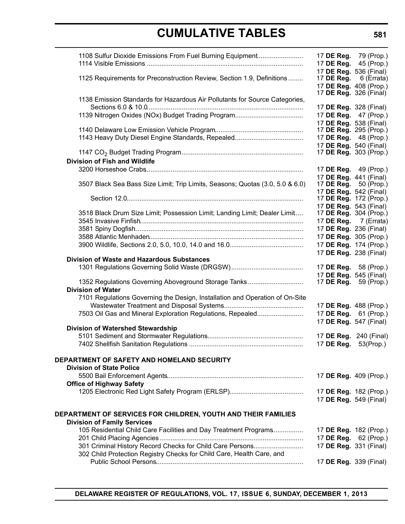| 1108 Sulfur Dioxide Emissions From Fuel Burning Equipment                                              | 17 DE Reg. 79 (Prop.)<br>17 DE Reg. 45 (Prop.)                 |                                                 |
|--------------------------------------------------------------------------------------------------------|----------------------------------------------------------------|-------------------------------------------------|
| 1125 Requirements for Preconstruction Review, Section 1.9, Definitions                                 | 17 DE Reg. 536 (Final)<br>17 DE Reg.<br>17 DE Reg. 408 (Prop.) | 6 (Errata)                                      |
| 1138 Emission Standards for Hazardous Air Pollutants for Source Categories,                            | 17 DE Reg. 328 (Final)                                         | 17 <b>DE Reg.</b> 326 (Final)                   |
|                                                                                                        | 17 DE Reg. 47 (Prop.)<br>17 DE Reg. 538 (Final)                |                                                 |
|                                                                                                        | 17 DE Reg. 295 (Prop.)<br>17 DE Reg. 48 (Prop.)                |                                                 |
|                                                                                                        | 17 DE Reg. 540 (Final)<br>17 DE Reg. 303 (Prop.)               |                                                 |
| Division of Fish and Wildlife                                                                          | 17 DE Reg. 49 (Prop.)                                          |                                                 |
| 3507 Black Sea Bass Size Limit; Trip Limits, Seasons; Quotas (3.0, 5.0 & 6.0)                          | 17 DE Reg. 441 (Final)<br>17 <b>DE Reg.</b> 50 (Prop.)         |                                                 |
|                                                                                                        | 17 DE Reg. 542 (Final)<br>17 DE Reg. 172 (Prop.)               |                                                 |
| 3518 Black Drum Size Limit; Possession Limit; Landing Limit; Dealer Limit                              | 17 DE Reg. 543 (Final)<br>17 DE Reg. 304 (Prop.)               |                                                 |
|                                                                                                        |                                                                | 17 DE Reg. 7 (Errata)<br>17 DE Reg. 236 (Final) |
|                                                                                                        | 17 DE Reg. 174 (Prop.)                                         | 17 DE Reg. 305 (Prop.)                          |
| <b>Division of Waste and Hazardous Substances</b>                                                      | 17 DE Reg. 238 (Final)                                         |                                                 |
|                                                                                                        | 17 DE Reg. 58 (Prop.)<br>17 DE Reg. 545 (Final)                |                                                 |
| 1352 Regulations Governing Aboveground Storage Tanks<br><b>Division of Water</b>                       | 17 <b>DE Reg.</b> 59 (Prop.)                                   |                                                 |
| 7101 Regulations Governing the Design, Installation and Operation of On-Site                           | 17 DE Reg. 488 (Prop.)                                         |                                                 |
| 7503 Oil Gas and Mineral Exploration Regulations, Repealed                                             | 17 DE Reg. 61 (Prop.)<br>17 DE Reg. 547 (Final)                |                                                 |
| Division of Watershed Stewardship                                                                      | 17 DE Reg. 240 (Final)                                         |                                                 |
|                                                                                                        | 17 DE Reg. 53(Prop.)                                           |                                                 |
| DEPARTMENT OF SAFETY AND HOMELAND SECURITY<br><b>Division of State Police</b>                          |                                                                |                                                 |
| <b>Office of Highway Safety</b>                                                                        | 17 DE Reg. 409 (Prop.)                                         |                                                 |
|                                                                                                        | 17 DE Reg. 182 (Prop.)<br>17 DE Reg. 549 (Final)               |                                                 |
| DEPARTMENT OF SERVICES FOR CHILDREN, YOUTH AND THEIR FAMILIES                                          |                                                                |                                                 |
| <b>Division of Family Services</b><br>105 Residential Child Care Facilities and Day Treatment Programs | 17 DE Reg. 182 (Prop.)                                         |                                                 |
| 301 Criminal History Record Checks for Child Care Persons                                              | 17 DE Reg. 62 (Prop.)<br>17 DE Reg. 331 (Final)                |                                                 |
| 302 Child Protection Registry Checks for Child Care, Health Care, and                                  | 17 DE Reg. 339 (Final)                                         |                                                 |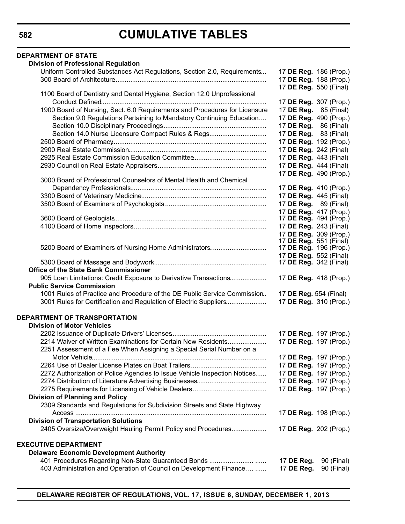| <b>DEPARTMENT OF STATE</b>                                                                           |                               |            |
|------------------------------------------------------------------------------------------------------|-------------------------------|------------|
| <b>Division of Professional Regulation</b>                                                           |                               |            |
| Uniform Controlled Substances Act Regulations, Section 2.0, Requirements                             | 17 DE Reg. 186 (Prop.)        |            |
|                                                                                                      | 17 DE Reg. 188 (Prop.)        |            |
|                                                                                                      | 17 DE Reg. 550 (Final)        |            |
| 1100 Board of Dentistry and Dental Hygiene, Section 12.0 Unprofessional                              |                               |            |
|                                                                                                      | 17 DE Reg. 307 (Prop.)        |            |
| 1900 Board of Nursing, Sect. 6.0 Requirements and Procedures for Licensure                           | 17 DE Reg. 85 (Final)         |            |
| Section 9.0 Regulations Pertaining to Mandatory Continuing Education                                 | 17 DE Reg. 490 (Prop.)        |            |
|                                                                                                      | 17 <b>DE Reg.</b> 86 (Final)  |            |
| Section 14.0 Nurse Licensure Compact Rules & Regs                                                    | 17 DE Reg. 83 (Final)         |            |
|                                                                                                      | 17 DE Reg. 192 (Prop.)        |            |
|                                                                                                      | 17 DE Reg. 242 (Final)        |            |
|                                                                                                      | 17 DE Reg. 443 (Final)        |            |
|                                                                                                      | 17 DE Reg. 444 (Final)        |            |
| 3000 Board of Professional Counselors of Mental Health and Chemical                                  | 17 DE Reg. 490 (Prop.)        |            |
|                                                                                                      | 17 DE Reg. 410 (Prop.)        |            |
|                                                                                                      | 17 DE Reg. 445 (Final)        |            |
|                                                                                                      | 17 DE Reg. 89 (Final)         |            |
|                                                                                                      | 17 DE Reg. 417 (Prop.)        |            |
|                                                                                                      | 17 <b>DE Reg.</b> 494 (Prop.) |            |
|                                                                                                      | 17 DE Reg. 243 (Final)        |            |
|                                                                                                      | 17 DE Reg. 309 (Prop.)        |            |
|                                                                                                      | 17 DE Reg. 551 (Final)        |            |
| 5200 Board of Examiners of Nursing Home Administrators                                               | 17 <b>DE Reg.</b> 196 (Prop.) |            |
|                                                                                                      | 17 DE Reg. 552 (Final)        |            |
| Office of the State Bank Commissioner                                                                | 17 <b>DE Reg.</b> 342 (Final) |            |
|                                                                                                      | 17 DE Reg. 418 (Prop.)        |            |
| 905 Loan Limitations: Credit Exposure to Derivative Transactions<br><b>Public Service Commission</b> |                               |            |
| 1001 Rules of Practice and Procedure of the DE Public Service Commission.                            | 17 DE Reg. 554 (Final)        |            |
| 3001 Rules for Certification and Regulation of Electric Suppliers                                    | 17 DE Reg. 310 (Prop.)        |            |
|                                                                                                      |                               |            |
| <b>DEPARTMENT OF TRANSPORTATION</b>                                                                  |                               |            |
| <b>Division of Motor Vehicles</b>                                                                    |                               |            |
|                                                                                                      | 17 DE Reg. 197 (Prop.)        |            |
| 2214 Waiver of Written Examinations for Certain New Residents                                        | 17 DE Reg. 197 (Prop.)        |            |
| 2251 Assessment of a Fee When Assigning a Special Serial Number on a                                 |                               |            |
|                                                                                                      | 17 DE Reg. 197 (Prop.)        |            |
|                                                                                                      | 17 DE Reg. 197 (Prop.)        |            |
| 2272 Authorization of Police Agencies to Issue Vehicle Inspection Notices                            | 17 DE Reg. 197 (Prop.)        |            |
|                                                                                                      | 17 DE Reg. 197 (Prop.)        |            |
|                                                                                                      | 17 DE Reg. 197 (Prop.)        |            |
| <b>Division of Planning and Policy</b>                                                               |                               |            |
| 2309 Standards and Regulations for Subdivision Streets and State Highway                             |                               |            |
|                                                                                                      | 17 DE Reg. 198 (Prop.)        |            |
| <b>Division of Transportation Solutions</b>                                                          |                               |            |
| 2405 Oversize/Overweight Hauling Permit Policy and Procedures                                        | 17 DE Reg. 202 (Prop.)        |            |
|                                                                                                      |                               |            |
| <b>EXECUTIVE DEPARTMENT</b>                                                                          |                               |            |
| <b>Delaware Economic Development Authority</b>                                                       |                               |            |
|                                                                                                      | 17 DE Reg.                    | 90 (Final) |
| 403 Administration and Operation of Council on Development Finance                                   | 17 DE Reg.                    | 90 (Final) |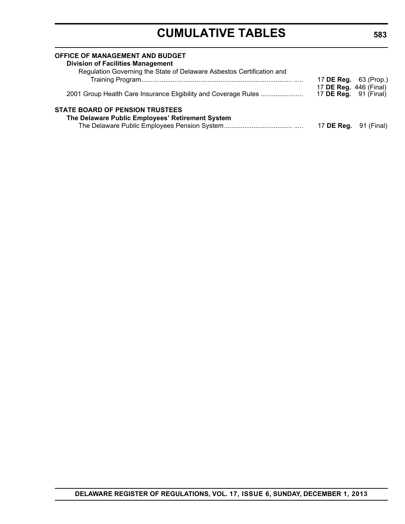| OFFICE OF MANAGEMENT AND BUDGET<br><b>Division of Facilities Management</b><br>Regulation Governing the State of Delaware Asbestos Certification and |                                                        |            |
|------------------------------------------------------------------------------------------------------------------------------------------------------|--------------------------------------------------------|------------|
|                                                                                                                                                      | 17 <b>DE Reg.</b> 63 (Prop.)                           |            |
| 2001 Group Health Care Insurance Eligibility and Coverage Rules                                                                                      | 17 DE Reg. 446 (Final)<br>17 <b>DE Reg.</b> 91 (Final) |            |
| <b>STATE BOARD OF PENSION TRUSTEES</b>                                                                                                               |                                                        |            |
| The Delaware Public Employees' Retirement System                                                                                                     |                                                        |            |
|                                                                                                                                                      | 17 DE Reg.                                             | 91 (Final) |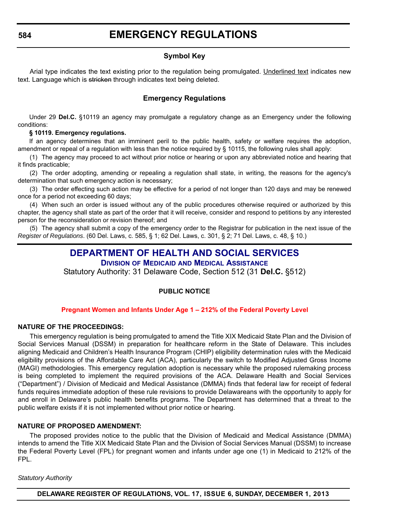### **Symbol Key**

<span id="page-11-0"></span>Arial type indicates the text existing prior to the regulation being promulgated. Underlined text indicates new text. Language which is stricken through indicates text being deleted.

#### **Emergency Regulations**

Under 29 **Del.C.** §10119 an agency may promulgate a regulatory change as an Emergency under the following conditions:

#### **§ 10119. Emergency regulations.**

If an agency determines that an imminent peril to the public health, safety or welfare requires the adoption, amendment or repeal of a regulation with less than the notice required by § 10115, the following rules shall apply:

(1) The agency may proceed to act without prior notice or hearing or upon any abbreviated notice and hearing that it finds practicable;

(2) The order adopting, amending or repealing a regulation shall state, in writing, the reasons for the agency's determination that such emergency action is necessary;

(3) The order effecting such action may be effective for a period of not longer than 120 days and may be renewed once for a period not exceeding 60 days;

(4) When such an order is issued without any of the public procedures otherwise required or authorized by this chapter, the agency shall state as part of the order that it will receive, consider and respond to petitions by any interested person for the reconsideration or revision thereof; and

(5) The agency shall submit a copy of the emergency order to the Registrar for publication in the next issue of the *Register of Regulations*. (60 Del. Laws, c. 585, § 1; 62 Del. Laws, c. 301, § 2; 71 Del. Laws, c. 48, § 10.)

# **[DEPARTMENT OF HEALTH AND SOCIAL SERVICES](http://www.dhss.delaware.gov/dhss/dmma/)**

**DIVISION OF MEDICAID AND MEDICAL ASSISTANCE**

Statutory Authority: 31 Delaware Code, Section 512 (31 **Del.C.** §512)

#### **PUBLIC NOTICE**

#### **Pregnant Women and [Infants Under Age 1](#page-3-0) – 212% of the Federal Poverty Level**

#### **NATURE OF THE PROCEEDINGS:**

This emergency regulation is being promulgated to amend the Title XIX Medicaid State Plan and the Division of Social Services Manual (DSSM) in preparation for healthcare reform in the State of Delaware. This includes aligning Medicaid and Children's Health Insurance Program (CHIP) eligibility determination rules with the Medicaid eligibility provisions of the Affordable Care Act (ACA), particularly the switch to Modified Adjusted Gross Income (MAGI) methodologies. This emergency regulation adoption is necessary while the proposed rulemaking process is being completed to implement the required provisions of the ACA. Delaware Health and Social Services ("Department") / Division of Medicaid and Medical Assistance (DMMA) finds that federal law for receipt of federal funds requires immediate adoption of these rule revisions to provide Delawareans with the opportunity to apply for and enroll in Delaware's public health benefits programs. The Department has determined that a threat to the public welfare exists if it is not implemented without prior notice or hearing.

#### **NATURE OF PROPOSED AMENDMENT:**

The proposed provides notice to the public that the Division of Medicaid and Medical Assistance (DMMA) intends to amend the Title XIX Medicaid State Plan and the Division of Social Services Manual (DSSM) to increase the Federal Poverty Level (FPL) for pregnant women and infants under age one (1) in Medicaid to 212% of the FPL.

#### *Statutory Authority*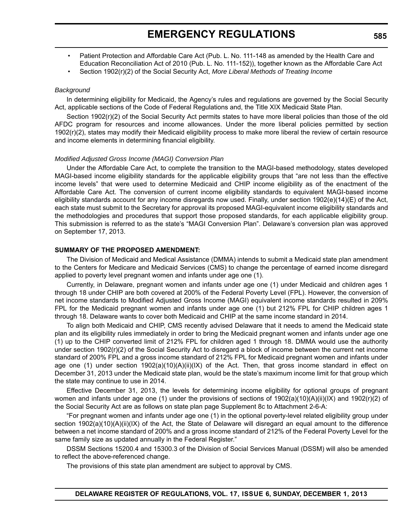- Patient Protection and Affordable Care Act (Pub. L. No. 111-148 as amended by the Health Care and Education Reconciliation Act of 2010 (Pub. L. No. 111-152)), together known as the Affordable Care Act
- Section 1902(r)(2) of the Social Security Act, *More Liberal Methods of Treating Income*

#### *Background*

In determining eligibility for Medicaid, the Agency's rules and regulations are governed by the Social Security Act, applicable sections of the Code of Federal Regulations and, the Title XIX Medicaid State Plan.

Section 1902(r)(2) of the Social Security Act permits states to have more liberal policies than those of the old AFDC program for resources and income allowances. Under the more liberal policies permitted by section 1902(r)(2), states may modify their Medicaid eligibility process to make more liberal the review of certain resource and income elements in determining financial eligibility.

#### *Modified Adjusted Gross Income (MAGI) Conversion Plan*

Under the Affordable Care Act, to complete the transition to the MAGI-based methodology, states developed MAGI-based income eligibility standards for the applicable eligibility groups that "are not less than the effective income levels" that were used to determine Medicaid and CHIP income eligibility as of the enactment of the Affordable Care Act. The conversion of current income eligibility standards to equivalent MAGI-based income eligibility standards account for any income disregards now used. Finally, under section 1902(e)(14)(E) of the Act, each state must submit to the Secretary for approval its proposed MAGI-equivalent income eligibility standards and the methodologies and procedures that support those proposed standards, for each applicable eligibility group. This submission is referred to as the state's "MAGI Conversion Plan". Delaware's conversion plan was approved on September 17, 2013.

#### **SUMMARY OF THE PROPOSED AMENDMENT:**

The Division of Medicaid and Medical Assistance (DMMA) intends to submit a Medicaid state plan amendment to the Centers for Medicare and Medicaid Services (CMS) to change the percentage of earned income disregard applied to poverty level pregnant women and infants under age one (1).

Currently, in Delaware, pregnant women and infants under age one (1) under Medicaid and children ages 1 through 18 under CHIP are both covered at 200% of the Federal Poverty Level (FPL). However, the conversion of net income standards to Modified Adjusted Gross Income (MAGI) equivalent income standards resulted in 209% FPL for the Medicaid pregnant women and infants under age one (1) but 212% FPL for CHIP children ages 1 through 18. Delaware wants to cover both Medicaid and CHIP at the same income standard in 2014.

To align both Medicaid and CHIP, CMS recently advised Delaware that it needs to amend the Medicaid state plan and its eligibility rules immediately in order to bring the Medicaid pregnant women and infants under age one (1) up to the CHIP converted limit of 212% FPL for children aged 1 through 18. DMMA would use the authority under section 1902(r)(2) of the Social Security Act to disregard a block of income between the current net income standard of 200% FPL and a gross income standard of 212% FPL for Medicaid pregnant women and infants under age one (1) under section 1902(a)(10)(A)(ii)(IX) of the Act. Then, that gross income standard in effect on December 31, 2013 under the Medicaid state plan, would be the state's maximum income limit for that group which the state may continue to use in 2014.

Effective December 31, 2013, the levels for determining income eligibility for optional groups of pregnant women and infants under age one (1) under the provisions of sections of 1902(a)(10)(A)(ii)(IX) and 1902(r)(2) of the Social Security Act are as follows on state plan page Supplement 8c to Attachment 2-6-A:

"For pregnant women and infants under age one (1) in the optional poverty-level related eligibility group under section 1902(a)(10)(A)(ii)(IX) of the Act, the State of Delaware will disregard an equal amount to the difference between a net income standard of 200% and a gross income standard of 212% of the Federal Poverty Level for the same family size as updated annually in the Federal Register."

DSSM Sections 15200.4 and 15300.3 of the Division of Social Services Manual (DSSM) will also be amended to reflect the above-referenced change.

The provisions of this state plan amendment are subject to approval by CMS.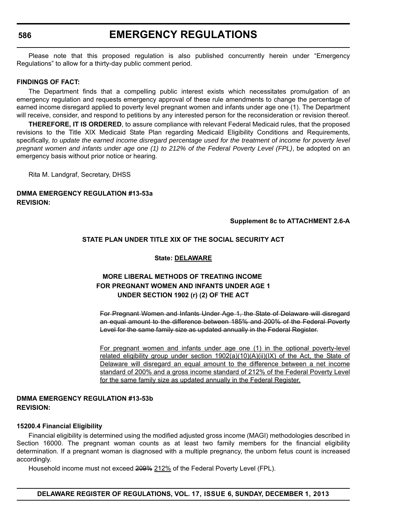# **EMERGENCY REGULATIONS**

Please note that this proposed regulation is also published concurrently herein under "Emergency Regulations" to allow for a thirty-day public comment period.

#### **FINDINGS OF FACT:**

The Department finds that a compelling public interest exists which necessitates promulgation of an emergency regulation and requests emergency approval of these rule amendments to change the percentage of earned income disregard applied to poverty level pregnant women and infants under age one (1). The Department will receive, consider, and respond to petitions by any interested person for the reconsideration or revision thereof.

**THEREFORE, IT IS ORDERED**, to assure compliance with relevant Federal Medicaid rules, that the proposed revisions to the Title XIX Medicaid State Plan regarding Medicaid Eligibility Conditions and Requirements, specifically, *to update the earned income disregard percentage used for the treatment of income for poverty level pregnant women and infants under age one (1) to 212% of the Federal Poverty Level (FPL)*, be adopted on an emergency basis without prior notice or hearing.

Rita M. Landgraf, Secretary, DHSS

#### **DMMA EMERGENCY REGULATION #13-53a REVISION:**

#### **Supplement 8c to ATTACHMENT 2.6-A**

#### **STATE PLAN UNDER TITLE XIX OF THE SOCIAL SECURITY ACT**

#### **State: DELAWARE**

### **MORE LIBERAL METHODS OF TREATING INCOME FOR PREGNANT WOMEN AND INFANTS UNDER AGE 1 UNDER SECTION 1902 (r) (2) OF THE ACT**

For Pregnant Women and Infants Under Age 1, the State of Delaware will disregard an equal amount to the difference between 185% and 200% of the Federal Poverty Level for the same family size as updated annually in the Federal Register.

For pregnant women and infants under age one (1) in the optional poverty-level related eligibility group under section  $1902(a)(10)(A)(ii)(IX)$  of the Act, the State of Delaware will disregard an equal amount to the difference between a net income standard of 200% and a gross income standard of 212% of the Federal Poverty Level for the same family size as updated annually in the Federal Register.

#### **DMMA EMERGENCY REGULATION #13-53b REVISION:**

#### **15200.4 Financial Eligibility**

Financial eligibility is determined using the modified adjusted gross income (MAGI) methodologies described in Section 16000. The pregnant woman counts as at least two family members for the financial eligibility determination. If a pregnant woman is diagnosed with a multiple pregnancy, the unborn fetus count is increased accordingly.

Household income must not exceed 209% 212% of the Federal Poverty Level (FPL).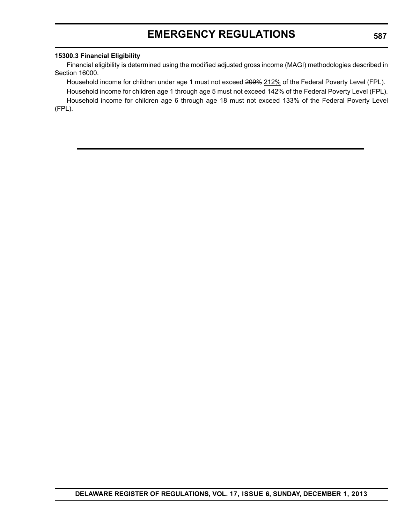# **EMERGENCY REGULATIONS**

#### **15300.3 Financial Eligibility**

Financial eligibility is determined using the modified adjusted gross income (MAGI) methodologies described in Section 16000.

Household income for children under age 1 must not exceed 200% 212% of the Federal Poverty Level (FPL). Household income for children age 1 through age 5 must not exceed 142% of the Federal Poverty Level (FPL).

Household income for children age 6 through age 18 must not exceed 133% of the Federal Poverty Level (FPL).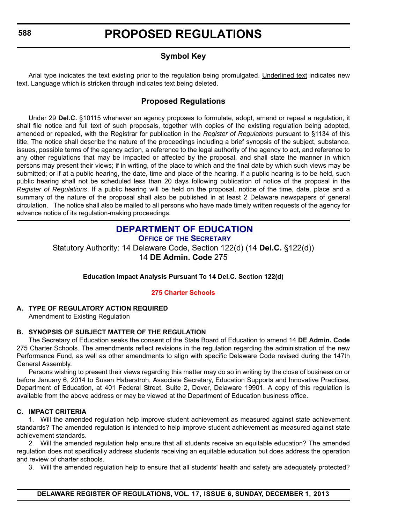# **Symbol Key**

<span id="page-15-0"></span>Arial type indicates the text existing prior to the regulation being promulgated. Underlined text indicates new text. Language which is stricken through indicates text being deleted.

# **Proposed Regulations**

Under 29 **Del.C.** §10115 whenever an agency proposes to formulate, adopt, amend or repeal a regulation, it shall file notice and full text of such proposals, together with copies of the existing regulation being adopted, amended or repealed, with the Registrar for publication in the *Register of Regulations* pursuant to §1134 of this title. The notice shall describe the nature of the proceedings including a brief synopsis of the subject, substance, issues, possible terms of the agency action, a reference to the legal authority of the agency to act, and reference to any other regulations that may be impacted or affected by the proposal, and shall state the manner in which persons may present their views; if in writing, of the place to which and the final date by which such views may be submitted; or if at a public hearing, the date, time and place of the hearing. If a public hearing is to be held, such public hearing shall not be scheduled less than 20 days following publication of notice of the proposal in the *Register of Regulations*. If a public hearing will be held on the proposal, notice of the time, date, place and a summary of the nature of the proposal shall also be published in at least 2 Delaware newspapers of general circulation. The notice shall also be mailed to all persons who have made timely written requests of the agency for advance notice of its regulation-making proceedings.

# **[DEPARTMENT OF EDUCATION](http://www.doe.k12.de.us/)**

**OFFICE OF THE SECRETARY** Statutory Authority: 14 Delaware Code, Section 122(d) (14 **Del.C.** §122(d)) 14 **DE Admin. Code** 275

**Education Impact Analysis Pursuant To 14 Del.C. Section 122(d)**

**[275 Charter Schools](#page-3-0)**

### **A. TYPE OF REGULATORY ACTION REQUIRED**

Amendment to Existing Regulation

### **B. SYNOPSIS OF SUBJECT MATTER OF THE REGULATION**

The Secretary of Education seeks the consent of the State Board of Education to amend 14 **DE Admin. Code** 275 Charter Schools. The amendments reflect revisions in the regulation regarding the administration of the new Performance Fund, as well as other amendments to align with specific Delaware Code revised during the 147th General Assembly.

Persons wishing to present their views regarding this matter may do so in writing by the close of business on or before January 6, 2014 to Susan Haberstroh, Associate Secretary, Education Supports and Innovative Practices, Department of Education, at 401 Federal Street, Suite 2, Dover, Delaware 19901. A copy of this regulation is available from the above address or may be viewed at the Department of Education business office.

### **C. IMPACT CRITERIA**

1. Will the amended regulation help improve student achievement as measured against state achievement standards? The amended regulation is intended to help improve student achievement as measured against state achievement standards.

2. Will the amended regulation help ensure that all students receive an equitable education? The amended regulation does not specifically address students receiving an equitable education but does address the operation and review of charter schools.

3. Will the amended regulation help to ensure that all students' health and safety are adequately protected?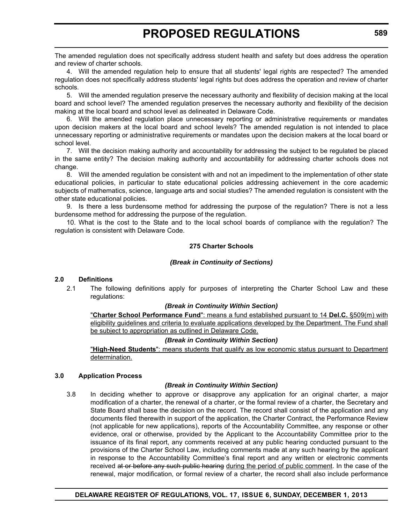The amended regulation does not specifically address student health and safety but does address the operation and review of charter schools.

4. Will the amended regulation help to ensure that all students' legal rights are respected? The amended regulation does not specifically address students' legal rights but does address the operation and review of charter schools.

5. Will the amended regulation preserve the necessary authority and flexibility of decision making at the local board and school level? The amended regulation preserves the necessary authority and flexibility of the decision making at the local board and school level as delineated in Delaware Code.

6. Will the amended regulation place unnecessary reporting or administrative requirements or mandates upon decision makers at the local board and school levels? The amended regulation is not intended to place unnecessary reporting or administrative requirements or mandates upon the decision makers at the local board or school level.

7. Will the decision making authority and accountability for addressing the subject to be regulated be placed in the same entity? The decision making authority and accountability for addressing charter schools does not change.

8. Will the amended regulation be consistent with and not an impediment to the implementation of other state educational policies, in particular to state educational policies addressing achievement in the core academic subjects of mathematics, science, language arts and social studies? The amended regulation is consistent with the other state educational policies.

9. Is there a less burdensome method for addressing the purpose of the regulation? There is not a less burdensome method for addressing the purpose of the regulation.

10. What is the cost to the State and to the local school boards of compliance with the regulation? The regulation is consistent with Delaware Code.

#### **275 Charter Schools**

#### *(Break in Continuity of Sections)*

#### **2.0 Definitions**

2.1 The following definitions apply for purposes of interpreting the Charter School Law and these regulations:

#### *(Break in Continuity Within Section)*

"**Charter School Performance Fund**": means a fund established pursuant to 14 **Del.C.** §509(m) with eligibility guidelines and criteria to evaluate applications developed by the Department. The Fund shall be subject to appropriation as outlined in Delaware Code.

#### *(Break in Continuity Within Section)*

"**High-Need Students**": means students that qualify as low economic status pursuant to Department determination.

#### **3.0 Application Process**

#### *(Break in Continuity Within Section)*

3.8 In deciding whether to approve or disapprove any application for an original charter, a major modification of a charter, the renewal of a charter, or the formal review of a charter, the Secretary and State Board shall base the decision on the record. The record shall consist of the application and any documents filed therewith in support of the application, the Charter Contract, the Performance Review (not applicable for new applications), reports of the Accountability Committee, any response or other evidence, oral or otherwise, provided by the Applicant to the Accountability Committee prior to the issuance of its final report, any comments received at any public hearing conducted pursuant to the provisions of the Charter School Law, including comments made at any such hearing by the applicant in response to the Accountability Committee's final report and any written or electronic comments received at or before any such public hearing during the period of public comment. In the case of the renewal, major modification, or formal review of a charter, the record shall also include performance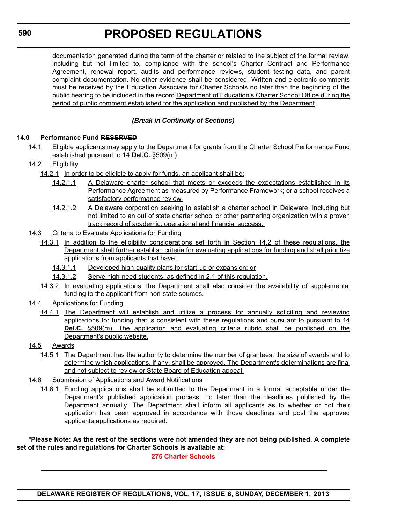documentation generated during the term of the charter or related to the subject of the formal review, including but not limited to, compliance with the school's Charter Contract and Performance Agreement, renewal report, audits and performance reviews, student testing data, and parent complaint documentation. No other evidence shall be considered. Written and electronic comments must be received by the Education Associate for Charter Schools no later than the beginning of the public hearing to be included in the record Department of Education's Charter School Office during the period of public comment established for the application and published by the Department.

### *(Break in Continuity of Sections)*

### **14.0 Performance Fund RESERVED**

14.1 Eligible applicants may apply to the Department for grants from the Charter School Performance Fund established pursuant to 14 **Del.C.** §509(m).

### 14.2 Eligibility

- 14.2.1 In order to be eligible to apply for funds, an applicant shall be:
	- 14.2.1.1 A Delaware charter school that meets or exceeds the expectations established in its Performance Agreement as measured by Performance Framework; or a school receives a satisfactory performance review.
	- 14.2.1.2 A Delaware corporation seeking to establish a charter school in Delaware, including but not limited to an out of state charter school or other partnering organization with a proven track record of academic, operational and financial success.
- 14.3 Criteria to Evaluate Applications for Funding
	- 14.3.1 In addition to the eligibility considerations set forth in Section 14.2 of these regulations, the Department shall further establish criteria for evaluating applications for funding and shall prioritize applications from applicants that have:
		- 14.3.1.1 Developed high-quality plans for start-up or expansion; or
		- 14.3.1.2 Serve high-need students, as defined in 2.1 of this regulation.
	- 14.3.2 In evaluating applications, the Department shall also consider the availability of supplemental funding to the applicant from non-state sources.
- 14.4 Applications for Funding
	- 14.4.1 The Department will establish and utilize a process for annually soliciting and reviewing applications for funding that is consistent with these regulations and pursuant to pursuant to 14 **Del.C.** §509(m). The application and evaluating criteria rubric shall be published on the Department's public website.
- 14.5 Awards
	- 14.5.1 The Department has the authority to determine the number of grantees, the size of awards and to determine which applications, if any, shall be approved. The Department's determinations are final and not subject to review or State Board of Education appeal.
- 14.6 Submission of Applications and Award Notifications
	- 14.6.1 Funding applications shall be submitted to the Department in a format acceptable under the Department's published application process, no later than the deadlines published by the Department annually. The Department shall inform all applicants as to whether or not their application has been approved in accordance with those deadlines and post the approved applicants applications as required.

**\*Please Note: As the rest of the sections were not amended they are not being published. A complete set of the rules and regulations for Charter Schools is available at:**

**[275 Charter Schools](http://regulations.delaware.gov/register/december2013/proposed/17 DE Reg 588 12-01-13.pdf)**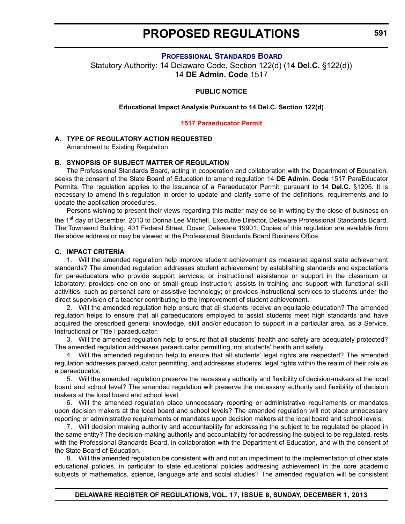#### **P[ROFESSIONAL](http://www.doe.k12.de.us/) STANDARDS BOARD**

<span id="page-18-0"></span>Statutory Authority: 14 Delaware Code, Section 122(d) (14 **Del.C.** §122(d)) 14 **DE Admin. Code** 1517

#### **PUBLIC NOTICE**

#### **Educational Impact Analysis Pursuant to 14 Del.C. Section 122(d)**

#### **1517 [Paraeducator](#page-3-0) Permit**

#### **A. TYPE OF REGULATORY ACTION REQUESTED**

Amendment to Existing Regulation

#### **B. SYNOPSIS OF SUBJECT MATTER OF REGULATION**

The Professional Standards Board, acting in cooperation and collaboration with the Department of Education, seeks the consent of the State Board of Education to amend regulation 14 **DE Admin. Code** 1517 ParaEducator Permits. The regulation applies to the issuance of a Paraeducator Permit, pursuant to 14 **Del.C.** §1205. It is necessary to amend this regulation in order to update and clarify some of the definitions, requirements and to update the application procedures.

Persons wishing to present their views regarding this matter may do so in writing by the close of business on the 1<sup>st</sup> day of December, 2013 to Donna Lee Mitchell, Executive Director, Delaware Professional Standards Board, The Townsend Building, 401 Federal Street, Dover, Delaware 19901. Copies of this regulation are available from the above address or may be viewed at the Professional Standards Board Business Office.

#### **C. IMPACT CRITERIA**

1. Will the amended regulation help improve student achievement as measured against state achievement standards? The amended regulation addresses student achievement by establishing standards and expectations for paraeducators who provide support services, or instructional assistance or support in the classroom or laboratory; provides one-on-one or small group instruction; assists in training and support with functional skill activities, such as personal care or assistive technology; or provides instructional services to students under the direct supervision of a teacher contributing to the improvement of student achievement.

2. Will the amended regulation help ensure that all students receive an equitable education? The amended regulation helps to ensure that all paraeducators employed to assist students meet high standards and have acquired the prescribed general knowledge, skill and/or education to support in a particular area, as a Service, Instructional or Title I paraeducator.

3. Will the amended regulation help to ensure that all students' health and safety are adequately protected? The amended regulation addresses paraeducator permitting, not students' health and safety.

4. Will the amended regulation help to ensure that all students' legal rights are respected? The amended regulation addresses paraeducator permitting, and addresses students' legal rights within the realm of their role as a paraeducator.

5. Will the amended regulation preserve the necessary authority and flexibility of decision-makers at the local board and school level? The amended regulation will preserve the necessary authority and flexibility of decision makers at the local board and school level.

6. Will the amended regulation place unnecessary reporting or administrative requirements or mandates upon decision makers at the local board and school levels? The amended regulation will not place unnecessary reporting or administrative requirements or mandates upon decision makers at the local board and school levels.

7. Will decision making authority and accountability for addressing the subject to be regulated be placed in the same entity? The decision-making authority and accountability for addressing the subject to be regulated, rests with the Professional Standards Board, in collaboration with the Department of Education, and with the consent of the State Board of Education.

8. Will the amended regulation be consistent with and not an impediment to the implementation of other state educational policies, in particular to state educational policies addressing achievement in the core academic subjects of mathematics, science, language arts and social studies? The amended regulation will be consistent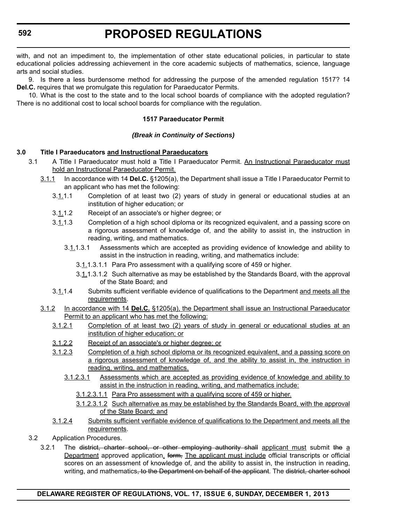with, and not an impediment to, the implementation of other state educational policies, in particular to state educational policies addressing achievement in the core academic subjects of mathematics, science, language arts and social studies.

9. Is there a less burdensome method for addressing the purpose of the amended regulation 1517? 14 **Del.C.** requires that we promulgate this regulation for Paraeducator Permits.

10. What is the cost to the state and to the local school boards of compliance with the adopted regulation? There is no additional cost to local school boards for compliance with the regulation.

#### **1517 Paraeducator Permit**

#### *(Break in Continuity of Sections)*

#### **3.0 Title I Paraeducators and Instructional Paraeducators**

- 3.1 A Title I Paraeducator must hold a Title I Paraeducator Permit. An Instructional Paraeducator must hold an Instructional Paraeducator Permit.
	- 3.1.1 In accordance with 14 **Del.C.** §1205(a), the Department shall issue a Title I Paraeducator Permit to an applicant who has met the following:
		- $3.1.1.1$  Completion of at least two (2) years of study in general or educational studies at an institution of higher education; or
		- 3.1.1.2 Receipt of an associate's or higher degree; or
		- 3.1.1.3 Completion of a high school diploma or its recognized equivalent, and a passing score on a rigorous assessment of knowledge of, and the ability to assist in, the instruction in reading, writing, and mathematics.
			- 3.1.1.3.1 Assessments which are accepted as providing evidence of knowledge and ability to assist in the instruction in reading, writing, and mathematics include:
				- 3.1.1.3.1.1 Para Pro assessment with a qualifying score of 459 or higher.
				- 3.1.1.3.1.2 Such alternative as may be established by the Standards Board, with the approval of the State Board; and
		- 3.1.1.4 Submits sufficient verifiable evidence of qualifications to the Department and meets all the requirements.
	- 3.1.2 In accordance with 14 **Del.C.** §1205(a), the Department shall issue an Instructional Paraeducator Permit to an applicant who has met the following:
		- 3.1.2.1 Completion of at least two (2) years of study in general or educational studies at an institution of higher education; or
		- 3.1.2.2 Receipt of an associate's or higher degree; or
		- 3.1.2.3 Completion of a high school diploma or its recognized equivalent, and a passing score on a rigorous assessment of knowledge of, and the ability to assist in, the instruction in reading, writing, and mathematics.
			- 3.1.2.3.1 Assessments which are accepted as providing evidence of knowledge and ability to assist in the instruction in reading, writing, and mathematics include:
				- 3.1.2.3.1.1 Para Pro assessment with a qualifying score of 459 or higher.
				- 3.1.2.3.1.2 Such alternative as may be established by the Standards Board, with the approval of the State Board; and
		- 3.1.2.4 Submits sufficient verifiable evidence of qualifications to the Department and meets all the requirements.
- 3.2 Application Procedures.
	- 3.2.1 The district, charter school, or other employing authority shall applicant must submit the a Department approved application. form, The applicant must include official transcripts or official scores on an assessment of knowledge of, and the ability to assist in, the instruction in reading, writing, and mathematics, to the Department on behalf of the applicant. The district, charter school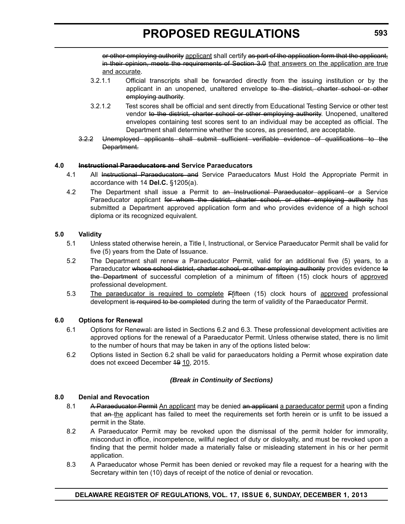or other employing authority applicant shall certify as part of the application form that the applicant. in their opinion, meets the requirements of Section 3.0 that answers on the application are true and accurate.

- 3.2.1.1 Official transcripts shall be forwarded directly from the issuing institution or by the applicant in an unopened, unaltered envelope to the district, charter school or other employing authority.
- 3.2.1.2 Test scores shall be official and sent directly from Educational Testing Service or other test vendor to the district, charter school or other employing authority. Unopened, unaltered envelopes containing test scores sent to an individual may be accepted as official. The Department shall determine whether the scores, as presented, are acceptable.
- 3.2.2 Unemployed applicants shall submit sufficient verifiable evidence of qualifications to the Department.

#### **4.0 Instructional Paraeducators and Service Paraeducators**

- 4.1 All Instructional Paraeducators and Service Paraeducators Must Hold the Appropriate Permit in accordance with 14 **Del.C.** §1205(a).
- 4.2 The Department shall issue a Permit to an Instructional Paraeducator applicant or a Service Paraeducator applicant for whom the district, charter school, or other employing authority has submitted a Department approved application form and who provides evidence of a high school diploma or its recognized equivalent.

#### **5.0 Validity**

- 5.1 Unless stated otherwise herein, a Title I, Instructional, or Service Paraeducator Permit shall be valid for five (5) years from the Date of Issuance.
- 5.2 The Department shall renew a Paraeducator Permit, valid for an additional five (5) years, to a Paraeducator whose school district, charter school, or other employing authority provides evidence to the Department of successful completion of a minimum of fifteen (15) clock hours of approved professional development.
- 5.3 The paraeducator is required to complete Ffifteen (15) clock hours of approved professional development is required to be completed during the term of validity of the Paraeducator Permit.

#### **6.0 Options for Renewal**

- 6.1 Options for Renewal: are listed in Sections 6.2 and 6.3. These professional development activities are approved options for the renewal of a Paraeducator Permit. Unless otherwise stated, there is no limit to the number of hours that may be taken in any of the options listed below:
- 6.2 Options listed in Section 6.2 shall be valid for paraeducators holding a Permit whose expiration date does not exceed December 49 10, 2015.

#### *(Break in Continuity of Sections)*

#### **8.0 Denial and Revocation**

- 8.1 A Paraeducator Permit An applicant may be denied an applicant a paraeducator permit upon a finding that an-the applicant has failed to meet the requirements set forth herein or is unfit to be issued a permit in the State.
- 8.2 A Paraeducator Permit may be revoked upon the dismissal of the permit holder for immorality, misconduct in office, incompetence, willful neglect of duty or disloyalty, and must be revoked upon a finding that the permit holder made a materially false or misleading statement in his or her permit application.
- 8.3 A Paraeducator whose Permit has been denied or revoked may file a request for a hearing with the Secretary within ten (10) days of receipt of the notice of denial or revocation.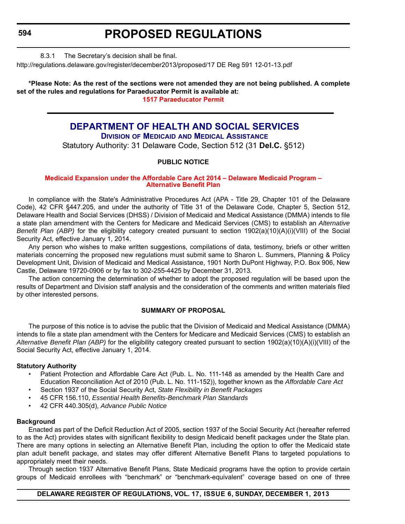# **PROPOSED REGULATIONS**

#### 8.3.1 The Secretary's decision shall be final.

<span id="page-21-0"></span>http://regulations.delaware.gov/register/december2013/proposed/17 DE Reg 591 12-01-13.pdf

#### **\*Please Note: As the rest of the sections were not amended they are not being published. A complete set of the rules and regulations for Paraeducator Permit is available at: [1517 Paraeducator Permit](http://regulations.delaware.gov/register/december2013/proposed/17 DE Reg 591 12-01-13.pdf)**

### **[DEPARTMENT OF HEALTH AND SOCIAL SERVICES](http://www.dhss.delaware.gov/dhss/dmma/) DIVISION OF MEDICAID AND MEDICAL ASSISTANCE**

Statutory Authority: 31 Delaware Code, Section 512 (31 **Del.C.** §512)

### **PUBLIC NOTICE**

#### **[Medicaid Expansion under the Affordable Care Act](#page-3-0) 2014 – Delaware Medicaid Program – Alternative Benefit Plan**

In compliance with the State's Administrative Procedures Act (APA - Title 29, Chapter 101 of the Delaware Code), 42 CFR §447.205, and under the authority of Title 31 of the Delaware Code, Chapter 5, Section 512, Delaware Health and Social Services (DHSS) / Division of Medicaid and Medical Assistance (DMMA) intends to file a state plan amendment with the Centers for Medicare and Medicaid Services (CMS) to establish an *Alternative Benefit Plan (ABP)* for the eligibility category created pursuant to section 1902(a)(10)(A)(i)(VIII) of the Social Security Act, effective January 1, 2014.

Any person who wishes to make written suggestions, compilations of data, testimony, briefs or other written materials concerning the proposed new regulations must submit same to Sharon L. Summers, Planning & Policy Development Unit, Division of Medicaid and Medical Assistance, 1901 North DuPont Highway, P.O. Box 906, New Castle, Delaware 19720-0906 or by fax to 302-255-4425 by December 31, 2013.

The action concerning the determination of whether to adopt the proposed regulation will be based upon the results of Department and Division staff analysis and the consideration of the comments and written materials filed by other interested persons.

#### **SUMMARY OF PROPOSAL**

The purpose of this notice is to advise the public that the Division of Medicaid and Medical Assistance (DMMA) intends to file a state plan amendment with the Centers for Medicare and Medicaid Services (CMS) to establish an *Alternative Benefit Plan (ABP)* for the eligibility category created pursuant to section 1902(a)(10)(A)(i)(VIII) of the Social Security Act, effective January 1, 2014.

#### **Statutory Authority**

- Patient Protection and Affordable Care Act (Pub. L. No. 111-148 as amended by the Health Care and Education Reconciliation Act of 2010 (Pub. L. No. 111-152)), together known as the *Affordable Care Act*
- Section 1937 of the Social Security Act, *State Flexibility in Benefit Packages*
- 45 CFR 156.110, *Essential Health Benefits-Benchmark Plan Standards*
- 42 CFR 440.305(d), *Advance Public Notice*

#### **Background**

Enacted as part of the Deficit Reduction Act of 2005, section 1937 of the Social Security Act (hereafter referred to as the Act) provides states with significant flexibility to design Medicaid benefit packages under the State plan. There are many options in selecting an Alternative Benefit Plan, including the option to offer the Medicaid state plan adult benefit package, and states may offer different Alternative Benefit Plans to targeted populations to appropriately meet their needs.

Through section 1937 Alternative Benefit Plans, State Medicaid programs have the option to provide certain groups of Medicaid enrollees with "benchmark" or "benchmark-equivalent" coverage based on one of three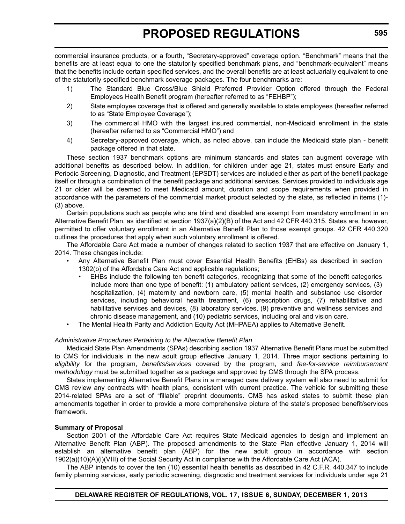commercial insurance products, or a fourth, "Secretary-approved" coverage option. "Benchmark" means that the benefits are at least equal to one the statutorily specified benchmark plans, and "benchmark-equivalent" means that the benefits include certain specified services, and the overall benefits are at least actuarially equivalent to one of the statutorily specified benchmark coverage packages. The four benchmarks are:

- 1) The Standard Blue Cross/Blue Shield Preferred Provider Option offered through the Federal Employees Health Benefit program (hereafter referred to as "FEHBP");
- 2) State employee coverage that is offered and generally available to state employees (hereafter referred to as "State Employee Coverage");
- 3) The commercial HMO with the largest insured commercial, non-Medicaid enrollment in the state (hereafter referred to as "Commercial HMO") and
- 4) Secretary-approved coverage, which, as noted above, can include the Medicaid state plan benefit package offered in that state.

These section 1937 benchmark options are minimum standards and states can augment coverage with additional benefits as described below. In addition, for children under age 21, states must ensure Early and Periodic Screening, Diagnostic, and Treatment (EPSDT) services are included either as part of the benefit package itself or through a combination of the benefit package and additional services. Services provided to individuals age 21 or older will be deemed to meet Medicaid amount, duration and scope requirements when provided in accordance with the parameters of the commercial market product selected by the state, as reflected in items (1)- (3) above.

Certain populations such as people who are blind and disabled are exempt from mandatory enrollment in an Alternative Benefit Plan, as identified at section 1937(a)(2)(B) of the Act and 42 CFR 440.315. States are, however, permitted to offer voluntary enrollment in an Alternative Benefit Plan to those exempt groups. 42 CFR 440.320 outlines the procedures that apply when such voluntary enrollment is offered.

The Affordable Care Act made a number of changes related to section 1937 that are effective on January 1, 2014. These changes include:

- Any Alternative Benefit Plan must cover Essential Health Benefits (EHBs) as described in section 1302(b) of the Affordable Care Act and applicable regulations;
	- EHBs include the following ten benefit categories, recognizing that some of the benefit categories include more than one type of benefit: (1) ambulatory patient services, (2) emergency services, (3) hospitalization, (4) maternity and newborn care, (5) mental health and substance use disorder services, including behavioral health treatment, (6) prescription drugs, (7) rehabilitative and habilitative services and devices, (8) laboratory services, (9) preventive and wellness services and chronic disease management, and (10) pediatric services, including oral and vision care.
- The Mental Health Parity and Addiction Equity Act (MHPAEA) applies to Alternative Benefit.

#### *Administrative Procedures Pertaining to the Alternative Benefit Plan*

Medicaid State Plan Amendments (SPAs) describing section 1937 Alternative Benefit Plans must be submitted to CMS for individuals in the new adult group effective January 1, 2014. Three major sections pertaining to e*ligibility* for the program, *benefits/services* covered by the program, and *fee-for-service reimbursement methodology* must be submitted together as a package and approved by CMS through the SPA process.

States implementing Alternative Benefit Plans in a managed care delivery system will also need to submit for CMS review any contracts with health plans, consistent with current practice. The vehicle for submitting these 2014-related SPAs are a set of "fillable" preprint documents. CMS has asked states to submit these plan amendments together in order to provide a more comprehensive picture of the state's proposed benefit/services framework.

#### **Summary of Proposal**

Section 2001 of the Affordable Care Act requires State Medicaid agencies to design and implement an Alternative Benefit Plan (ABP). The proposed amendments to the State Plan effective January 1, 2014 will establish an alternative benefit plan (ABP) for the new adult group in accordance with section 1902(a)(10)(A)(i)(VIII) of the Social Security Act in compliance with the Affordable Care Act (ACA).

The ABP intends to cover the ten (10) essential health benefits as described in 42 C.F.R. 440.347 to include family planning services, early periodic screening, diagnostic and treatment services for individuals under age 21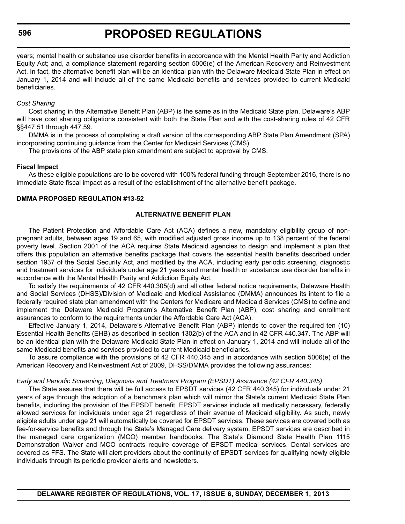# **PROPOSED REGULATIONS**

years; mental health or substance use disorder benefits in accordance with the Mental Health Parity and Addiction Equity Act; and, a compliance statement regarding section 5006(e) of the American Recovery and Reinvestment Act. In fact, the alternative benefit plan will be an identical plan with the Delaware Medicaid State Plan in effect on January 1, 2014 and will include all of the same Medicaid benefits and services provided to current Medicaid beneficiaries.

#### *Cost Sharing*

Cost sharing in the Alternative Benefit Plan (ABP) is the same as in the Medicaid State plan. Delaware's ABP will have cost sharing obligations consistent with both the State Plan and with the cost-sharing rules of 42 CFR §§447.51 through 447.59.

DMMA is in the process of completing a draft version of the corresponding ABP State Plan Amendment (SPA) incorporating continuing guidance from the Center for Medicaid Services (CMS).

The provisions of the ABP state plan amendment are subject to approval by CMS.

#### **Fiscal Impact**

As these eligible populations are to be covered with 100% federal funding through September 2016, there is no immediate State fiscal impact as a result of the establishment of the alternative benefit package.

#### **DMMA PROPOSED REGULATION #13-52**

#### **ALTERNATIVE BENEFIT PLAN**

The Patient Protection and Affordable Care Act (ACA) defines a new, mandatory eligibility group of nonpregnant adults, between ages 19 and 65, with modified adjusted gross income up to 138 percent of the federal poverty level. Section 2001 of the ACA requires State Medicaid agencies to design and implement a plan that offers this population an alternative benefits package that covers the essential health benefits described under section 1937 of the Social Security Act, and modified by the ACA, including early periodic screening, diagnostic and treatment services for individuals under age 21 years and mental health or substance use disorder benefits in accordance with the Mental Health Parity and Addiction Equity Act.

To satisfy the requirements of 42 CFR 440.305(d) and all other federal notice requirements, Delaware Health and Social Services (DHSS)/Division of Medicaid and Medical Assistance (DMMA) announces its intent to file a federally required state plan amendment with the Centers for Medicare and Medicaid Services (CMS) to define and implement the Delaware Medicaid Program's Alternative Benefit Plan (ABP), cost sharing and enrollment assurances to conform to the requirements under the Affordable Care Act (ACA).

Effective January 1, 2014, Delaware's Alternative Benefit Plan (ABP) intends to cover the required ten (10) Essential Health Benefits (EHB) as described in section 1302(b) of the ACA and in 42 CFR 440.347. The ABP will be an identical plan with the Delaware Medicaid State Plan in effect on January 1, 2014 and will include all of the same Medicaid benefits and services provided to current Medicaid beneficiaries.

To assure compliance with the provisions of 42 CFR 440.345 and in accordance with section 5006(e) of the American Recovery and Reinvestment Act of 2009, DHSS/DMMA provides the following assurances:

#### *Early and Periodic Screening, Diagnosis and Treatment Program (EPSDT) Assurance (42 CFR 440.345)*

The State assures that there will be full access to EPSDT services (42 CFR 440.345) for individuals under 21 years of age through the adoption of a benchmark plan which will mirror the State's current Medicaid State Plan benefits, including the provision of the EPSDT benefit. EPSDT services include all medically necessary, federally allowed services for individuals under age 21 regardless of their avenue of Medicaid eligibility. As such, newly eligible adults under age 21 will automatically be covered for EPSDT services. These services are covered both as fee-for-service benefits and through the State's Managed Care delivery system. EPSDT services are described in the managed care organization (MCO) member handbooks. The State's Diamond State Health Plan 1115 Demonstration Waiver and MCO contracts require coverage of EPSDT medical services. Dental services are covered as FFS. The State will alert providers about the continuity of EPSDT services for qualifying newly eligible individuals through its periodic provider alerts and newsletters.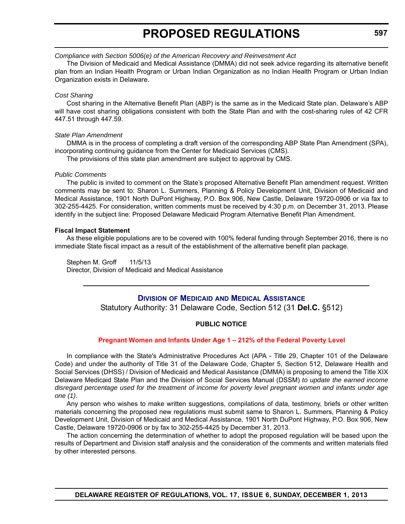#### <span id="page-24-0"></span>*Compliance with Section 5006(e) of the American Recovery and Reinvestment Act*

The Division of Medicaid and Medical Assistance (DMMA) did not seek advice regarding its alternative benefit plan from an Indian Health Program or Urban Indian Organization as no Indian Health Program or Urban Indian Organization exists in Delaware.

#### *Cost Sharing*

Cost sharing in the Alternative Benefit Plan (ABP) is the same as in the Medicaid State plan. Delaware's ABP will have cost sharing obligations consistent with both the State Plan and with the cost-sharing rules of 42 CFR 447.51 through 447.59.

#### *State Plan Amendment*

DMMA is in the process of completing a draft version of the corresponding ABP State Plan Amendment (SPA), incorporating continuing guidance from the Center for Medicaid Services (CMS).

The provisions of this state plan amendment are subject to approval by CMS.

#### *Public Comments*

The public is invited to comment on the State's proposed Alternative Benefit Plan amendment request. Written comments may be sent to: Sharon L. Summers, Planning & Policy Development Unit, Division of Medicaid and Medical Assistance, 1901 North DuPont Highway, P.O. Box 906, New Castle, Delaware 19720-0906 or via fax to 302-255-4425. For consideration, written comments must be received by 4:30 p.m. on December 31, 2013. Please identify in the subject line: Proposed Delaware Medicaid Program Alternative Benefit Plan Amendment.

#### **Fiscal Impact Statement**

As these eligible populations are to be covered with 100% federal funding through September 2016, there is no immediate State fiscal impact as a result of the establishment of the alternative benefit plan package.

#### Stephen M. Groff 11/5/13 Director, Division of Medicaid and Medical Assistance

#### **DIVISION OF MEDICAID AND MEDICAL A[SSISTANCE](http://www.dhss.delaware.gov/dhss/dmma/)**

Statutory Authority: 31 Delaware Code, Section 512 (31 **Del.C.** §512)

#### **PUBLIC NOTICE**

#### **Pregnant Women and Infants Under Age 1 – 212% of the [Federal Poverty Level](#page-3-0)**

In compliance with the State's Administrative Procedures Act (APA - Title 29, Chapter 101 of the Delaware Code) and under the authority of Title 31 of the Delaware Code, Chapter 5, Section 512, Delaware Health and Social Services (DHSS) / Division of Medicaid and Medical Assistance (DMMA) is proposing to amend the Title XIX Delaware Medicaid State Plan and the Division of Social Services Manual (DSSM) *to update the earned income disregard percentage used for the treatment of income for poverty level pregnant women and infants under age one (1)*.

Any person who wishes to make written suggestions, compilations of data, testimony, briefs or other written materials concerning the proposed new regulations must submit same to Sharon L. Summers, Planning & Policy Development Unit, Division of Medicaid and Medical Assistance, 1901 North DuPont Highway, P.O. Box 906, New Castle, Delaware 19720-0906 or by fax to 302-255-4425 by December 31, 2013.

The action concerning the determination of whether to adopt the proposed regulation will be based upon the results of Department and Division staff analysis and the consideration of the comments and written materials filed by other interested persons.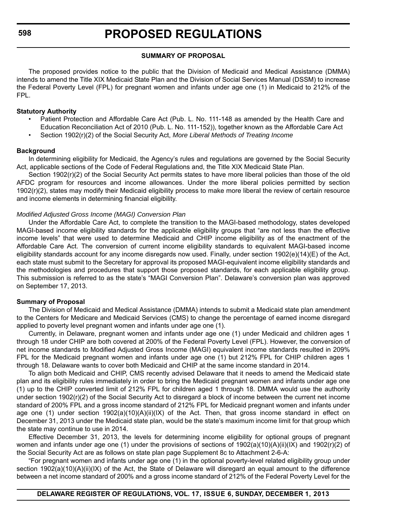#### **SUMMARY OF PROPOSAL**

The proposed provides notice to the public that the Division of Medicaid and Medical Assistance (DMMA) intends to amend the Title XIX Medicaid State Plan and the Division of Social Services Manual (DSSM) to increase the Federal Poverty Level (FPL) for pregnant women and infants under age one (1) in Medicaid to 212% of the FPL.

#### **Statutory Authority**

- Patient Protection and Affordable Care Act (Pub. L. No. 111-148 as amended by the Health Care and Education Reconciliation Act of 2010 (Pub. L. No. 111-152)), together known as the Affordable Care Act
- Section 1902(r)(2) of the Social Security Act, *More Liberal Methods of Treating Income*

#### **Background**

In determining eligibility for Medicaid, the Agency's rules and regulations are governed by the Social Security Act, applicable sections of the Code of Federal Regulations and, the Title XIX Medicaid State Plan.

Section 1902(r)(2) of the Social Security Act permits states to have more liberal policies than those of the old AFDC program for resources and income allowances. Under the more liberal policies permitted by section 1902(r)(2), states may modify their Medicaid eligibility process to make more liberal the review of certain resource and income elements in determining financial eligibility.

#### *Modified Adjusted Gross Income (MAGI) Conversion Plan*

Under the Affordable Care Act, to complete the transition to the MAGI-based methodology, states developed MAGI-based income eligibility standards for the applicable eligibility groups that "are not less than the effective income levels" that were used to determine Medicaid and CHIP income eligibility as of the enactment of the Affordable Care Act. The conversion of current income eligibility standards to equivalent MAGI-based income eligibility standards account for any income disregards now used. Finally, under section 1902(e)(14)(E) of the Act, each state must submit to the Secretary for approval its proposed MAGI-equivalent income eligibility standards and the methodologies and procedures that support those proposed standards, for each applicable eligibility group. This submission is referred to as the state's "MAGI Conversion Plan". Delaware's conversion plan was approved on September 17, 2013.

#### **Summary of Proposal**

The Division of Medicaid and Medical Assistance (DMMA) intends to submit a Medicaid state plan amendment to the Centers for Medicare and Medicaid Services (CMS) to change the percentage of earned income disregard applied to poverty level pregnant women and infants under age one (1).

Currently, in Delaware, pregnant women and infants under age one (1) under Medicaid and children ages 1 through 18 under CHIP are both covered at 200% of the Federal Poverty Level (FPL). However, the conversion of net income standards to Modified Adjusted Gross Income (MAGI) equivalent income standards resulted in 209% FPL for the Medicaid pregnant women and infants under age one (1) but 212% FPL for CHIP children ages 1 through 18. Delaware wants to cover both Medicaid and CHIP at the same income standard in 2014.

To align both Medicaid and CHIP, CMS recently advised Delaware that it needs to amend the Medicaid state plan and its eligibility rules immediately in order to bring the Medicaid pregnant women and infants under age one (1) up to the CHIP converted limit of 212% FPL for children aged 1 through 18. DMMA would use the authority under section 1902(r)(2) of the Social Security Act to disregard a block of income between the current net income standard of 200% FPL and a gross income standard of 212% FPL for Medicaid pregnant women and infants under age one (1) under section 1902(a)(10)(A)(ii)(IX) of the Act. Then, that gross income standard in effect on December 31, 2013 under the Medicaid state plan, would be the state's maximum income limit for that group which the state may continue to use in 2014.

Effective December 31, 2013, the levels for determining income eligibility for optional groups of pregnant women and infants under age one (1) under the provisions of sections of 1902(a)(10)(A)(ii)(IX) and 1902(r)(2) of the Social Security Act are as follows on state plan page Supplement 8c to Attachment 2-6-A:

"For pregnant women and infants under age one (1) in the optional poverty-level related eligibility group under section 1902(a)(10)(A)(ii)(IX) of the Act, the State of Delaware will disregard an equal amount to the difference between a net income standard of 200% and a gross income standard of 212% of the Federal Poverty Level for the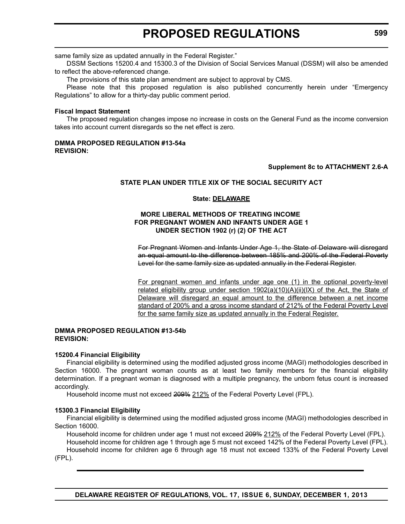same family size as updated annually in the Federal Register."

DSSM Sections 15200.4 and 15300.3 of the Division of Social Services Manual (DSSM) will also be amended to reflect the above-referenced change.

The provisions of this state plan amendment are subject to approval by CMS.

Please note that this proposed regulation is also published concurrently herein under "Emergency Regulations" to allow for a thirty-day public comment period.

#### **Fiscal Impact Statement**

The proposed regulation changes impose no increase in costs on the General Fund as the income conversion takes into account current disregards so the net effect is zero.

#### **DMMA PROPOSED REGULATION #13-54a REVISION:**

#### **Supplement 8c to ATTACHMENT 2.6-A**

#### **STATE PLAN UNDER TITLE XIX OF THE SOCIAL SECURITY ACT**

#### **State: DELAWARE**

#### **MORE LIBERAL METHODS OF TREATING INCOME FOR PREGNANT WOMEN AND INFANTS UNDER AGE 1 UNDER SECTION 1902 (r) (2) OF THE ACT**

For Pregnant Women and Infants Under Age 1, the State of Delaware will disregard an equal amount to the difference between 185% and 200% of the Federal Poverty Level for the same family size as updated annually in the Federal Register.

For pregnant women and infants under age one (1) in the optional poverty-level related eligibility group under section  $1902(a)(10)(A)(ii)(IX)$  of the Act, the State of Delaware will disregard an equal amount to the difference between a net income standard of 200% and a gross income standard of 212% of the Federal Poverty Level for the same family size as updated annually in the Federal Register.

#### **DMMA PROPOSED REGULATION #13-54b REVISION:**

#### **15200.4 Financial Eligibility**

Financial eligibility is determined using the modified adjusted gross income (MAGI) methodologies described in Section 16000. The pregnant woman counts as at least two family members for the financial eligibility determination. If a pregnant woman is diagnosed with a multiple pregnancy, the unborn fetus count is increased accordingly.

Household income must not exceed 200% 212% of the Federal Poverty Level (FPL).

#### **15300.3 Financial Eligibility**

Financial eligibility is determined using the modified adjusted gross income (MAGI) methodologies described in Section 16000.

Household income for children under age 1 must not exceed 200% 212% of the Federal Poverty Level (FPL). Household income for children age 1 through age 5 must not exceed 142% of the Federal Poverty Level (FPL).

Household income for children age 6 through age 18 must not exceed 133% of the Federal Poverty Level (FPL).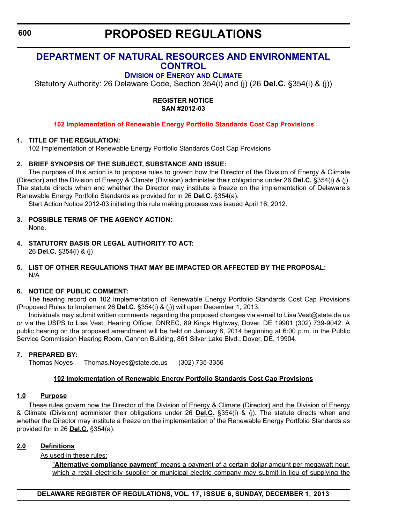# <span id="page-27-0"></span>**[DEPARTMENT OF NATURAL RESOURCES AND ENVIRONMENTAL](http://www.dnrec.delaware.gov/energy/Pages/default.aspx)  CONTROL**

**DIVISION OF ENERGY AND CLIMATE**

Statutory Authority: 26 Delaware Code, Section 354(i) and (j) (26 **Del.C.** §354(i) & (j))

#### **REGISTER NOTICE SAN #2012-03**

#### **102 [Implementation of Renewable Energy](#page-3-0) Portfolio Standards Cost Cap Provisions**

#### **1. TITLE OF THE REGULATION:**

102 Implementation of Renewable Energy Portfolio Standards Cost Cap Provisions

#### **2. BRIEF SYNOPSIS OF THE SUBJECT, SUBSTANCE AND ISSUE:**

The purpose of this action is to propose rules to govern how the Director of the Division of Energy & Climate (Director) and the Division of Energy & Climate (Division) administer their obligations under 26 **Del.C.** §354(i) & (j). The statute directs when and whether the Director may institute a freeze on the implementation of Delaware's Renewable Energy Portfolio Standards as provided for in 26 **Del.C.** §354(a).

Start Action Notice 2012-03 initiating this rule making process was issued April 16, 2012.

- **3. POSSIBLE TERMS OF THE AGENCY ACTION:** None.
- **4. STATUTORY BASIS OR LEGAL AUTHORITY TO ACT:** 26 **Del.C.** §354(i) & (j)

#### **5. LIST OF OTHER REGULATIONS THAT MAY BE IMPACTED OR AFFECTED BY THE PROPOSAL:** N/A

#### **6. NOTICE OF PUBLIC COMMENT:**

The hearing record on 102 Implementation of Renewable Energy Portfolio Standards Cost Cap Provisions (Proposed Rules to Implement 26 **Del.C.** §354(i) & (j)) will open December 1, 2013.

Individuals may submit written comments regarding the proposed changes via e-mail to Lisa.Vest@state.de.us or via the USPS to Lisa Vest, Hearing Officer, DNREC, 89 Kings Highway, Dover, DE 19901 (302) 739-9042. A public hearing on the proposed amendment will be held on January 8, 2014 beginning at 6:00 p.m. in the Public Service Commission Hearing Room, Cannon Building, 861 Silver Lake Blvd., Dover, DE, 19904.

#### **7. PREPARED BY:**

Thomas Noyes Thomas.Noyes@state.de.us (302) 735-3356

#### **102 Implementation of Renewable Energy Portfolio Standards Cost Cap Provisions**

#### **1.0 Purpose**

These rules govern how the Director of the Division of Energy & Climate (Director) and the Division of Energy & Climate (Division) administer their obligations under 26 **Del.C.** §354(i) & (j). The statute directs when and whether the Director may institute a freeze on the implementation of the Renewable Energy Portfolio Standards as provided for in 26 **Del.C.** §354(a).

#### **2.0 Definitions**

As used in these rules:

"**Alternative compliance payment**" means a payment of a certain dollar amount per megawatt hour, which a retail electricity supplier or municipal electric company may submit in lieu of supplying the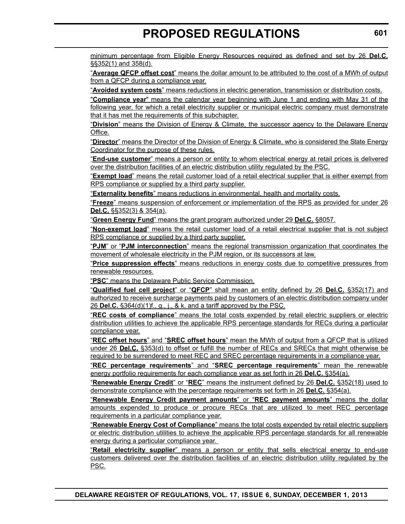minimum percentage from Eligible Energy Resources required as defined and set by 26 **Del.C.** §§352(1) and 358(d).

"**Average QFCP offset cost**" means the dollar amount to be attributed to the cost of a MWh of output from a QFCP during a compliance year.

"**Avoided system costs**" means reductions in electric generation, transmission or distribution costs.

"**Compliance year**" means the calendar year beginning with June 1 and ending with May 31 of the following year, for which a retail electricity supplier or municipal electric company must demonstrate that it has met the requirements of this subchapter.

"**Division**" means the Division of Energy & Climate, the successor agency to the Delaware Energy Office.

"**Director**" means the Director of the Division of Energy & Climate, who is considered the State Energy Coordinator for the purpose of these rules.

"**End-use customer**" means a person or entity to whom electrical energy at retail prices is delivered over the distribution facilities of an electric distribution utility regulated by the PSC.

"**Exempt load**" means the retail customer load of a retail electrical supplier that is either exempt from RPS compliance or supplied by a third party supplier.

"**Externality benefits**" means reductions in environmental, health and mortality costs.

"**Freeze**" means suspension of enforcement or implementation of the RPS as provided for under 26 **Del.C.** §§352(3) & 354(a).

"**Green Energy Fund**" means the grant program authorized under 29 **Del.C.** §8057.

"**Non-exempt load**" means the retail customer load of a retail electrical supplier that is not subject RPS compliance or supplied by a third party supplier.

"**PJM**" or "**PJM interconnection**" means the regional transmission organization that coordinates the movement of wholesale electricity in the PJM region, or its successors at law.

"**Price suppression effects**" means reductions in energy costs due to competitive pressures from renewable resources.

"**PSC**" means the Delaware Public Service Commission.

"**Qualified fuel cell project**" or "**QFCP**" shall mean an entity defined by 26 **Del.C.** §352(17) and authorized to receive surcharge payments paid by customers of an electric distribution company under 26 **Del.C.** §364(d)(1)f., g., j., & k. and a tariff approved by the PSC.

"**REC costs of compliance**" means the total costs expended by retail electric suppliers or electric distribution utilities to achieve the applicable RPS percentage standards for RECs during a particular compliance year.

"**REC offset hours**" and "**SREC offset hours**" mean the MWh of output from a QFCP that is utilized under 26 **Del.C.** §353(d) to offset or fulfill the number of RECs and SRECs that might otherwise be required to be surrendered to meet REC and SREC percentage requirements in a compliance year.

"**REC percentage requirements**" and "**SREC percentage requirements**" mean the renewable energy portfolio requirements for each compliance year as set forth in 26 **Del.C.** §354(a).

"**Renewable Energy Credit**" or "**REC**" means the instrument defined by 26 **Del.C.** §352(18) used to demonstrate compliance with the percentage requirements set forth in 26 **Del.C.** §354(a).

"**Renewable Energy Credit payment amounts**" or "**REC payment amounts**" means the dollar amounts expended to produce or procure RECs that are utilized to meet REC percentage requirements in a particular compliance year.

"**Renewable Energy Cost of Compliance**" means the total costs expended by retail electric suppliers or electric distribution utilities to achieve the applicable RPS percentage standards for all renewable energy during a particular compliance year.

"**Retail electricity supplier**" means a person or entity that sells electrical energy to end-use customers delivered over the distribution facilities of an electric distribution utility regulated by the PSC.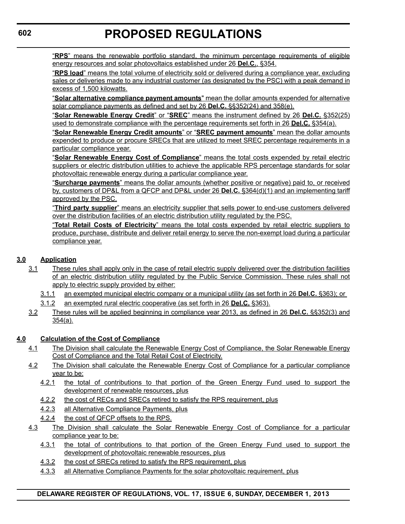"**RPS**" means the renewable portfolio standard, the minimum percentage requirements of eligible energy resources and solar photovoltaics established under 26 **Del.C.**, §354.

"**RPS load**" means the total volume of electricity sold or delivered during a compliance year, excluding sales or deliveries made to any industrial customer (as designated by the PSC) with a peak demand in excess of 1,500 kilowatts.

"**Solar alternative compliance payment amounts**" mean the dollar amounts expended for alternative solar compliance payments as defined and set by 26 **Del.C.** §§352(24) and 358(e).

"**Solar Renewable Energy Credit**" or "**SREC**" means the instrument defined by 26 **Del.C.** §352(25) used to demonstrate compliance with the percentage requirements set forth in 26 **Del.C.** §354(a).

"**Solar Renewable Energy Credit amounts**" or "**SREC payment amounts**" mean the dollar amounts expended to produce or procure SRECs that are utilized to meet SREC percentage requirements in a particular compliance year.

"**Solar Renewable Energy Cost of Compliance**" means the total costs expended by retail electric suppliers or electric distribution utilities to achieve the applicable RPS percentage standards for solar photovoltaic renewable energy during a particular compliance year.

"**Surcharge payments**" means the dollar amounts (whether positive or negative) paid to, or received by, customers of DP&L from a QFCP and DP&L under 26 **Del.C.** §364(d)(1) and an implementing tariff approved by the PSC.

"**Third party supplier**" means an electricity supplier that sells power to end-use customers delivered over the distribution facilities of an electric distribution utility regulated by the PSC.

"**Total Retail Costs of Electricity**" means the total costs expended by retail electric suppliers to produce, purchase, distribute and deliver retail energy to serve the non-exempt load during a particular compliance year.

### **3.0 Application**

- 3.1 These rules shall apply only in the case of retail electric supply delivered over the distribution facilities of an electric distribution utility regulated by the Public Service Commission. These rules shall not apply to electric supply provided by either:
	- 3.1.1 an exempted municipal electric company or a municipal utility (as set forth in 26 **Del.C.** §363); or
	- 3.1.2 an exempted rural electric cooperative (as set forth in 26 **Del.C.** §363).
- 3.2 These rules will be applied beginning in compliance year 2013, as defined in 26 **Del.C.** §§352(3) and 354(a).

#### **4.0 Calculation of the Cost of Compliance**

- 4.1 The Division shall calculate the Renewable Energy Cost of Compliance, the Solar Renewable Energy Cost of Compliance and the Total Retail Cost of Electricity.
- 4.2 The Division shall calculate the Renewable Energy Cost of Compliance for a particular compliance year to be:
	- 4.2.1 the total of contributions to that portion of the Green Energy Fund used to support the development of renewable resources, plus
	- 4.2.2 the cost of RECs and SRECs retired to satisfy the RPS requirement, plus
	- 4.2.3 all Alternative Compliance Payments, plus
	- 4.2.4 the cost of QFCP offsets to the RPS.
- 4.3 The Division shall calculate the Solar Renewable Energy Cost of Compliance for a particular compliance year to be:
	- 4.3.1 the total of contributions to that portion of the Green Energy Fund used to support the development of photovoltaic renewable resources, plus
	- 4.3.2 the cost of SRECs retired to satisfy the RPS requirement, plus
	- 4.3.3 all Alternative Compliance Payments for the solar photovoltaic requirement, plus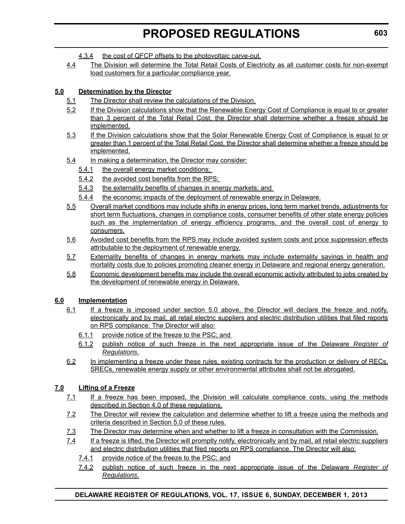- 4.3.4 the cost of QFCP offsets to the photovoltaic carve-out.
- 4.4 The Division will determine the Total Retail Costs of Electricity as all customer costs for non-exempt load customers for a particular compliance year.

### **5.0 Determination by the Director**

- 5.1 The Director shall review the calculations of the Division.
- 5.2 If the Division calculations show that the Renewable Energy Cost of Compliance is equal to or greater than 3 percent of the Total Retail Cost, the Director shall determine whether a freeze should be implemented.
- 5.3 If the Division calculations show that the Solar Renewable Energy Cost of Compliance is equal to or greater than 1 percent of the Total Retail Cost, the Director shall determine whether a freeze should be implemented.
- 5.4 In making a determination, the Director may consider:
	- 5.4.1 the overall energy market conditions;
	- 5.4.2 the avoided cost benefits from the RPS;
	- 5.4.3 the externality benefits of changes in energy markets; and
	- 5.4.4 the economic impacts of the deployment of renewable energy in Delaware.
- 5.5 Overall market conditions may include shifts in energy prices, long term market trends, adjustments for short term fluctuations, changes in compliance costs, consumer benefits of other state energy policies such as the implementation of energy efficiency programs, and the overall cost of energy to consumers.
- 5.6 Avoided cost benefits from the RPS may include avoided system costs and price suppression effects attributable to the deployment of renewable energy.
- 5.7 Externality benefits of changes in energy markets may include externality savings in health and mortality costs due to policies promoting cleaner energy in Delaware and regional energy generation.
- 5.8 Economic development benefits may include the overall economic activity attributed to jobs created by the development of renewable energy in Delaware.

### **6.0 Implementation**

- 6.1 If a freeze is imposed under section 5.0 above, the Director will declare the freeze and notify, electronically and by mail, all retail electric suppliers and electric distribution utilities that filed reports on RPS compliance. The Director will also:
	- 6.1.1 provide notice of the freeze to the PSC; and
	- 6.1.2 publish notice of such freeze in the next appropriate issue of the Delaware *Register of Regulations*.
- 6.2 In implementing a freeze under these rules, existing contracts for the production or delivery of RECs, SRECs, renewable energy supply or other environmental attributes shall not be abrogated.

### **7.0 Lifting of a Freeze**

- 7.1 If a freeze has been imposed, the Division will calculate compliance costs, using the methods described in Section 4.0 of these regulations.
- 7.2 The Director will review the calculation and determine whether to lift a freeze using the methods and criteria described in Section 5.0 of these rules.
- 7.3 The Director may determine when and whether to lift a freeze in consultation with the Commission.
- 7.4 If a freeze is lifted, the Director will promptly notify, electronically and by mail, all retail electric suppliers and electric distribution utilities that filed reports on RPS compliance. The Director will also:
	- 7.4.1 provide notice of the freeze to the PSC; and
	- 7.4.2 publish notice of such freeze in the next appropriate issue of the Delaware *Register of Regulations*.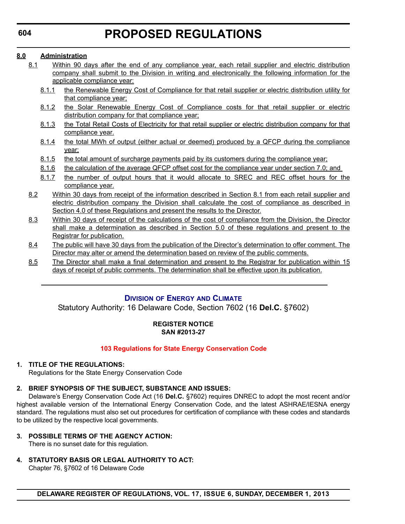#### <span id="page-31-0"></span>**8.0 Administration**

- 8.1 Within 90 days after the end of any compliance year, each retail supplier and electric distribution company shall submit to the Division in writing and electronically the following information for the applicable compliance year:
	- 8.1.1 the Renewable Energy Cost of Compliance for that retail supplier or electric distribution utility for that compliance year;
	- 8.1.2 the Solar Renewable Energy Cost of Compliance costs for that retail supplier or electric distribution company for that compliance year;
	- 8.1.3 the Total Retail Costs of Electricity for that retail supplier or electric distribution company for that compliance year.
	- 8.1.4 the total MWh of output (either actual or deemed) produced by a QFCP during the compliance year;
	- 8.1.5 the total amount of surcharge payments paid by its customers during the compliance year;
	- 8.1.6 the calculation of the average QFCP offset cost for the compliance year under section 7.0; and
	- 8.1.7 the number of output hours that it would allocate to SREC and REC offset hours for the compliance year.
- 8.2 Within 30 days from receipt of the information described in Section 8.1 from each retail supplier and electric distribution company the Division shall calculate the cost of compliance as described in Section 4.0 of these Regulations and present the results to the Director.
- 8.3 Within 30 days of receipt of the calculations of the cost of compliance from the Division, the Director shall make a determination as described in Section 5.0 of these regulations and present to the Registrar for publication.
- 8.4 The public will have 30 days from the publication of the Director's determination to offer comment. The Director may alter or amend the determination based on review of the public comments.
- 8.5 The Director shall make a final determination and present to the Registrar for publication within 15 days of receipt of public comments. The determination shall be effective upon its publication.

### **DIVISION OF ENERGY AND C[LIMATE](http://www.dnrec.delaware.gov/energy/Pages/default.aspx)**

Statutory Authority: 16 Delaware Code, Section 7602 (16 **Del.C.** §7602)

#### **REGISTER NOTICE SAN #2013-27**

#### **103 Regulations [for State Energy Conservation](#page-3-0) Code**

### **1. TITLE OF THE REGULATIONS:**

Regulations for the State Energy Conservation Code

### **2. BRIEF SYNOPSIS OF THE SUBJECT, SUBSTANCE AND ISSUES:**

Delaware's Energy Conservation Code Act (16 **Del.C.** §7602) requires DNREC to adopt the most recent and/or highest available version of the International Energy Conservation Code, and the latest ASHRAE/IESNA energy standard. The regulations must also set out procedures for certification of compliance with these codes and standards to be utilized by the respective local governments.

#### **3. POSSIBLE TERMS OF THE AGENCY ACTION:**

There is no sunset date for this regulation.

**4. STATUTORY BASIS OR LEGAL AUTHORITY TO ACT:**

Chapter 76, §7602 of 16 Delaware Code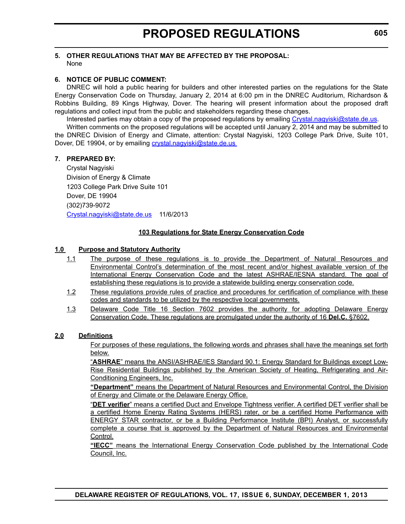#### **5. OTHER REGULATIONS THAT MAY BE AFFECTED BY THE PROPOSAL:** None

#### **6. NOTICE OF PUBLIC COMMENT:**

DNREC will hold a public hearing for builders and other interested parties on the regulations for the State Energy Conservation Code on Thursday, January 2, 2014 at 6:00 pm in the DNREC Auditorium, Richardson & Robbins Building, 89 Kings Highway, Dover. The hearing will present information about the proposed draft regulations and collect input from the public and stakeholders regarding these changes.

Interested parties may obtain a copy of the proposed regulations by emailing [Crystal.nagyiski@state.de.us](mailto:Crystal.nagyiski@state.de.us).

Written comments on the proposed regulations will be accepted until January 2, 2014 and may be submitted to the DNREC Division of Energy and Climate, attention: Crystal Nagyiski, 1203 College Park Drive, Suite 101, Dover, DE 19904, or by emailing crystal.nagyiski@state.de.us

#### **7. PREPARED BY:**

Crystal Nagyiski Division of Energy & Climate 1203 College Park Drive Suite 101 Dover, DE 19904 (302)739-9072 Crystal.nagyiski@state.de.us 11/6/2013

#### **103 Regulations for State Energy Conservation Code**

#### **1.0 Purpose and Statutory Authority**

- 1.1 The purpose of these regulations is to provide the Department of Natural Resources and Environmental Control's determination of the most recent and/or highest available version of the International Energy Conservation Code and the latest ASHRAE/IESNA standard. The goal of establishing these regulations is to provide a statewide building energy conservation code.
- 1.2 These regulations provide rules of practice and procedures for certification of compliance with these codes and standards to be utilized by the respective local governments.
- 1.3 Delaware Code Title 16 Section 7602 provides the authority for adopting Delaware Energy Conservation Code. These regulations are promulgated under the authority of 16 **Del.C.** §7602.

#### **2.0 Definitions**

For purposes of these regulations, the following words and phrases shall have the meanings set forth below.

"**ASHRAE**" means the ANSI/ASHRAE/IES Standard 90.1: Energy Standard for Buildings except Low-Rise Residential Buildings published by the American Society of Heating, Refrigerating and Air-Conditioning Engineers, Inc.

**"Department"** means the Department of Natural Resources and Environmental Control, the Division of Energy and Climate or the Delaware Energy Office.

"**DET verifier**" means a certified Duct and Envelope Tightness verifier. A certified DET verifier shall be a certified Home Energy Rating Systems (HERS) rater, or be a certified Home Performance with ENERGY STAR contractor, or be a Building Performance Institute (BPI) Analyst, or successfully complete a course that is approved by the Department of Natural Resources and Environmental Control.

**"IECC"** means the International Energy Conservation Code published by the International Code Council, Inc.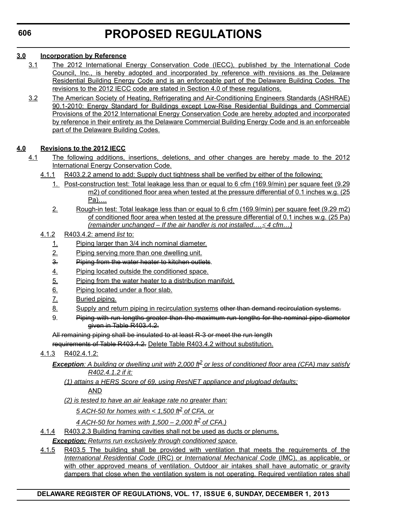### **3.0 Incorporation by Reference**

- 3.1 The 2012 International Energy Conservation Code (IECC), published by the International Code Council, Inc., is hereby adopted and incorporated by reference with revisions as the Delaware Residential Building Energy Code and is an enforceable part of the Delaware Building Codes. The revisions to the 2012 IECC code are stated in Section 4.0 of these regulations.
- 3.2 The American Society of Heating, Refrigerating and Air-Conditioning Engineers Standards (ASHRAE) 90.1-2010: Energy Standard for Buildings except Low-Rise Residential Buildings and Commercial Provisions of the 2012 International Energy Conservation Code are hereby adopted and incorporated by reference in their entirety as the Delaware Commercial Building Energy Code and is an enforceable part of the Delaware Building Codes.

### **4.0 Revisions to the 2012 IECC**

- 4.1 The following additions, insertions, deletions, and other changes are hereby made to the 2012 International Energy Conservation Code.
	- 4.1.1 R403.2.2 amend to add: Supply duct tightness shall be verified by either of the following:
		- 1. Post-construction test: Total leakage less than or equal to 6 cfm (169.9/min) per square feet (9.29 m2) of conditioned floor area when tested at the pressure differential of 0.1 inches w.g. (25) Pa)….
		- 2. Rough-in test: Total leakage less than or equal to 6 cfm (169.9/min) per square feet (9.29 m2) of conditioned floor area when tested at the pressure differential of 0.1 inches w.g. (25 Pa) *(remainder unchanged – If the air handler is not installed…. 4 cfm…)*
	- 4.1.2 R403.4.2: amend *list* to:
		- 1. Piping larger than 3/4 inch nominal diameter.
		- 2. Piping serving more than one dwelling unit.
		- 3. Piping from the water heater to kitchen outlets.
		- 4. Piping located outside the conditioned space.
		- 5. Piping from the water heater to a distribution manifold.
		- 6. Piping located under a floor slab.
		- 7. Buried piping.
		- 8. Supply and return piping in recirculation systems other than demand recirculation systems.
		- 9. Piping with run lengths greater than the maximum run lengths for the nominal pipe diameter given in Table R403.4.2.

All remaining piping shall be insulated to at least R-3 or meet the run length

requirements of Table R403.4.2. Delete Table R403.4.2 without substitution.

- 4.1.3 R402.4.1.2:
	- *Exception: A building or dwelling unit with 2,000 ft2 or less of conditioned floor area (CFA) may satisfy R402.4.1.2 if it:*
		- *(1) attains a HERS Score of 69, using ResNET appliance and plugload defaults;* AND

*(2) is tested to have an air leakage rate no greater than:*

*5 ACH-50 for homes with < 1,500 ft2 of CFA, or*

- *4 ACH-50 for homes with 1,500 2,000 ft2 of CFA.)*
- 4.1.4 R403.2.3 Building framing cavities shall not be used as ducts or plenums.

*Exception: Returns run exclusively through conditioned space.*

4.1.5 R403.5 The building shall be provided with ventilation that meets the requirements of the *International Residential Code* (IRC) or *International Mechanical Code* (IMC), as applicable, or with other approved means of ventilation. Outdoor air intakes shall have automatic or gravity dampers that close when the ventilation system is not operating. Required ventilation rates shall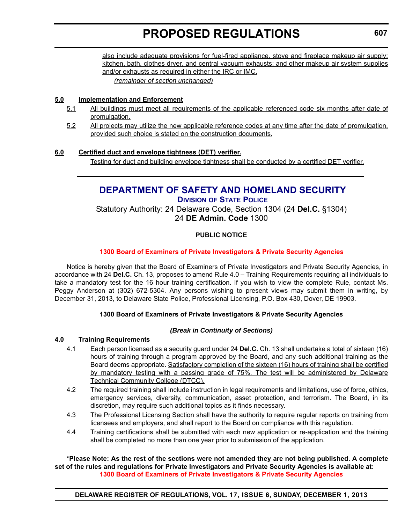<span id="page-34-0"></span>also include adequate provisions for fuel-fired appliance, stove and fireplace makeup air supply; kitchen, bath, clothes dryer, and central vacuum exhausts; and other makeup air system supplies and/or exhausts as required in either the IRC or IMC.

*(remainder of section unchanged)*

#### **5.0 Implementation and Enforcement**

- 5.1 All buildings must meet all requirements of the applicable referenced code six months after date of promulgation.
- 5.2 All projects may utilize the new applicable reference codes at any time after the date of promulgation, provided such choice is stated on the construction documents.

### **6.0 Certified duct and envelope tightness (DET) verifier.**

Testing for duct and building envelope tightness shall be conducted by a certified DET verifier.

### **[DEPARTMENT OF SAFETY AND HOMELAND SECURITY](http://dsp.delaware.gov/) DIVISION OF STATE POLICE**

Statutory Authority: 24 Delaware Code, Section 1304 (24 **Del.C.** §1304) 24 **DE Admin. Code** 1300

### **PUBLIC NOTICE**

#### **1300 Board of Examiners of [Private Investigators](#page-3-0) & Private Security Agencies**

Notice is hereby given that the Board of Examiners of Private Investigators and Private Security Agencies, in accordance with 24 **Del.C.** Ch. 13, proposes to amend Rule 4.0 – Training Requirements requiring all individuals to take a mandatory test for the 16 hour training certification. If you wish to view the complete Rule, contact Ms. Peggy Anderson at (302) 672-5304. Any persons wishing to present views may submit them in writing, by December 31, 2013, to Delaware State Police, Professional Licensing, P.O. Box 430, Dover, DE 19903.

### **1300 Board of Examiners of Private Investigators & Private Security Agencies**

#### *(Break in Continuity of Sections)*

#### **4.0 Training Requirements**

- 4.1 Each person licensed as a security guard under 24 **Del.C.** Ch. 13 shall undertake a total of sixteen (16) hours of training through a program approved by the Board, and any such additional training as the Board deems appropriate. Satisfactory completion of the sixteen (16) hours of training shall be certified by mandatory testing with a passing grade of 75%. The test will be administered by Delaware Technical Community College (DTCC).
- 4.2 The required training shall include instruction in legal requirements and limitations, use of force, ethics, emergency services, diversity, communication, asset protection, and terrorism. The Board, in its discretion, may require such additional topics as it finds necessary.
- 4.3 The Professional Licensing Section shall have the authority to require regular reports on training from licensees and employers, and shall report to the Board on compliance with this regulation.
- 4.4 Training certifications shall be submitted with each new application or re-application and the training shall be completed no more than one year prior to submission of the application.

#### **\*Please Note: As the rest of the sections were not amended they are not being published. A complete set of the rules and regulations for Private Investigators and Private Security Agencies is available at: [1300 Board of Examiners of Private Investigators & Private Security Agencies](http://regulations.delaware.gov/register/december2013/proposed/17 DE Reg 607 12-01-13.pdf)**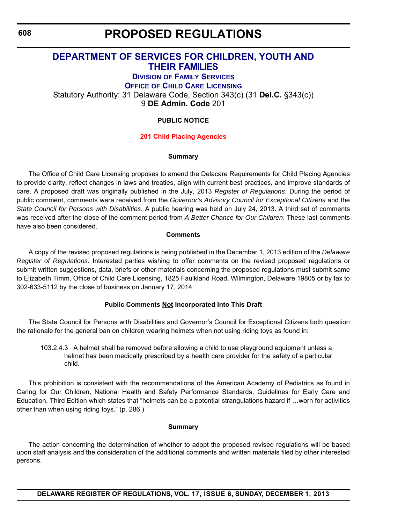# **PROPOSED REGULATIONS**

# <span id="page-35-0"></span>**[DEPARTMENT OF SERVICES FOR CHILDREN,](http://kids.delaware.gov/fs/fs.shtml) YOUTH AND THEIR FAMILIES**

# **DIVISION OF FAMILY SERVICES**

**OFFICE OF CHILD CARE LICENSING**

Statutory Authority: 31 Delaware Code, Section 343(c) (31 **Del.C.** §343(c))

9 **DE Admin. Code** 201

### **PUBLIC NOTICE**

#### **201 Child [Placing Agencies](#page-3-0)**

#### **Summary**

The Office of Child Care Licensing proposes to amend the Delacare Requirements for Child Placing Agencies to provide clarity, reflect changes in laws and treaties, align with current best practices, and improve standards of care. A proposed draft was originally published in the July, 2013 *Register of Regulations*. During the period of public comment, comments were received from the *Governor's Advisory Council for Exceptional Citizens* and the *State Council for Persons with Disabilities*. A public hearing was held on July 24, 2013. A third set of comments was received after the close of the comment period from *A Better Chance for Our Children*. These last comments have also been considered.

#### **Comments**

A copy of the revised proposed regulations is being published in the December 1, 2013 edition of the *Delaware Register of Regulations*. Interested parties wishing to offer comments on the revised proposed regulations or submit written suggestions, data, briefs or other materials concerning the proposed regulations must submit same to Elizabeth Timm, Office of Child Care Licensing, 1825 Faulkland Road, Wilmington, Delaware 19805 or by fax to 302-633-5112 by the close of business on January 17, 2014.

#### **Public Comments Not Incorporated Into This Draft**

The State Council for Persons with Disabilities and Governor's Council for Exceptional Citizens both question the rationale for the general ban on children wearing helmets when not using riding toys as found in:

103.2.4.3 A helmet shall be removed before allowing a child to use playground equipment unless a helmet has been medically prescribed by a health care provider for the safety of a particular child.

This prohibition is consistent with the recommendations of the American Academy of Pediatrics as found in Caring for Our Children, National Health and Safety Performance Standards, Guidelines for Early Care and Education, Third Edition which states that "helmets can be a potential strangulations hazard if …worn for activities other than when using riding toys." (p. 286.)

#### **Summary**

The action concerning the determination of whether to adopt the proposed revised regulations will be based upon staff analysis and the consideration of the additional comments and written materials filed by other interested persons.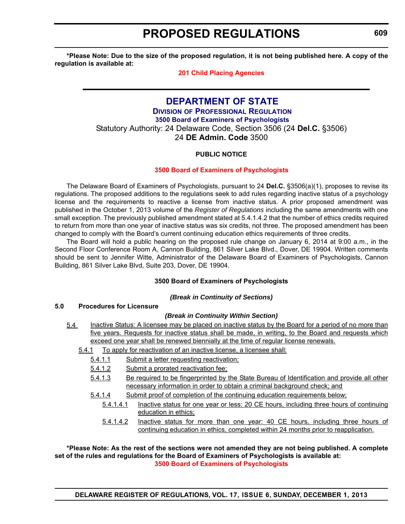# **PROPOSED REGULATIONS**

**\*Please Note: Due to the size of the proposed regulation, it is not being published here. A copy of the regulation is available at:**

# **[201 Child Placing Agencies](http://regulations.delaware.gov/register/december2013/proposed/17 DE Reg 608 12-01-13.pdf)**

# **[DEPARTMENT OF STATE](http://dpr.delaware.gov/) DIVISION OF PROFESSIONAL REGULATION 3500 Board of Examiners of Psychologists** Statutory Authority: 24 Delaware Code, Section 3506 (24 **Del.C.** §3506) 24 **DE Admin. Code** 3500

# **PUBLIC NOTICE**

### **3500 Board of Examiners of [Psychologists](#page-3-0)**

The Delaware Board of Examiners of Psychologists, pursuant to 24 **Del.C.** §3506(a)(1), proposes to revise its regulations. The proposed additions to the regulations seek to add rules regarding inactive status of a psychology license and the requirements to reactive a license from inactive status. A prior proposed amendment was published in the October 1, 2013 volume of the *Register of Regulations* including the same amendments with one small exception. The previously published amendment stated at 5.4.1.4.2 that the number of ethics credits required to return from more than one year of inactive status was six credits, not three. The proposed amendment has been changed to comply with the Board's current continuing education ethics requirements of three credits.

The Board will hold a public hearing on the proposed rule change on January 6, 2014 at 9:00 a.m., in the Second Floor Conference Room A, Cannon Building, 861 Silver Lake Blvd., Dover, DE 19904. Written comments should be sent to Jennifer Witte, Administrator of the Delaware Board of Examiners of Psychologists, Cannon Building, 861 Silver Lake Blvd, Suite 203, Dover, DE 19904.

### **3500 Board of Examiners of Psychologists**

#### *(Break in Continuity of Sections)*

#### **5.0 Procedures for Licensure**

### *(Break in Continuity Within Section)*

- 5.4 Inactive Status: A licensee may be placed on inactive status by the Board for a period of no more than five years. Requests for inactive status shall be made, in writing, to the Board and requests which exceed one year shall be renewed biennially at the time of regular license renewals.
	- 5.4.1 To apply for reactivation of an inactive license, a licensee shall:
		- 5.4.1.1 Submit a letter requesting reactivation;
		- 5.4.1.2 Submit a prorated reactivation fee;
		- 5.4.1.3 Be required to be fingerprinted by the State Bureau of Identification and provide all other necessary information in order to obtain a criminal background check; and
		- 5.4.1.4 Submit proof of completion of the continuing education requirements below;
			- 5.4.1.4.1 Inactive status for one year or less: 20 CE hours, including three hours of continuing education in ethics;
			- 5.4.1.4.2 Inactive status for more than one year: 40 CE hours, including three hours of continuing education in ethics, completed within 24 months prior to reapplication.

#### **\*Please Note: As the rest of the sections were not amended they are not being published. A complete set of the rules and regulations for the Board of Examiners of Psychologists is available at: [3500 Board of Examiners of Psychologists](http://regulations.delaware.gov/register/december2013/proposed/17 DE Reg 609 12-01-13.pdf)**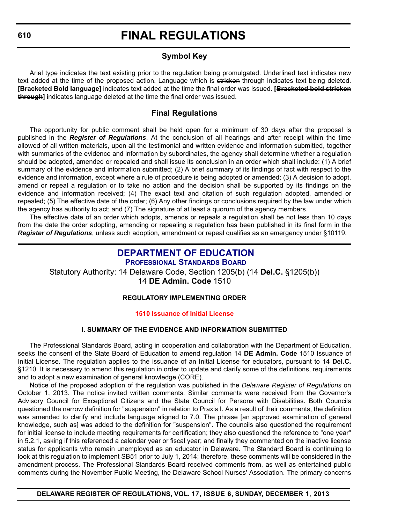# **Symbol Key**

Arial type indicates the text existing prior to the regulation being promulgated. Underlined text indicates new text added at the time of the proposed action. Language which is stricken through indicates text being deleted. **[Bracketed Bold language]** indicates text added at the time the final order was issued. **[Bracketed bold stricken through]** indicates language deleted at the time the final order was issued.

# **Final Regulations**

The opportunity for public comment shall be held open for a minimum of 30 days after the proposal is published in the *Register of Regulations*. At the conclusion of all hearings and after receipt within the time allowed of all written materials, upon all the testimonial and written evidence and information submitted, together with summaries of the evidence and information by subordinates, the agency shall determine whether a regulation should be adopted, amended or repealed and shall issue its conclusion in an order which shall include: (1) A brief summary of the evidence and information submitted; (2) A brief summary of its findings of fact with respect to the evidence and information, except where a rule of procedure is being adopted or amended; (3) A decision to adopt, amend or repeal a regulation or to take no action and the decision shall be supported by its findings on the evidence and information received; (4) The exact text and citation of such regulation adopted, amended or repealed; (5) The effective date of the order; (6) Any other findings or conclusions required by the law under which the agency has authority to act; and (7) The signature of at least a quorum of the agency members.

The effective date of an order which adopts, amends or repeals a regulation shall be not less than 10 days from the date the order adopting, amending or repealing a regulation has been published in its final form in the *Register of Regulations*, unless such adoption, amendment or repeal qualifies as an emergency under §10119.

# **[DEPARTMENT OF EDUCATION](http://www.doe.k12.de.us/)**

**PROFESSIONAL STANDARDS BOARD** Statutory Authority: 14 Delaware Code, Section 1205(b) (14 **Del.C.** §1205(b)) 14 **DE Admin. Code** 1510

# **REGULATORY IMPLEMENTING ORDER**

# **1510 Issuance [of Initial License](#page-3-0)**

# **I. SUMMARY OF THE EVIDENCE AND INFORMATION SUBMITTED**

The Professional Standards Board, acting in cooperation and collaboration with the Department of Education, seeks the consent of the State Board of Education to amend regulation 14 **DE Admin. Code** 1510 Issuance of Initial License. The regulation applies to the issuance of an Initial License for educators, pursuant to 14 **Del.C.** §1210. It is necessary to amend this regulation in order to update and clarify some of the definitions, requirements and to adopt a new examination of general knowledge (CORE).

Notice of the proposed adoption of the regulation was published in the *Delaware Register of Regulations* on October 1, 2013. The notice invited written comments. Similar comments were received from the Governor's Advisory Council for Exceptional Citizens and the State Council for Persons with Disabilities. Both Councils questioned the narrow definition for "suspension" in relation to Praxis I. As a result of their comments, the definition was amended to clarify and include language aligned to 7.0. The phrase [an approved examination of general knowledge, such as] was added to the definition for "suspension". The councils also questioned the requirement for initial license to include meeting requirements for certification; they also questioned the reference to "one year" in 5.2.1, asking if this referenced a calendar year or fiscal year; and finally they commented on the inactive license status for applicants who remain unemployed as an educator in Delaware. The Standard Board is continuing to look at this regulation to implement SB51 prior to July 1, 2014; therefore, these comments will be considered in the amendment process. The Professional Standards Board received comments from, as well as entertained public comments during the November Public Meeting, the Delaware School Nurses' Association. The primary concerns

# **DELAWARE REGISTER OF REGULATIONS, VOL. 17, ISSUE 6, SUNDAY, DECEMBER 1, 2013**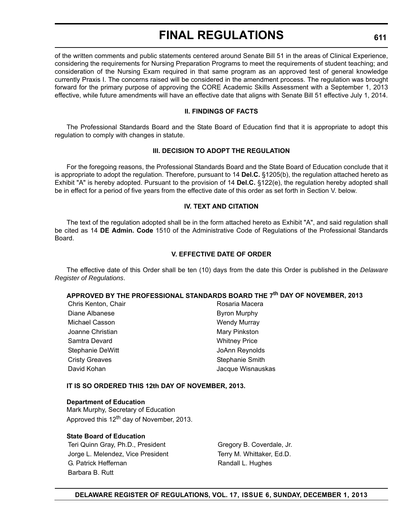of the written comments and public statements centered around Senate Bill 51 in the areas of Clinical Experience, considering the requirements for Nursing Preparation Programs to meet the requirements of student teaching; and consideration of the Nursing Exam required in that same program as an approved test of general knowledge currently Praxis I. The concerns raised will be considered in the amendment process. The regulation was brought forward for the primary purpose of approving the CORE Academic Skills Assessment with a September 1, 2013 effective, while future amendments will have an effective date that aligns with Senate Bill 51 effective July 1, 2014.

#### **II. FINDINGS OF FACTS**

The Professional Standards Board and the State Board of Education find that it is appropriate to adopt this regulation to comply with changes in statute.

### **III. DECISION TO ADOPT THE REGULATION**

For the foregoing reasons, the Professional Standards Board and the State Board of Education conclude that it is appropriate to adopt the regulation. Therefore, pursuant to 14 **Del.C.** §1205(b), the regulation attached hereto as Exhibit "A" is hereby adopted. Pursuant to the provision of 14 **Del.C.** §122(e), the regulation hereby adopted shall be in effect for a period of five years from the effective date of this order as set forth in Section V. below.

#### **IV. TEXT AND CITATION**

The text of the regulation adopted shall be in the form attached hereto as Exhibit "A", and said regulation shall be cited as 14 **DE Admin. Code** 1510 of the Administrative Code of Regulations of the Professional Standards Board.

#### **V. EFFECTIVE DATE OF ORDER**

The effective date of this Order shall be ten (10) days from the date this Order is published in the *Delaware Register of Regulations*.

# **APPROVED BY THE PROFESSIONAL STANDARDS BOARD THE 7th DAY OF NOVEMBER, 2013**

| Chris Kenton, Chair   | Rosaria Macera       |
|-----------------------|----------------------|
| Diane Albanese        | <b>Byron Murphy</b>  |
| Michael Casson        | <b>Wendy Murray</b>  |
| Joanne Christian      | Mary Pinkston        |
| Samtra Devard         | <b>Whitney Price</b> |
| Stephanie DeWitt      | JoAnn Reynolds       |
| <b>Cristy Greaves</b> | Stephanie Smith      |
| David Kohan           | Jacque Wisnauskas    |

### **IT IS SO ORDERED THIS 12th DAY OF NOVEMBER, 2013.**

#### **Department of Education**

Mark Murphy, Secretary of Education Approved this 12<sup>th</sup> day of November, 2013.

#### **State Board of Education**

Teri Quinn Gray, Ph.D., President Gregory B. Coverdale, Jr. Jorge L. Melendez, Vice President Terry M. Whittaker, Ed.D. G. Patrick Heffernan Randall L. Hughes Barbara B. Rutt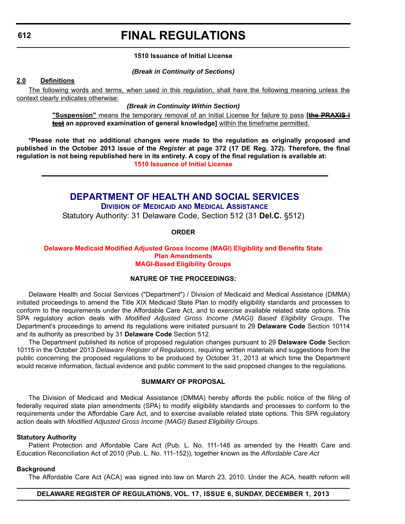# **FINAL REGULATIONS**

#### **1510 Issuance of Initial License**

#### *(Break in Continuity of Sections)*

#### **2.0 Definitions**

The following words and terms, when used in this regulation, shall have the following meaning unless the context clearly indicates otherwise:

# *(Break in Continuity Within Section)*

**"Suspension"** means the temporary removal of an Initial License for failure to pass **[the PRAXIS I test an approved examination of general knowledge]** within the timeframe permitted.

**\*Please note that no additional changes were made to the regulation as originally proposed and published in the October 2013 issue of the** *Register* **at page 372 (17 DE Reg. 372). Therefore, the final regulation is not being republished here in its entirety. A copy of the final regulation is available at: [1510 Issuance of Initial License](http://regulations.delaware.gov/register/december2013/final/17 DE Reg 610 12-01-13.htm)**

# **[DEPARTMENT OF HEALTH AND SOCIAL SERVICES](http://www.dhss.delaware.gov/dhss/dmma/)**

**DIVISION OF MEDICAID AND MEDICAL ASSISTANCE** Statutory Authority: 31 Delaware Code, Section 512 (31 **Del.C.** §512)

#### **ORDER**

#### **Delaware Medicaid Modified Adjusted [Gross Income \(MAGI\) Eligibility and Benefits](#page-3-0) State Plan Amendments MAGI-Based Eligibility Groups**

#### **NATURE OF THE PROCEEDINGS:**

Delaware Health and Social Services ("Department") / Division of Medicaid and Medical Assistance (DMMA) initiated proceedings to amend the Title XIX Medicaid State Plan to modify eligibility standards and processes to conform to the requirements under the Affordable Care Act, and to exercise available related state options. This SPA regulatory action deals with *Modified Adjusted Gross Income (MAGI) Based Eligibility Groups*. The Department's proceedings to amend its regulations were initiated pursuant to 29 **Delaware Code** Section 10114 and its authority as prescribed by 31 **Delaware Code** Section 512.

The Department published its notice of proposed regulation changes pursuant to 29 **Delaware Code** Section 10115 in the October 2013 *Delaware Register of Regulations*, requiring written materials and suggestions from the public concerning the proposed regulations to be produced by October 31, 2013 at which time the Department would receive information, factual evidence and public comment to the said proposed changes to the regulations.

#### **SUMMARY OF PROPOSAL**

The Division of Medicaid and Medical Assistance (DMMA) hereby affords the public notice of the filing of federally required state plan amendments (SPA) to modify eligibility standards and processes to conform to the requirements under the Affordable Care Act, and to exercise available related state options. This SPA regulatory action deals with *Modified Adjusted Gross Income (MAGI) Based Eligibility Groups*.

#### **Statutory Authority**

Patient Protection and Affordable Care Act (Pub. L. No. 111-148 as amended by the Health Care and Education Reconciliation Act of 2010 (Pub. L. No. 111-152)), together known as the *Affordable Care Act*

#### **Background**

The Affordable Care Act (ACA) was signed into law on March 23, 2010. Under the ACA, health reform will

#### **DELAWARE REGISTER OF REGULATIONS, VOL. 17, ISSUE 6, SUNDAY, DECEMBER 1, 2013**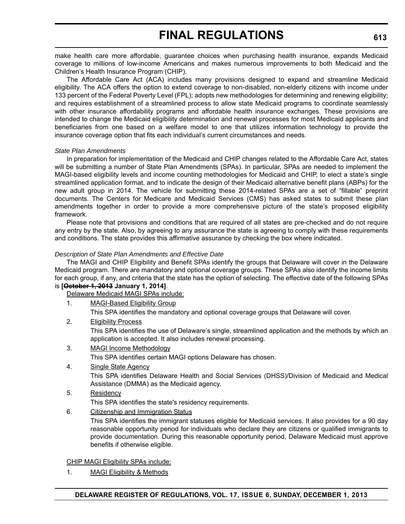make health care more affordable, guarantee choices when purchasing health insurance, expands Medicaid coverage to millions of low-income Americans and makes numerous improvements to both Medicaid and the Children's Health Insurance Program (CHIP).

The Affordable Care Act (ACA) includes many provisions designed to expand and streamline Medicaid eligibility. The ACA offers the option to extend coverage to non-disabled, non-elderly citizens with income under 133 percent of the Federal Poverty Level (FPL); adopts new methodologies for determining and renewing eligibility; and requires establishment of a streamlined process to allow state Medicaid programs to coordinate seamlessly with other insurance affordability programs and affordable health insurance exchanges. These provisions are intended to change the Medicaid eligibility determination and renewal processes for most Medicaid applicants and beneficiaries from one based on a welfare model to one that utilizes information technology to provide the insurance coverage option that fits each individual's current circumstances and needs.

#### *State Plan Amendments*

In preparation for implementation of the Medicaid and CHIP changes related to the Affordable Care Act, states will be submitting a number of State Plan Amendments (SPAs). In particular, SPAs are needed to implement the MAGI-based eligibility levels and income counting methodologies for Medicaid and CHIP, to elect a state's single streamlined application format, and to indicate the design of their Medicaid alternative benefit plans (ABPs) for the new adult group in 2014. The vehicle for submitting these 2014-related SPAs are a set of "fillable" preprint documents. The Centers for Medicare and Medicaid Services (CMS) has asked states to submit these plan amendments together in order to provide a more comprehensive picture of the state's proposed eligibility framework.

Please note that provisions and conditions that are required of all states are pre-checked and do not require any entry by the state. Also, by agreeing to any assurance the state is agreeing to comply with these requirements and conditions. The state provides this affirmative assurance by checking the box where indicated.

### *Description of State Plan Amendments and Effective Date*

The MAGI and CHIP Eligibility and Benefit SPAs identify the groups that Delaware will cover in the Delaware Medicaid program. There are mandatory and optional coverage groups. These SPAs also identify the income limits for each group, if any, and criteria that the state has the option of selecting. The effective date of the following SPAs is **[October 1, 2013 January 1, 2014]**.

Delaware Medicaid MAGI SPAs include:

1. MAGI-Based Eligibility Group

This SPA identifies the mandatory and optional coverage groups that Delaware will cover.

2. Eligibility Process

This SPA identifies the use of Delaware's single, streamlined application and the methods by which an application is accepted. It also includes renewal processing.

3. MAGI Income Methodology

This SPA identifies certain MAGI options Delaware has chosen.

- 4. Single State Agency This SPA identifies Delaware Health and Social Services (DHSS)/Division of Medicaid and Medical Assistance (DMMA) as the Medicaid agency.
- 5. Residency
	- This SPA identifies the state's residency requirements.
- 6. Citizenship and Immigration Status

This SPA identifies the immigrant statuses eligible for Medicaid services. It also provides for a 90 day reasonable opportunity period for individuals who declare they are citizens or qualified immigrants to provide documentation. During this reasonable opportunity period, Delaware Medicaid must approve benefits if otherwise eligible.

### CHIP MAGI Eligibility SPAs include:

1. MAGI Eligibility & Methods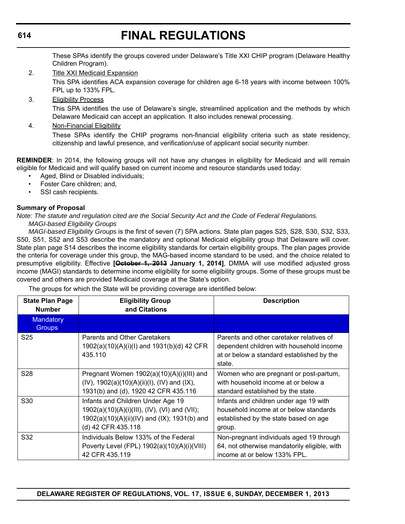These SPAs identify the groups covered under Delaware's Title XXI CHIP program (Delaware Healthy Children Program).

- 2. Title XXI Medicaid Expansion This SPA identifies ACA expansion coverage for children age 6-18 years with income between 100% FPL up to 133% FPL.
- 3. Eligibility Process

This SPA identifies the use of Delaware's single, streamlined application and the methods by which Delaware Medicaid can accept an application. It also includes renewal processing.

4. Non-Financial Eligibility

These SPAs identify the CHIP programs non-financial eligibility criteria such as state residency, citizenship and lawful presence, and verification/use of applicant social security number.

**REMINDER**: In 2014, the following groups will not have any changes in eligibility for Medicaid and will remain eligible for Medicaid and will qualify based on current income and resource standards used today:

- Aged, Blind or Disabled individuals;
- Foster Care children; and,
- SSI cash recipients.

# **Summary of Proposal**

*Note: The statute and regulation cited are the Social Security Act and the Code of Federal Regulations. MAGI-based Eligibility Groups*

*MAGI-based Eligibility Groups* is the first of seven (7) SPA actions. State plan pages S25, S28, S30, S32, S33, S50, S51, S52 and S53 describe the mandatory and optional Medicaid eligibility group that Delaware will cover. State plan page S14 describes the income eligibility standards for certain eligibility groups. The plan pages provide the criteria for coverage under this group, the MAG-based income standard to be used, and the choice related to presumptive eligibility. Effective **[October 1, 2013 January 1, 2014]**, DMMA will use modified adjusted gross income (MAGI) standards to determine income eligibility for some eligibility groups. Some of these groups must be covered and others are provided Medicaid coverage at the State's option.

The groups for which the State will be providing coverage are identified below:

| <b>State Plan Page</b><br><b>Number</b> | <b>Eligibility Group</b><br>and Citations                                                                                                                | <b>Description</b>                                                                                                                          |
|-----------------------------------------|----------------------------------------------------------------------------------------------------------------------------------------------------------|---------------------------------------------------------------------------------------------------------------------------------------------|
| <b>Mandatory</b><br>Groups:             |                                                                                                                                                          |                                                                                                                                             |
| S <sub>25</sub>                         | Parents and Other Caretakers<br>1902(a)(10)(A)(i)(l) and 1931(b)(d) 42 CFR<br>435.110                                                                    | Parents and other caretaker relatives of<br>dependent children with household income<br>at or below a standard established by the<br>state. |
| S <sub>28</sub>                         | Pregnant Women 1902(a)(10)(A)(i)(III) and<br>$(IV)$ , 1902(a)(10)(A)(ii)(I), (IV) and (IX),<br>1931(b) and (d), 1920 42 CFR 435.116                      | Women who are pregnant or post-partum,<br>with household income at or below a<br>standard established by the state.                         |
| S <sub>30</sub>                         | Infants and Children Under Age 19<br>1902(a)(10)(A)(i)(III), (IV), (VI) and (VII);<br>1902(a)(10)(A)(ii)(IV) and (IX); 1931(b) and<br>(d) 42 CFR 435.118 | Infants and children under age 19 with<br>household income at or below standards<br>established by the state based on age<br>group.         |
| S <sub>32</sub>                         | Individuals Below 133% of the Federal<br>Poverty Level (FPL) 1902(a)(10)(A)(i)(VIII)<br>42 CFR 435.119                                                   | Non-pregnant individuals aged 19 through<br>64, not otherwise mandatorily eligible, with<br>income at or below 133% FPL.                    |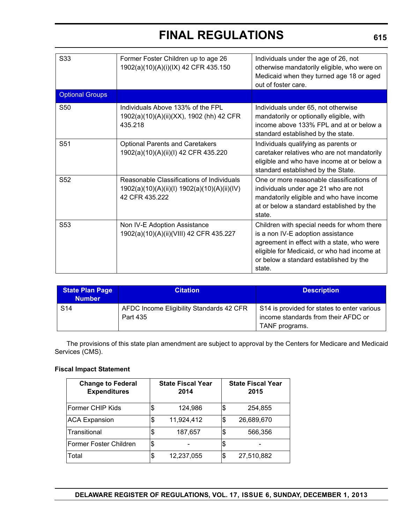| S33                    | Former Foster Children up to age 26<br>1902(a)(10)(A)(i)(IX) 42 CFR 435.150                                 | Individuals under the age of 26, not<br>otherwise mandatorily eligible, who were on<br>Medicaid when they turned age 18 or aged<br>out of foster care.                                                                           |
|------------------------|-------------------------------------------------------------------------------------------------------------|----------------------------------------------------------------------------------------------------------------------------------------------------------------------------------------------------------------------------------|
| <b>Optional Groups</b> |                                                                                                             |                                                                                                                                                                                                                                  |
| <b>S50</b>             | Individuals Above 133% of the FPL<br>1902(a)(10)(A)(ii)(XX), 1902 (hh) 42 CFR<br>435.218                    | Individuals under 65, not otherwise<br>mandatorily or optionally eligible, with<br>income above 133% FPL and at or below a<br>standard established by the state.                                                                 |
| S <sub>51</sub>        | <b>Optional Parents and Caretakers</b><br>1902(a)(10)(A)(ii)(l) 42 CFR 435.220                              | Individuals qualifying as parents or<br>caretaker relatives who are not mandatorily<br>eligible and who have income at or below a<br>standard established by the State.                                                          |
| S <sub>52</sub>        | Reasonable Classifications of Individuals<br>1902(a)(10)(A)(ii)(l) 1902(a)(10)(A)(ii)(IV)<br>42 CFR 435.222 | One or more reasonable classifications of<br>individuals under age 21 who are not<br>mandatorily eligible and who have income<br>at or below a standard established by the<br>state.                                             |
| S <sub>53</sub>        | Non IV-E Adoption Assistance<br>1902(a)(10)(A)(ii)(VIII) 42 CFR 435.227                                     | Children with special needs for whom there<br>is a non IV-E adoption assistance<br>agreement in effect with a state, who were<br>eligible for Medicaid, or who had income at<br>or below a standard established by the<br>state. |

| <b>State Plan Page</b><br><b>Number</b> | <b>Citation</b>                                      | <b>Description</b>                                                                 |
|-----------------------------------------|------------------------------------------------------|------------------------------------------------------------------------------------|
| S <sub>14</sub>                         | AFDC Income Eligibility Standards 42 CFR<br>Part 435 | S14 is provided for states to enter various<br>income standards from their AFDC or |
|                                         |                                                      | TANF programs.                                                                     |

The provisions of this state plan amendment are subject to approval by the Centers for Medicare and Medicaid Services (CMS).

## **Fiscal Impact Statement**

| <b>Change to Federal</b><br><b>Expenditures</b> | <b>State Fiscal Year</b><br>2014 |     | <b>State Fiscal Year</b><br>2015 |
|-------------------------------------------------|----------------------------------|-----|----------------------------------|
| Former CHIP Kids                                | \$<br>124,986                    | 1\$ | 254,855                          |
| <b>ACA Expansion</b>                            | \$<br>11,924,412                 | \$  | 26,689,670                       |
| Transitional                                    | \$<br>187,657                    | \$  | 566,356                          |
| Former Foster Children                          | \$                               |     |                                  |
| Total                                           | \$<br>12,237,055                 | \$  | 27,510,882                       |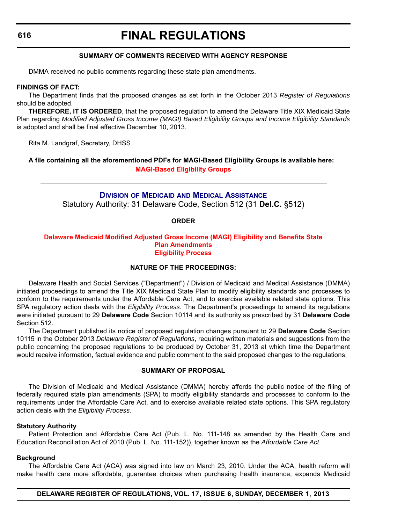# **FINAL REGULATIONS**

#### **SUMMARY OF COMMENTS RECEIVED WITH AGENCY RESPONSE**

DMMA received no public comments regarding these state plan amendments.

#### **FINDINGS OF FACT:**

The Department finds that the proposed changes as set forth in the October 2013 *Register of Regulations* should be adopted.

**THEREFORE, IT IS ORDERED**, that the proposed regulation to amend the Delaware Title XIX Medicaid State Plan regarding *Modified Adjusted Gross Income (MAGI) Based Eligibility Groups and Income Eligibility Standards* is adopted and shall be final effective December 10, 2013.

Rita M. Landgraf, Secretary, DHSS

**A file containing all the aforementioned PDFs for MAGI-Based Eligibility Groups is available here: [MAGI-Based Eligibility Groups](http://regulations.delaware.gov/register/december2013/final/Benefits.pdf)**

# **DIVISION OF MEDICAID AND MEDICAL A[SSISTANCE](http://www.dhss.delaware.gov/dhss/dmma/)** Statutory Authority: 31 Delaware Code, Section 512 (31 **Del.C.** §512)

#### **ORDER**

#### **Delaware Medicaid Modified Adjusted [Gross Income \(MAGI\) Eligibility and Benefits](#page-4-0) State Plan Amendments Eligibility Process**

#### **NATURE OF THE PROCEEDINGS:**

Delaware Health and Social Services ("Department") / Division of Medicaid and Medical Assistance (DMMA) initiated proceedings to amend the Title XIX Medicaid State Plan to modify eligibility standards and processes to conform to the requirements under the Affordable Care Act, and to exercise available related state options. This SPA regulatory action deals with the *Eligibility Process*. The Department's proceedings to amend its regulations were initiated pursuant to 29 **Delaware Code** Section 10114 and its authority as prescribed by 31 **Delaware Code** Section 512.

The Department published its notice of proposed regulation changes pursuant to 29 **Delaware Code** Section 10115 in the October 2013 *Delaware Register of Regulations*, requiring written materials and suggestions from the public concerning the proposed regulations to be produced by October 31, 2013 at which time the Department would receive information, factual evidence and public comment to the said proposed changes to the regulations.

#### **SUMMARY OF PROPOSAL**

The Division of Medicaid and Medical Assistance (DMMA) hereby affords the public notice of the filing of federally required state plan amendments (SPA) to modify eligibility standards and processes to conform to the requirements under the Affordable Care Act, and to exercise available related state options. This SPA regulatory action deals with the *Eligibility Process.*

#### **Statutory Authority**

Patient Protection and Affordable Care Act (Pub. L. No. 111-148 as amended by the Health Care and Education Reconciliation Act of 2010 (Pub. L. No. 111-152)), together known as the *Affordable Care Act*

#### **Background**

The Affordable Care Act (ACA) was signed into law on March 23, 2010. Under the ACA, health reform will make health care more affordable, guarantee choices when purchasing health insurance, expands Medicaid

**DELAWARE REGISTER OF REGULATIONS, VOL. 17, ISSUE 6, SUNDAY, DECEMBER 1, 2013**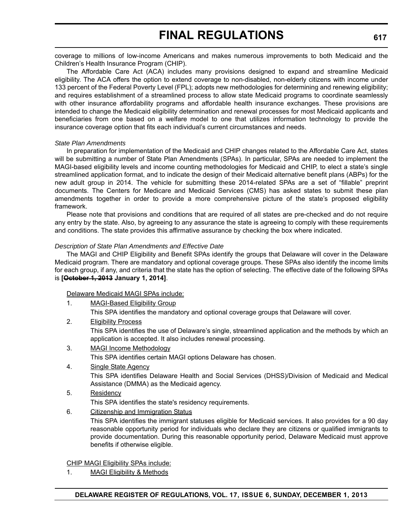coverage to millions of low-income Americans and makes numerous improvements to both Medicaid and the Children's Health Insurance Program (CHIP).

The Affordable Care Act (ACA) includes many provisions designed to expand and streamline Medicaid eligibility. The ACA offers the option to extend coverage to non-disabled, non-elderly citizens with income under 133 percent of the Federal Poverty Level (FPL); adopts new methodologies for determining and renewing eligibility; and requires establishment of a streamlined process to allow state Medicaid programs to coordinate seamlessly with other insurance affordability programs and affordable health insurance exchanges. These provisions are intended to change the Medicaid eligibility determination and renewal processes for most Medicaid applicants and beneficiaries from one based on a welfare model to one that utilizes information technology to provide the insurance coverage option that fits each individual's current circumstances and needs.

#### *State Plan Amendments*

In preparation for implementation of the Medicaid and CHIP changes related to the Affordable Care Act, states will be submitting a number of State Plan Amendments (SPAs). In particular, SPAs are needed to implement the MAGI-based eligibility levels and income counting methodologies for Medicaid and CHIP, to elect a state's single streamlined application format, and to indicate the design of their Medicaid alternative benefit plans (ABPs) for the new adult group in 2014. The vehicle for submitting these 2014-related SPAs are a set of "fillable" preprint documents. The Centers for Medicare and Medicaid Services (CMS) has asked states to submit these plan amendments together in order to provide a more comprehensive picture of the state's proposed eligibility framework.

Please note that provisions and conditions that are required of all states are pre-checked and do not require any entry by the state. Also, by agreeing to any assurance the state is agreeing to comply with these requirements and conditions. The state provides this affirmative assurance by checking the box where indicated.

### *Description of State Plan Amendments and Effective Date*

The MAGI and CHIP Eligibility and Benefit SPAs identify the groups that Delaware will cover in the Delaware Medicaid program. There are mandatory and optional coverage groups. These SPAs also identify the income limits for each group, if any, and criteria that the state has the option of selecting. The effective date of the following SPAs is **[October 1, 2013 January 1, 2014]**.

### Delaware Medicaid MAGI SPAs include:

1. MAGI-Based Eligibility Group

This SPA identifies the mandatory and optional coverage groups that Delaware will cover.

2. Eligibility Process

This SPA identifies the use of Delaware's single, streamlined application and the methods by which an application is accepted. It also includes renewal processing.

3. MAGI Income Methodology

This SPA identifies certain MAGI options Delaware has chosen.

- 4. Single State Agency This SPA identifies Delaware Health and Social Services (DHSS)/Division of Medicaid and Medical Assistance (DMMA) as the Medicaid agency.
- 5. Residency
	- This SPA identifies the state's residency requirements.
- 6. Citizenship and Immigration Status

This SPA identifies the immigrant statuses eligible for Medicaid services. It also provides for a 90 day reasonable opportunity period for individuals who declare they are citizens or qualified immigrants to provide documentation. During this reasonable opportunity period, Delaware Medicaid must approve benefits if otherwise eligible.

CHIP MAGI Eligibility SPAs include:

1. MAGI Eligibility & Methods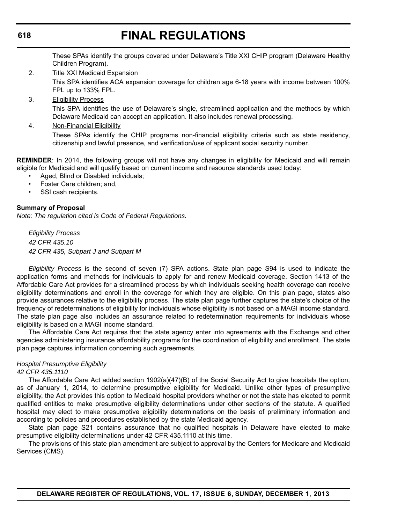These SPAs identify the groups covered under Delaware's Title XXI CHIP program (Delaware Healthy Children Program).

- 2. Title XXI Medicaid Expansion This SPA identifies ACA expansion coverage for children age 6-18 years with income between 100% FPL up to 133% FPL.
- 3. Eligibility Process

This SPA identifies the use of Delaware's single, streamlined application and the methods by which Delaware Medicaid can accept an application. It also includes renewal processing.

4. Non-Financial Eligibility

These SPAs identify the CHIP programs non-financial eligibility criteria such as state residency, citizenship and lawful presence, and verification/use of applicant social security number.

**REMINDER**: In 2014, the following groups will not have any changes in eligibility for Medicaid and will remain eligible for Medicaid and will qualify based on current income and resource standards used today:

- Aged, Blind or Disabled individuals;
- Foster Care children; and,
- SSI cash recipients.

## **Summary of Proposal**

*Note: The regulation cited is Code of Federal Regulations.*

*Eligibility Process 42 CFR 435.10 42 CFR 435, Subpart J and Subpart M*

*Eligibility Process* is the second of seven (7) SPA actions. State plan page S94 is used to indicate the application forms and methods for individuals to apply for and renew Medicaid coverage. Section 1413 of the Affordable Care Act provides for a streamlined process by which individuals seeking health coverage can receive eligibility determinations and enroll in the coverage for which they are eligible. On this plan page, states also provide assurances relative to the eligibility process. The state plan page further captures the state's choice of the frequency of redeterminations of eligibility for individuals whose eligibility is not based on a MAGI income standard. The state plan page also includes an assurance related to redetermination requirements for individuals whose eligibility is based on a MAGI income standard.

The Affordable Care Act requires that the state agency enter into agreements with the Exchange and other agencies administering insurance affordability programs for the coordination of eligibility and enrollment. The state plan page captures information concerning such agreements.

# *Hospital Presumptive Eligibility*

#### *42 CFR 435.1110*

The Affordable Care Act added section 1902(a)(47)(B) of the Social Security Act to give hospitals the option, as of January 1, 2014, to determine presumptive eligibility for Medicaid. Unlike other types of presumptive eligibility, the Act provides this option to Medicaid hospital providers whether or not the state has elected to permit qualified entities to make presumptive eligibility determinations under other sections of the statute. A qualified hospital may elect to make presumptive eligibility determinations on the basis of preliminary information and according to policies and procedures established by the state Medicaid agency.

State plan page S21 contains assurance that no qualified hospitals in Delaware have elected to make presumptive eligibility determinations under 42 CFR 435.1110 at this time.

The provisions of this state plan amendment are subject to approval by the Centers for Medicare and Medicaid Services (CMS).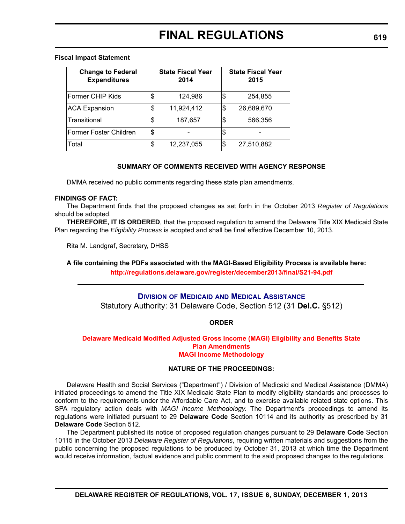#### **Fiscal Impact Statement**

| <b>Change to Federal</b><br><b>Expenditures</b> | <b>State Fiscal Year</b><br>2014 | <b>State Fiscal Year</b><br>2015 |
|-------------------------------------------------|----------------------------------|----------------------------------|
| Former CHIP Kids                                | \$<br>124,986                    | \$<br>254,855                    |
| <b>ACA Expansion</b>                            | \$<br>11,924,412                 | \$<br>26,689,670                 |
| Transitional                                    | \$<br>187,657                    | 566,356                          |
| Former Foster Children                          | \$                               |                                  |
| Total                                           | \$<br>12,237,055                 | \$<br>27,510,882                 |

#### **SUMMARY OF COMMENTS RECEIVED WITH AGENCY RESPONSE**

DMMA received no public comments regarding these state plan amendments.

#### **FINDINGS OF FACT:**

The Department finds that the proposed changes as set forth in the October 2013 *Register of Regulations* should be adopted.

**THEREFORE, IT IS ORDERED**, that the proposed regulation to amend the Delaware Title XIX Medicaid State Plan regarding the *Eligibility Process* is adopted and shall be final effective December 10, 2013.

Rita M. Landgraf, Secretary, DHSS

# **A file containing the PDFs associated with the MAGI-Based Eligibility Process is available here: <http://regulations.delaware.gov/register/december2013/final/S21-94.pdf>**

### **DIVISION OF MEDICAID AND MEDICAL A[SSISTANCE](http://www.dhss.delaware.gov/dhss/dmma/)**

Statutory Authority: 31 Delaware Code, Section 512 (31 **Del.C.** §512)

### **ORDER**

#### **[Delaware Medicaid Modified Adjusted Gross Income \(MAGI\) Eligibility and Benefits](#page-4-0) State Plan Amendments MAGI Income Methodology**

#### **NATURE OF THE PROCEEDINGS:**

Delaware Health and Social Services ("Department") / Division of Medicaid and Medical Assistance (DMMA) initiated proceedings to amend the Title XIX Medicaid State Plan to modify eligibility standards and processes to conform to the requirements under the Affordable Care Act, and to exercise available related state options. This SPA regulatory action deals with *MAGI Income Methodology*. The Department's proceedings to amend its regulations were initiated pursuant to 29 **Delaware Code** Section 10114 and its authority as prescribed by 31 **Delaware Code** Section 512.

The Department published its notice of proposed regulation changes pursuant to 29 **Delaware Code** Section 10115 in the October 2013 *Delaware Register of Regulations*, requiring written materials and suggestions from the public concerning the proposed regulations to be produced by October 31, 2013 at which time the Department would receive information, factual evidence and public comment to the said proposed changes to the regulations.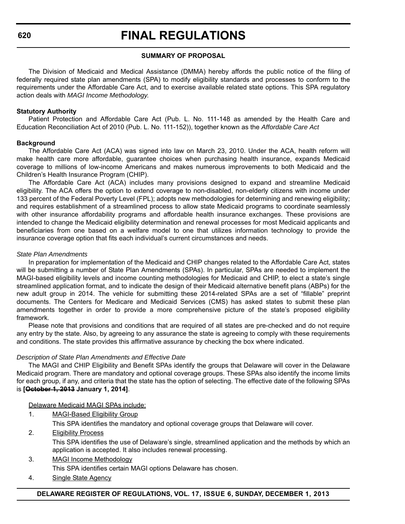#### **SUMMARY OF PROPOSAL**

The Division of Medicaid and Medical Assistance (DMMA) hereby affords the public notice of the filing of federally required state plan amendments (SPA) to modify eligibility standards and processes to conform to the requirements under the Affordable Care Act, and to exercise available related state options. This SPA regulatory action deals with *MAGI Income Methodology*.

#### **Statutory Authority**

Patient Protection and Affordable Care Act (Pub. L. No. 111-148 as amended by the Health Care and Education Reconciliation Act of 2010 (Pub. L. No. 111-152)), together known as the *Affordable Care Act*

#### **Background**

The Affordable Care Act (ACA) was signed into law on March 23, 2010. Under the ACA, health reform will make health care more affordable, guarantee choices when purchasing health insurance, expands Medicaid coverage to millions of low-income Americans and makes numerous improvements to both Medicaid and the Children's Health Insurance Program (CHIP).

The Affordable Care Act (ACA) includes many provisions designed to expand and streamline Medicaid eligibility. The ACA offers the option to extend coverage to non-disabled, non-elderly citizens with income under 133 percent of the Federal Poverty Level (FPL); adopts new methodologies for determining and renewing eligibility; and requires establishment of a streamlined process to allow state Medicaid programs to coordinate seamlessly with other insurance affordability programs and affordable health insurance exchanges. These provisions are intended to change the Medicaid eligibility determination and renewal processes for most Medicaid applicants and beneficiaries from one based on a welfare model to one that utilizes information technology to provide the insurance coverage option that fits each individual's current circumstances and needs.

#### *State Plan Amendments*

In preparation for implementation of the Medicaid and CHIP changes related to the Affordable Care Act, states will be submitting a number of State Plan Amendments (SPAs). In particular, SPAs are needed to implement the MAGI-based eligibility levels and income counting methodologies for Medicaid and CHIP, to elect a state's single streamlined application format, and to indicate the design of their Medicaid alternative benefit plans (ABPs) for the new adult group in 2014. The vehicle for submitting these 2014-related SPAs are a set of "fillable" preprint documents. The Centers for Medicare and Medicaid Services (CMS) has asked states to submit these plan amendments together in order to provide a more comprehensive picture of the state's proposed eligibility framework.

Please note that provisions and conditions that are required of all states are pre-checked and do not require any entry by the state. Also, by agreeing to any assurance the state is agreeing to comply with these requirements and conditions. The state provides this affirmative assurance by checking the box where indicated.

### *Description of State Plan Amendments and Effective Date*

The MAGI and CHIP Eligibility and Benefit SPAs identify the groups that Delaware will cover in the Delaware Medicaid program. There are mandatory and optional coverage groups. These SPAs also identify the income limits for each group, if any, and criteria that the state has the option of selecting. The effective date of the following SPAs is **[October 1, 2013 January 1, 2014]**.

#### Delaware Medicaid MAGI SPAs include:

- 1. MAGI-Based Eligibility Group
	- This SPA identifies the mandatory and optional coverage groups that Delaware will cover.
- 2. Eligibility Process This SPA identifies the use of Delaware's single, streamlined application and the methods by which an application is accepted. It also includes renewal processing.
- 3. MAGI Income Methodology This SPA identifies certain MAGI options Delaware has chosen.
- 4. Single State Agency

### **DELAWARE REGISTER OF REGULATIONS, VOL. 17, ISSUE 6, SUNDAY, DECEMBER 1, 2013**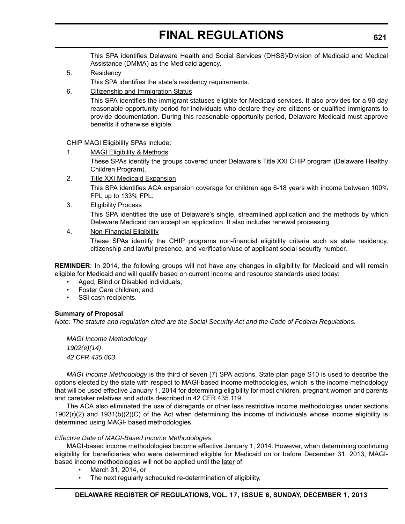This SPA identifies Delaware Health and Social Services (DHSS)/Division of Medicaid and Medical Assistance (DMMA) as the Medicaid agency.

- 5. Residency This SPA identifies the state's residency requirements.
- 6. Citizenship and Immigration Status

This SPA identifies the immigrant statuses eligible for Medicaid services. It also provides for a 90 day reasonable opportunity period for individuals who declare they are citizens or qualified immigrants to provide documentation. During this reasonable opportunity period, Delaware Medicaid must approve benefits if otherwise eligible.

CHIP MAGI Eligibility SPAs include:

1. MAGI Eligibility & Methods

These SPAs identify the groups covered under Delaware's Title XXI CHIP program (Delaware Healthy Children Program).

- 2. Title XXI Medicaid Expansion This SPA identifies ACA expansion coverage for children age 6-18 years with income between 100% FPL up to 133% FPL.
- 3. Eligibility Process

This SPA identifies the use of Delaware's single, streamlined application and the methods by which Delaware Medicaid can accept an application. It also includes renewal processing.

### 4. Non-Financial Eligibility

These SPAs identify the CHIP programs non-financial eligibility criteria such as state residency, citizenship and lawful presence, and verification/use of applicant social security number.

**REMINDER**: In 2014, the following groups will not have any changes in eligibility for Medicaid and will remain eligible for Medicaid and will qualify based on current income and resource standards used today:

- Aged, Blind or Disabled individuals;
- Foster Care children; and,
- SSI cash recipients.

### **Summary of Proposal**

*Note: The statute and regulation cited are the Social Security Act and the Code of Federal Regulations.*

*MAGI Income Methodology 1902(e)(14) 42 CFR 435.603*

*MAGI Income Methodology* is the third of seven (7) SPA actions. State plan page S10 is used to describe the options elected by the state with respect to MAGI-based income methodologies, which is the income methodology that will be used effective January 1, 2014 for determining eligibility for most children, pregnant women and parents and caretaker relatives and adults described in 42 CFR 435.119.

The ACA also eliminated the use of disregards or other less restrictive income methodologies under sections 1902(r)(2) and 1931(b)(2)(C) of the Act when determining the income of individuals whose income eligibility is determined using MAGI- based methodologies.

#### *Effective Date of MAGI-Based Income Methodologies*

MAGI-based income methodologies become effective January 1, 2014. However, when determining continuing eligibility for beneficiaries who were determined eligible for Medicaid on or before December 31, 2013, MAGIbased income methodologies will not be applied until the later of:

- March 31, 2014, or
- The next regularly scheduled re-determination of eligibility,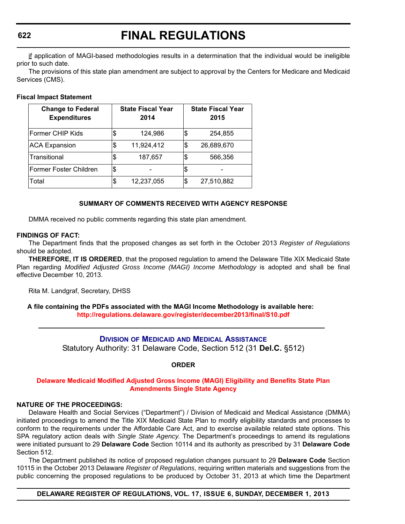if application of MAGI-based methodologies results in a determination that the individual would be ineligible prior to such date.

The provisions of this state plan amendment are subject to approval by the Centers for Medicare and Medicaid Services (CMS).

#### **Fiscal Impact Statement**

| <b>Change to Federal</b><br><b>Expenditures</b> |    | <b>State Fiscal Year</b><br>2014 |    | <b>State Fiscal Year</b><br>2015 |
|-------------------------------------------------|----|----------------------------------|----|----------------------------------|
| Former CHIP Kids                                | \$ | 124,986                          | \$ | 254,855                          |
| <b>ACA Expansion</b>                            | S  | 11,924,412                       | \$ | 26,689,670                       |
| Transitional                                    | \$ | 187,657                          | \$ | 566,356                          |
| Former Foster Children                          | \$ |                                  | \$ |                                  |
| Total                                           | \$ | 12,237,055                       | S  | 27,510,882                       |

### **SUMMARY OF COMMENTS RECEIVED WITH AGENCY RESPONSE**

DMMA received no public comments regarding this state plan amendment.

#### **FINDINGS OF FACT:**

The Department finds that the proposed changes as set forth in the October 2013 *Register of Regulations* should be adopted.

**THEREFORE, IT IS ORDERED**, that the proposed regulation to amend the Delaware Title XIX Medicaid State Plan regarding *Modified Adjusted Gross Income (MAGI) Income Methodology* is adopted and shall be final effective December 10, 2013.

Rita M. Landgraf, Secretary, DHSS

**A file containing the PDFs associated with the MAGI Income Methodology is available here: <http://regulations.delaware.gov/register/december2013/final/S10.pdf>**

> **DIVISION OF MEDICAID AND MEDICAL A[SSISTANCE](http://www.dhss.delaware.gov/dhss/dmma/)** Statutory Authority: 31 Delaware Code, Section 512 (31 **Del.C.** §512)

> > **ORDER**

### **Delaware Medicaid Modified Adjusted [Gross Income \(MAGI\) Eligibility and Benefits State Plan](#page-4-0)  Amendments Single State Agency**

### **NATURE OF THE PROCEEDINGS:**

Delaware Health and Social Services ("Department") / Division of Medicaid and Medical Assistance (DMMA) initiated proceedings to amend the Title XIX Medicaid State Plan to modify eligibility standards and processes to conform to the requirements under the Affordable Care Act, and to exercise available related state options. This SPA regulatory action deals with *Single State Agency*. The Department's proceedings to amend its regulations were initiated pursuant to 29 **Delaware Code** Section 10114 and its authority as prescribed by 31 **Delaware Code** Section 512.

The Department published its notice of proposed regulation changes pursuant to 29 **Delaware Code** Section 10115 in the October 2013 Delaware *Register of Regulations*, requiring written materials and suggestions from the public concerning the proposed regulations to be produced by October 31, 2013 at which time the Department

**DELAWARE REGISTER OF REGULATIONS, VOL. 17, ISSUE 6, SUNDAY, DECEMBER 1, 2013**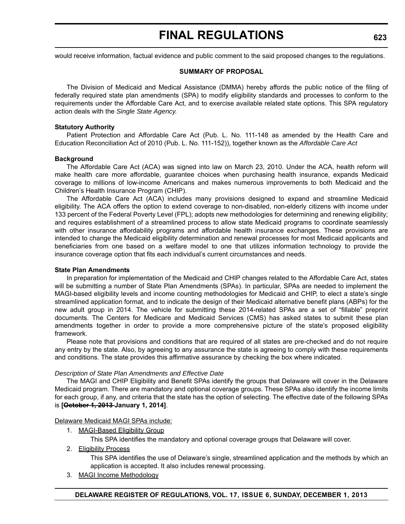would receive information, factual evidence and public comment to the said proposed changes to the regulations.

#### **SUMMARY OF PROPOSAL**

The Division of Medicaid and Medical Assistance (DMMA) hereby affords the public notice of the filing of federally required state plan amendments (SPA) to modify eligibility standards and processes to conform to the requirements under the Affordable Care Act, and to exercise available related state options. This SPA regulatory action deals with the *Single State Agency.*

#### **Statutory Authority**

Patient Protection and Affordable Care Act (Pub. L. No. 111-148 as amended by the Health Care and Education Reconciliation Act of 2010 (Pub. L. No. 111-152)), together known as the *Affordable Care Act*

#### **Background**

The Affordable Care Act (ACA) was signed into law on March 23, 2010. Under the ACA, health reform will make health care more affordable, guarantee choices when purchasing health insurance, expands Medicaid coverage to millions of low-income Americans and makes numerous improvements to both Medicaid and the Children's Health Insurance Program (CHIP).

The Affordable Care Act (ACA) includes many provisions designed to expand and streamline Medicaid eligibility. The ACA offers the option to extend coverage to non-disabled, non-elderly citizens with income under 133 percent of the Federal Poverty Level (FPL); adopts new methodologies for determining and renewing eligibility; and requires establishment of a streamlined process to allow state Medicaid programs to coordinate seamlessly with other insurance affordability programs and affordable health insurance exchanges. These provisions are intended to change the Medicaid eligibility determination and renewal processes for most Medicaid applicants and beneficiaries from one based on a welfare model to one that utilizes information technology to provide the insurance coverage option that fits each individual's current circumstances and needs.

#### **State Plan Amendments**

In preparation for implementation of the Medicaid and CHIP changes related to the Affordable Care Act, states will be submitting a number of State Plan Amendments (SPAs). In particular, SPAs are needed to implement the MAGI-based eligibility levels and income counting methodologies for Medicaid and CHIP, to elect a state's single streamlined application format, and to indicate the design of their Medicaid alternative benefit plans (ABPs) for the new adult group in 2014. The vehicle for submitting these 2014-related SPAs are a set of "fillable" preprint documents. The Centers for Medicare and Medicaid Services (CMS) has asked states to submit these plan amendments together in order to provide a more comprehensive picture of the state's proposed eligibility framework.

Please note that provisions and conditions that are required of all states are pre-checked and do not require any entry by the state. Also, by agreeing to any assurance the state is agreeing to comply with these requirements and conditions. The state provides this affirmative assurance by checking the box where indicated.

#### *Description of State Plan Amendments and Effective Date*

The MAGI and CHIP Eligibility and Benefit SPAs identify the groups that Delaware will cover in the Delaware Medicaid program. There are mandatory and optional coverage groups. These SPAs also identify the income limits for each group, if any, and criteria that the state has the option of selecting. The effective date of the following SPAs is **[October 1, 2013 January 1, 2014]**.

#### Delaware Medicaid MAGI SPAs include:

1. MAGI-Based Eligibility Group

This SPA identifies the mandatory and optional coverage groups that Delaware will cover.

2. Eligibility Process

This SPA identifies the use of Delaware's single, streamlined application and the methods by which an application is accepted. It also includes renewal processing.

3. MAGI Income Methodology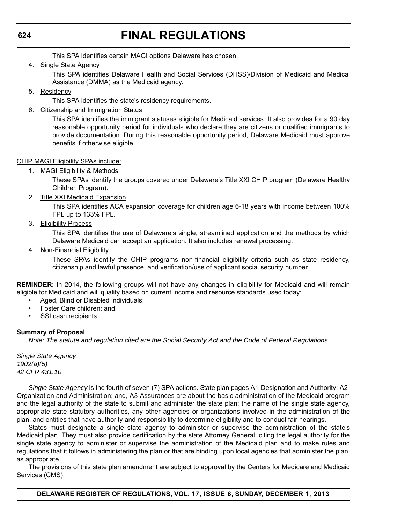This SPA identifies certain MAGI options Delaware has chosen.

4. Single State Agency

This SPA identifies Delaware Health and Social Services (DHSS)/Division of Medicaid and Medical Assistance (DMMA) as the Medicaid agency.

5. Residency

This SPA identifies the state's residency requirements.

6. Citizenship and Immigration Status

This SPA identifies the immigrant statuses eligible for Medicaid services. It also provides for a 90 day reasonable opportunity period for individuals who declare they are citizens or qualified immigrants to provide documentation. During this reasonable opportunity period, Delaware Medicaid must approve benefits if otherwise eligible.

### CHIP MAGI Eligibility SPAs include:

1. MAGI Eligibility & Methods

These SPAs identify the groups covered under Delaware's Title XXI CHIP program (Delaware Healthy Children Program).

2. Title XXI Medicaid Expansion

This SPA identifies ACA expansion coverage for children age 6-18 years with income between 100% FPL up to 133% FPL.

3. Eligibility Process

This SPA identifies the use of Delaware's single, streamlined application and the methods by which Delaware Medicaid can accept an application. It also includes renewal processing.

4. Non-Financial Eligibility

These SPAs identify the CHIP programs non-financial eligibility criteria such as state residency, citizenship and lawful presence, and verification/use of applicant social security number.

**REMINDER**: In 2014, the following groups will not have any changes in eligibility for Medicaid and will remain eligible for Medicaid and will qualify based on current income and resource standards used today:

- Aged, Blind or Disabled individuals;
- Foster Care children; and,
- SSI cash recipients.

### **Summary of Proposal**

*Note: The statute and regulation cited are the Social Security Act and the Code of Federal Regulations.*

*Single State Agency 1902(a)(5) 42 CFR 431.10* 

*Single State Agency* is the fourth of seven (7) SPA actions. State plan pages A1-Designation and Authority; A2- Organization and Administration; and, A3-Assurances are about the basic administration of the Medicaid program and the legal authority of the state to submit and administer the state plan: the name of the single state agency, appropriate state statutory authorities, any other agencies or organizations involved in the administration of the plan, and entities that have authority and responsibility to determine eligibility and to conduct fair hearings.

States must designate a single state agency to administer or supervise the administration of the state's Medicaid plan. They must also provide certification by the state Attorney General, citing the legal authority for the single state agency to administer or supervise the administration of the Medicaid plan and to make rules and regulations that it follows in administering the plan or that are binding upon local agencies that administer the plan, as appropriate.

The provisions of this state plan amendment are subject to approval by the Centers for Medicare and Medicaid Services (CMS).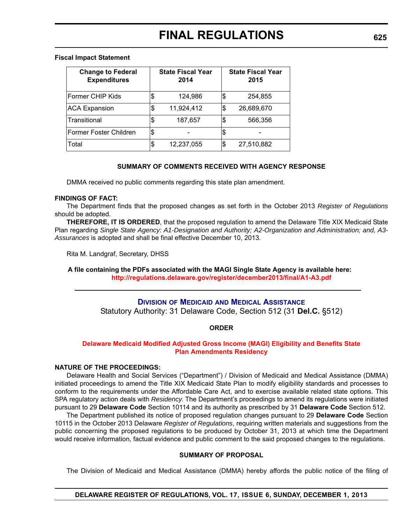#### **Fiscal Impact Statement**

| <b>Change to Federal</b><br><b>Expenditures</b> | <b>State Fiscal Year</b><br>2014 | <b>State Fiscal Year</b><br>2015 |
|-------------------------------------------------|----------------------------------|----------------------------------|
| Former CHIP Kids                                | \$<br>124,986                    | \$<br>254,855                    |
| <b>ACA Expansion</b>                            | \$<br>11,924,412                 | \$<br>26,689,670                 |
| Transitional                                    | \$<br>187,657                    | \$<br>566,356                    |
| Former Foster Children                          | \$                               |                                  |
| Total                                           | \$<br>12,237,055                 | \$<br>27,510,882                 |

#### **SUMMARY OF COMMENTS RECEIVED WITH AGENCY RESPONSE**

DMMA received no public comments regarding this state plan amendment.

#### **FINDINGS OF FACT:**

The Department finds that the proposed changes as set forth in the October 2013 *Register of Regulations* should be adopted.

**THEREFORE, IT IS ORDERED**, that the proposed regulation to amend the Delaware Title XIX Medicaid State Plan regarding *Single State Agency: A1-Designation and Authority; A2-Organization and Administration; and, A3- Assurances* is adopted and shall be final effective December 10, 2013.

Rita M. Landgraf, Secretary, DHSS

**A file containing the PDFs associated with the MAGI Single State Agency is available here: <http://regulations.delaware.gov/register/december2013/final/A1-A3.pdf>**

### **DIVISION OF MEDICAID AND MEDICAL A[SSISTANCE](http://www.dhss.delaware.gov/dhss/dmma/)**

Statutory Authority: 31 Delaware Code, Section 512 (31 **Del.C.** §512)

### **ORDER**

#### **[Delaware Medicaid Modified Adjusted Gross Income \(MAGI\) Eligibility and Benefits](#page-4-0) State Plan Amendments Residency**

#### **NATURE OF THE PROCEEDINGS:**

Delaware Health and Social Services ("Department") / Division of Medicaid and Medical Assistance (DMMA) initiated proceedings to amend the Title XIX Medicaid State Plan to modify eligibility standards and processes to conform to the requirements under the Affordable Care Act, and to exercise available related state options. This SPA regulatory action deals with *Residency*. The Department's proceedings to amend its regulations were initiated pursuant to 29 **Delaware Code** Section 10114 and its authority as prescribed by 31 **Delaware Code** Section 512.

The Department published its notice of proposed regulation changes pursuant to 29 **Delaware Code** Section 10115 in the October 2013 Delaware *Register of Regulations*, requiring written materials and suggestions from the public concerning the proposed regulations to be produced by October 31, 2013 at which time the Department would receive information, factual evidence and public comment to the said proposed changes to the regulations.

#### **SUMMARY OF PROPOSAL**

The Division of Medicaid and Medical Assistance (DMMA) hereby affords the public notice of the filing of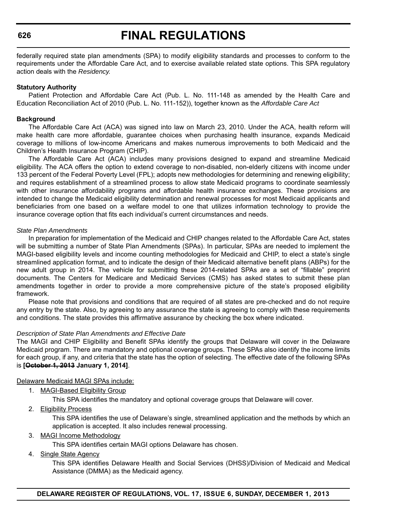# **FINAL REGULATIONS**

federally required state plan amendments (SPA) to modify eligibility standards and processes to conform to the requirements under the Affordable Care Act, and to exercise available related state options. This SPA regulatory action deals with the *Residency.*

#### **Statutory Authority**

Patient Protection and Affordable Care Act (Pub. L. No. 111-148 as amended by the Health Care and Education Reconciliation Act of 2010 (Pub. L. No. 111-152)), together known as the *Affordable Care Act*

#### **Background**

The Affordable Care Act (ACA) was signed into law on March 23, 2010. Under the ACA, health reform will make health care more affordable, guarantee choices when purchasing health insurance, expands Medicaid coverage to millions of low-income Americans and makes numerous improvements to both Medicaid and the Children's Health Insurance Program (CHIP).

The Affordable Care Act (ACA) includes many provisions designed to expand and streamline Medicaid eligibility. The ACA offers the option to extend coverage to non-disabled, non-elderly citizens with income under 133 percent of the Federal Poverty Level (FPL); adopts new methodologies for determining and renewing eligibility; and requires establishment of a streamlined process to allow state Medicaid programs to coordinate seamlessly with other insurance affordability programs and affordable health insurance exchanges. These provisions are intended to change the Medicaid eligibility determination and renewal processes for most Medicaid applicants and beneficiaries from one based on a welfare model to one that utilizes information technology to provide the insurance coverage option that fits each individual's current circumstances and needs.

#### *State Plan Amendments*

In preparation for implementation of the Medicaid and CHIP changes related to the Affordable Care Act, states will be submitting a number of State Plan Amendments (SPAs). In particular, SPAs are needed to implement the MAGI-based eligibility levels and income counting methodologies for Medicaid and CHIP, to elect a state's single streamlined application format, and to indicate the design of their Medicaid alternative benefit plans (ABPs) for the new adult group in 2014. The vehicle for submitting these 2014-related SPAs are a set of "fillable" preprint documents. The Centers for Medicare and Medicaid Services (CMS) has asked states to submit these plan amendments together in order to provide a more comprehensive picture of the state's proposed eligibility framework.

Please note that provisions and conditions that are required of all states are pre-checked and do not require any entry by the state. Also, by agreeing to any assurance the state is agreeing to comply with these requirements and conditions. The state provides this affirmative assurance by checking the box where indicated.

### *Description of State Plan Amendments and Effective Date*

The MAGI and CHIP Eligibility and Benefit SPAs identify the groups that Delaware will cover in the Delaware Medicaid program. There are mandatory and optional coverage groups. These SPAs also identify the income limits for each group, if any, and criteria that the state has the option of selecting. The effective date of the following SPAs is **[October 1, 2013 January 1, 2014]**.

#### Delaware Medicaid MAGI SPAs include:

1. MAGI-Based Eligibility Group

This SPA identifies the mandatory and optional coverage groups that Delaware will cover.

2. Eligibility Process

This SPA identifies the use of Delaware's single, streamlined application and the methods by which an application is accepted. It also includes renewal processing.

3. MAGI Income Methodology

This SPA identifies certain MAGI options Delaware has chosen.

#### 4. Single State Agency

This SPA identifies Delaware Health and Social Services (DHSS)/Division of Medicaid and Medical Assistance (DMMA) as the Medicaid agency.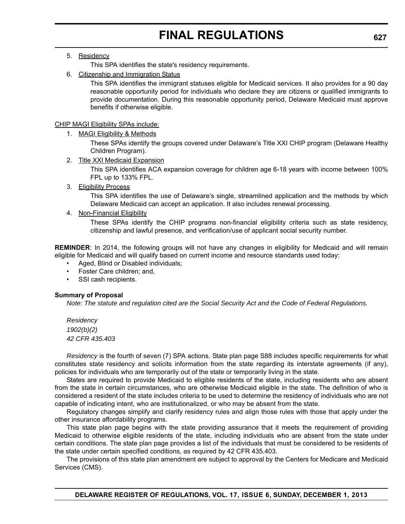## 5. Residency

This SPA identifies the state's residency requirements.

6. Citizenship and Immigration Status

This SPA identifies the immigrant statuses eligible for Medicaid services. It also provides for a 90 day reasonable opportunity period for individuals who declare they are citizens or qualified immigrants to provide documentation. During this reasonable opportunity period, Delaware Medicaid must approve benefits if otherwise eligible.

#### CHIP MAGI Eligibility SPAs include:

1. MAGI Eligibility & Methods

These SPAs identify the groups covered under Delaware's Title XXI CHIP program (Delaware Healthy Children Program).

2. Title XXI Medicaid Expansion

This SPA identifies ACA expansion coverage for children age 6-18 years with income between 100% FPL up to 133% FPL.

3. Eligibility Process

This SPA identifies the use of Delaware's single, streamlined application and the methods by which Delaware Medicaid can accept an application. It also includes renewal processing.

4. Non-Financial Eligibility

These SPAs identify the CHIP programs non-financial eligibility criteria such as state residency, citizenship and lawful presence, and verification/use of applicant social security number.

**REMINDER**: In 2014, the following groups will not have any changes in eligibility for Medicaid and will remain eligible for Medicaid and will qualify based on current income and resource standards used today:

- Aged, Blind or Disabled individuals;
- Foster Care children; and,
- SSI cash recipients.

### **Summary of Proposal**

*Note: The statute and regulation cited are the Social Security Act and the Code of Federal Regulations.*

*Residency 1902(b)(2) 42 CFR 435.403* 

*Residency* is the fourth of seven (7) SPA actions. State plan page S88 includes specific requirements for what constitutes state residency and solicits information from the state regarding its interstate agreements (if any), policies for individuals who are temporarily out of the state or temporarily living in the state.

States are required to provide Medicaid to eligible residents of the state, including residents who are absent from the state in certain circumstances, who are otherwise Medicaid eligible in the state. The definition of who is considered a resident of the state includes criteria to be used to determine the residency of individuals who are not capable of indicating intent, who are institutionalized, or who may be absent from the state.

Regulatory changes simplify and clarify residency rules and align those rules with those that apply under the other insurance affordability programs.

This state plan page begins with the state providing assurance that it meets the requirement of providing Medicaid to otherwise eligible residents of the state, including individuals who are absent from the state under certain conditions. The state plan page provides a list of the individuals that must be considered to be residents of the state under certain specified conditions, as required by 42 CFR 435.403.

The provisions of this state plan amendment are subject to approval by the Centers for Medicare and Medicaid Services (CMS).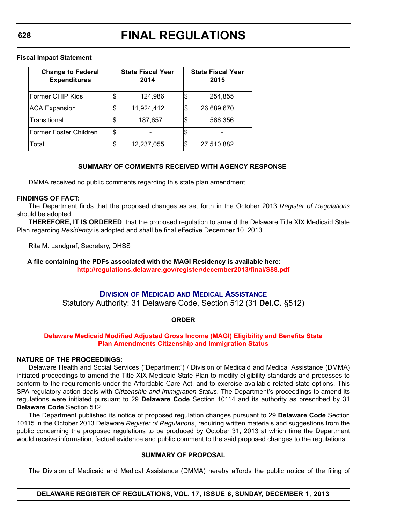**Fiscal Impact Statement**

| <b>Change to Federal</b><br><b>Expenditures</b> |     | <b>State Fiscal Year</b><br>2014 | <b>State Fiscal Year</b><br>2015 |
|-------------------------------------------------|-----|----------------------------------|----------------------------------|
| Former CHIP Kids                                | \$  | 124,986                          | \$<br>254,855                    |
| <b>ACA Expansion</b>                            | S   | 11,924,412                       | \$<br>26,689,670                 |
| Transitional                                    | S   | 187,657                          | \$<br>566,356                    |
| Former Foster Children                          | 1\$ |                                  |                                  |
| Total                                           | \$  | 12,237,055                       | \$<br>27,510,882                 |

### **SUMMARY OF COMMENTS RECEIVED WITH AGENCY RESPONSE**

DMMA received no public comments regarding this state plan amendment.

#### **FINDINGS OF FACT:**

The Department finds that the proposed changes as set forth in the October 2013 *Register of Regulations* should be adopted.

**THEREFORE, IT IS ORDERED**, that the proposed regulation to amend the Delaware Title XIX Medicaid State Plan regarding *Residency* is adopted and shall be final effective December 10, 2013.

Rita M. Landgraf, Secretary, DHSS

**A file containing the PDFs associated with the MAGI Residency is available here: <http://regulations.delaware.gov/register/december2013/final/S88.pdf>**

# **DIVISION OF MEDICAID AND MEDICAL A[SSISTANCE](http://www.dhss.delaware.gov/dhss/dmma/)**

Statutory Authority: 31 Delaware Code, Section 512 (31 **Del.C.** §512)

### **ORDER**

### **Delaware Medicaid Modified Adjusted [Gross Income \(MAGI\) Eligibility and Benefits](#page-4-0) State Plan Amendments Citizenship and Immigration Status**

#### **NATURE OF THE PROCEEDINGS:**

Delaware Health and Social Services ("Department") / Division of Medicaid and Medical Assistance (DMMA) initiated proceedings to amend the Title XIX Medicaid State Plan to modify eligibility standards and processes to conform to the requirements under the Affordable Care Act, and to exercise available related state options. This SPA regulatory action deals with *Citizenship and Immigration Status*. The Department's proceedings to amend its regulations were initiated pursuant to 29 **Delaware Code** Section 10114 and its authority as prescribed by 31 **Delaware Code** Section 512.

The Department published its notice of proposed regulation changes pursuant to 29 **Delaware Code** Section 10115 in the October 2013 Delaware *Register of Regulations*, requiring written materials and suggestions from the public concerning the proposed regulations to be produced by October 31, 2013 at which time the Department would receive information, factual evidence and public comment to the said proposed changes to the regulations.

### **SUMMARY OF PROPOSAL**

The Division of Medicaid and Medical Assistance (DMMA) hereby affords the public notice of the filing of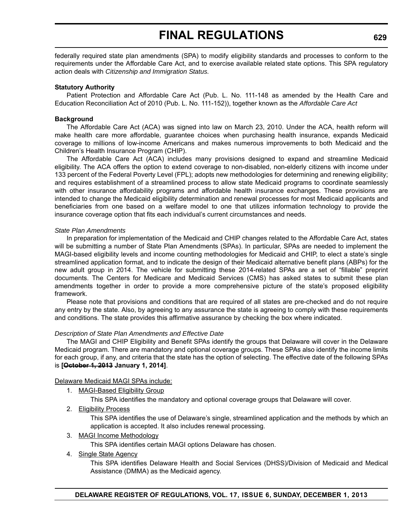federally required state plan amendments (SPA) to modify eligibility standards and processes to conform to the requirements under the Affordable Care Act, and to exercise available related state options. This SPA regulatory action deals with *Citizenship and Immigration Status.*

#### **Statutory Authority**

Patient Protection and Affordable Care Act (Pub. L. No. 111-148 as amended by the Health Care and Education Reconciliation Act of 2010 (Pub. L. No. 111-152)), together known as the *Affordable Care Act*

#### **Background**

The Affordable Care Act (ACA) was signed into law on March 23, 2010. Under the ACA, health reform will make health care more affordable, guarantee choices when purchasing health insurance, expands Medicaid coverage to millions of low-income Americans and makes numerous improvements to both Medicaid and the Children's Health Insurance Program (CHIP).

The Affordable Care Act (ACA) includes many provisions designed to expand and streamline Medicaid eligibility. The ACA offers the option to extend coverage to non-disabled, non-elderly citizens with income under 133 percent of the Federal Poverty Level (FPL); adopts new methodologies for determining and renewing eligibility; and requires establishment of a streamlined process to allow state Medicaid programs to coordinate seamlessly with other insurance affordability programs and affordable health insurance exchanges. These provisions are intended to change the Medicaid eligibility determination and renewal processes for most Medicaid applicants and beneficiaries from one based on a welfare model to one that utilizes information technology to provide the insurance coverage option that fits each individual's current circumstances and needs.

#### *State Plan Amendments*

In preparation for implementation of the Medicaid and CHIP changes related to the Affordable Care Act, states will be submitting a number of State Plan Amendments (SPAs). In particular, SPAs are needed to implement the MAGI-based eligibility levels and income counting methodologies for Medicaid and CHIP, to elect a state's single streamlined application format, and to indicate the design of their Medicaid alternative benefit plans (ABPs) for the new adult group in 2014. The vehicle for submitting these 2014-related SPAs are a set of "fillable" preprint documents. The Centers for Medicare and Medicaid Services (CMS) has asked states to submit these plan amendments together in order to provide a more comprehensive picture of the state's proposed eligibility framework.

Please note that provisions and conditions that are required of all states are pre-checked and do not require any entry by the state. Also, by agreeing to any assurance the state is agreeing to comply with these requirements and conditions. The state provides this affirmative assurance by checking the box where indicated.

### *Description of State Plan Amendments and Effective Date*

The MAGI and CHIP Eligibility and Benefit SPAs identify the groups that Delaware will cover in the Delaware Medicaid program. There are mandatory and optional coverage groups. These SPAs also identify the income limits for each group, if any, and criteria that the state has the option of selecting. The effective date of the following SPAs is **[October 1, 2013 January 1, 2014]**.

#### Delaware Medicaid MAGI SPAs include:

1. MAGI-Based Eligibility Group

This SPA identifies the mandatory and optional coverage groups that Delaware will cover.

2. Eligibility Process

This SPA identifies the use of Delaware's single, streamlined application and the methods by which an application is accepted. It also includes renewal processing.

3. MAGI Income Methodology

This SPA identifies certain MAGI options Delaware has chosen.

4. Single State Agency

This SPA identifies Delaware Health and Social Services (DHSS)/Division of Medicaid and Medical Assistance (DMMA) as the Medicaid agency.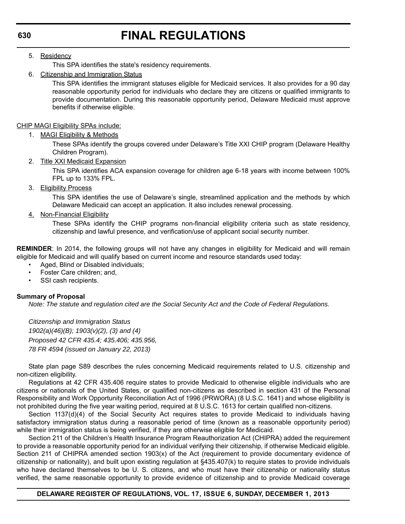5. Residency

This SPA identifies the state's residency requirements.

6. Citizenship and Immigration Status

This SPA identifies the immigrant statuses eligible for Medicaid services. It also provides for a 90 day reasonable opportunity period for individuals who declare they are citizens or qualified immigrants to provide documentation. During this reasonable opportunity period, Delaware Medicaid must approve benefits if otherwise eligible.

CHIP MAGI Eligibility SPAs include:

1. MAGI Eligibility & Methods

These SPAs identify the groups covered under Delaware's Title XXI CHIP program (Delaware Healthy Children Program).

2. Title XXI Medicaid Expansion

This SPA identifies ACA expansion coverage for children age 6-18 years with income between 100% FPL up to 133% FPL.

3. Eligibility Process

This SPA identifies the use of Delaware's single, streamlined application and the methods by which Delaware Medicaid can accept an application. It also includes renewal processing.

4. Non-Financial Eligibility

These SPAs identify the CHIP programs non-financial eligibility criteria such as state residency, citizenship and lawful presence, and verification/use of applicant social security number.

**REMINDER**: In 2014, the following groups will not have any changes in eligibility for Medicaid and will remain eligible for Medicaid and will qualify based on current income and resource standards used today:

- Aged, Blind or Disabled individuals;
- Foster Care children; and,
- SSI cash recipients.

### **Summary of Proposal**

*Note: The statute and regulation cited are the Social Security Act and the Code of Federal Regulations.*

*Citizenship and Immigration Status 1902(a)(46)(B); 1903(v)(2), (3) and (4) Proposed 42 CFR 435.4; 435.406; 435.956, 78 FR 4594 (issued on January 22, 2013)*

State plan page S89 describes the rules concerning Medicaid requirements related to U.S. citizenship and non-citizen eligibility.

Regulations at 42 CFR 435.406 require states to provide Medicaid to otherwise eligible individuals who are citizens or nationals of the United States, or qualified non-citizens as described in section 431 of the Personal Responsibility and Work Opportunity Reconciliation Act of 1996 (PRWORA) (8 U.S.C. 1641) and whose eligibility is not prohibited during the five year waiting period, required at 8 U.S.C. 1613 for certain qualified non-citizens.

Section 1137(d)(4) of the Social Security Act requires states to provide Medicaid to individuals having satisfactory immigration status during a reasonable period of time (known as a reasonable opportunity period) while their immigration status is being verified, if they are otherwise eligible for Medicaid.

Section 211 of the Children's Health Insurance Program Reauthorization Act (CHIPRA) added the requirement to provide a reasonable opportunity period for an individual verifying their citizenship, if otherwise Medicaid eligible. Section 211 of CHIPRA amended section 1903(x) of the Act (requirement to provide documentary evidence of citizenship or nationality), and built upon existing regulation at §435.407(k) to require states to provide individuals who have declared themselves to be U. S. citizens, and who must have their citizenship or nationality status verified, the same reasonable opportunity to provide evidence of citizenship and to provide Medicaid coverage

### **DELAWARE REGISTER OF REGULATIONS, VOL. 17, ISSUE 6, SUNDAY, DECEMBER 1, 2013**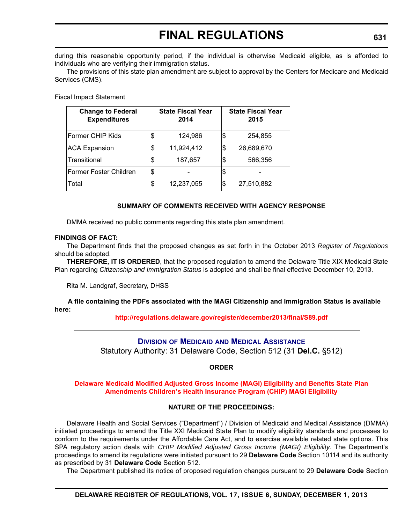during this reasonable opportunity period, if the individual is otherwise Medicaid eligible, as is afforded to individuals who are verifying their immigration status.

The provisions of this state plan amendment are subject to approval by the Centers for Medicare and Medicaid Services (CMS).

Fiscal Impact Statement

| <b>Change to Federal</b><br><b>Expenditures</b> |    | <b>State Fiscal Year</b><br>2014 | <b>State Fiscal Year</b><br>2015 |
|-------------------------------------------------|----|----------------------------------|----------------------------------|
| Former CHIP Kids                                | \$ | 124,986                          | \$<br>254,855                    |
| <b>ACA Expansion</b>                            | \$ | 11,924,412                       | \$<br>26,689,670                 |
| ITransitional                                   | S  | 187,657                          | \$<br>566,356                    |
| Former Foster Children                          | \$ |                                  |                                  |
| Total                                           | \$ | 12,237,055                       | \$<br>27,510,882                 |

### **SUMMARY OF COMMENTS RECEIVED WITH AGENCY RESPONSE**

DMMA received no public comments regarding this state plan amendment.

#### **FINDINGS OF FACT:**

The Department finds that the proposed changes as set forth in the October 2013 *Register of Regulations* should be adopted.

**THEREFORE, IT IS ORDERED**, that the proposed regulation to amend the Delaware Title XIX Medicaid State Plan regarding *Citizenship and Immigration Status* is adopted and shall be final effective December 10, 2013.

Rita M. Landgraf, Secretary, DHSS

**A file containing the PDFs associated with the MAGI Citizenship and Immigration Status is available here:** 

### **<http://regulations.delaware.gov/register/december2013/final/S89.pdf>**

# **DIVISION OF MEDICAID AND MEDICAL A[SSISTANCE](http://www.dhss.delaware.gov/dhss/dmma/)**

Statutory Authority: 31 Delaware Code, Section 512 (31 **Del.C.** §512)

## **ORDER**

#### **[Delaware Medicaid Modified Adjusted Gross Income \(MAGI\) Eligibility and Benefits State Plan](#page-4-0)  Amendments Children's Health Insurance Program (CHIP) MAGI Eligibility**

### **NATURE OF THE PROCEEDINGS:**

Delaware Health and Social Services ("Department") / Division of Medicaid and Medical Assistance (DMMA) initiated proceedings to amend the Title XXI Medicaid State Plan to modify eligibility standards and processes to conform to the requirements under the Affordable Care Act, and to exercise available related state options. This SPA regulatory action deals with *CHIP Modified Adjusted Gross Income (MAGI) Eligibility*. The Department's proceedings to amend its regulations were initiated pursuant to 29 **Delaware Code** Section 10114 and its authority as prescribed by 31 **Delaware Code** Section 512.

The Department published its notice of proposed regulation changes pursuant to 29 **Delaware Code** Section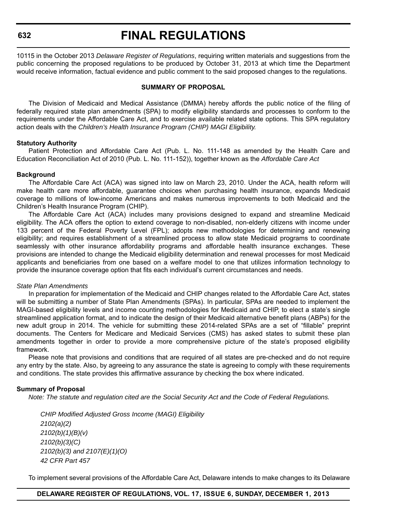# **FINAL REGULATIONS**

10115 in the October 2013 *Delaware Register of Regulations*, requiring written materials and suggestions from the public concerning the proposed regulations to be produced by October 31, 2013 at which time the Department would receive information, factual evidence and public comment to the said proposed changes to the regulations.

#### **SUMMARY OF PROPOSAL**

The Division of Medicaid and Medical Assistance (DMMA) hereby affords the public notice of the filing of federally required state plan amendments (SPA) to modify eligibility standards and processes to conform to the requirements under the Affordable Care Act, and to exercise available related state options. This SPA regulatory action deals with the *Children's Health Insurance Program (CHIP) MAGI Eligibility.*

#### **Statutory Authority**

Patient Protection and Affordable Care Act (Pub. L. No. 111-148 as amended by the Health Care and Education Reconciliation Act of 2010 (Pub. L. No. 111-152)), together known as the *Affordable Care Act*

#### **Background**

The Affordable Care Act (ACA) was signed into law on March 23, 2010. Under the ACA, health reform will make health care more affordable, guarantee choices when purchasing health insurance, expands Medicaid coverage to millions of low-income Americans and makes numerous improvements to both Medicaid and the Children's Health Insurance Program (CHIP).

The Affordable Care Act (ACA) includes many provisions designed to expand and streamline Medicaid eligibility. The ACA offers the option to extend coverage to non-disabled, non-elderly citizens with income under 133 percent of the Federal Poverty Level (FPL); adopts new methodologies for determining and renewing eligibility; and requires establishment of a streamlined process to allow state Medicaid programs to coordinate seamlessly with other insurance affordability programs and affordable health insurance exchanges. These provisions are intended to change the Medicaid eligibility determination and renewal processes for most Medicaid applicants and beneficiaries from one based on a welfare model to one that utilizes information technology to provide the insurance coverage option that fits each individual's current circumstances and needs.

#### *State Plan Amendments*

In preparation for implementation of the Medicaid and CHIP changes related to the Affordable Care Act, states will be submitting a number of State Plan Amendments (SPAs). In particular, SPAs are needed to implement the MAGI-based eligibility levels and income counting methodologies for Medicaid and CHIP, to elect a state's single streamlined application format, and to indicate the design of their Medicaid alternative benefit plans (ABPs) for the new adult group in 2014. The vehicle for submitting these 2014-related SPAs are a set of "fillable" preprint documents. The Centers for Medicare and Medicaid Services (CMS) has asked states to submit these plan amendments together in order to provide a more comprehensive picture of the state's proposed eligibility framework.

Please note that provisions and conditions that are required of all states are pre-checked and do not require any entry by the state. Also, by agreeing to any assurance the state is agreeing to comply with these requirements and conditions. The state provides this affirmative assurance by checking the box where indicated.

### **Summary of Proposal**

*Note: The statute and regulation cited are the Social Security Act and the Code of Federal Regulations.*

*CHIP Modified Adjusted Gross Income (MAGI) Eligibility 2102(a)(2) 2102(b)(1)(B)(v) 2102(b)(3)(C) 2102(b)(3) and 2107(E)(1)(O) 42 CFR Part 457*

To implement several provisions of the Affordable Care Act, Delaware intends to make changes to its Delaware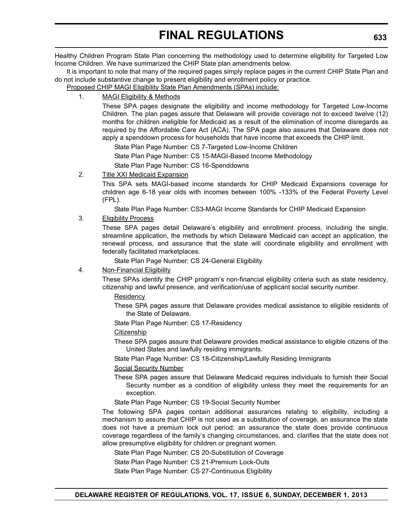Healthy Children Program State Plan concerning the methodology used to determine eligibility for Targeted Low Income Children. We have summarized the CHIP State plan amendments below.

It is important to note that many of the required pages simply replace pages in the current CHIP State Plan and do not include substantive change to present eligibility and enrollment policy or practice.

Proposed CHIP MAGI Eligibility State Plan Amendments (SPAs) include:

# 1. MAGI Eligibility & Methods

These SPA pages designate the eligibility and income methodology for Targeted Low-Income Children. The plan pages assure that Delaware will provide coverage not to exceed twelve (12) months for children ineligible for Medicaid as a result of the elimination of income disregards as required by the Affordable Care Act (ACA). The SPA page also assures that Delaware does not apply a spenddown process for households that have income that exceeds the CHIP limit.

State Plan Page Number: CS 7-Targeted Low-Income Children

State Plan Page Number: CS 15-MAGI-Based Income Methodology

State Plan Page Number: CS 16-Spenddowns

# 2. Title XXI Medicaid Expansion

This SPA sets MAGI-based income standards for CHIP Medicaid Expansions coverage for children age 6-18 year olds with incomes between 100% -133% of the Federal Poverty Level (FPL).

State Plan Page Number: CS3-MAGI Income Standards for CHIP Medicaid Expansion

### 3. Eligibility Process

These SPA pages detail Delaware's eligibility and enrollment process, including the single, streamline application, the methods by which Delaware Medicaid can accept an application, the renewal process, and assurance that the state will coordinate eligibility and enrollment with federally facilitated marketplaces.

State Plan Page Number: CS 24-General Eligibility

### 4. Non-Financial Eligibility

These SPAs identify the CHIP program's non-financial eligibility criteria such as state residency, citizenship and lawful presence, and verification/use of applicant social security number.

**Residency** 

These SPA pages assure that Delaware provides medical assistance to eligible residents of the State of Delaware.

State Plan Page Number: CS 17-Residency

### Citizenship

These SPA pages assure that Delaware provides medical assistance to eligible citizens of the United States and lawfully residing immigrants.

State Plan Page Number: CS 18-Citizenship/Lawfully Residing Immigrants

# Social Security Number

These SPA pages assure that Delaware Medicaid requires individuals to furnish their Social Security number as a condition of eligibility unless they meet the requirements for an exception.

State Plan Page Number: CS 19-Social Security Number

The following SPA pages contain additional assurances relating to eligibility, including a mechanism to assure that CHIP is not used as a substitution of coverage, an assurance the state does not have a premium lock out period; an assurance the state does provide continuous coverage regardless of the family's changing circumstances, and, clarifies that the state does not allow presumptive eligibility for children or pregnant women.

State Plan Page Number: CS 20-Substitution of Coverage

State Plan Page Number: CS 21-Premium Lock-Outs

State Plan Page Number: CS 27-Continuous Eligibility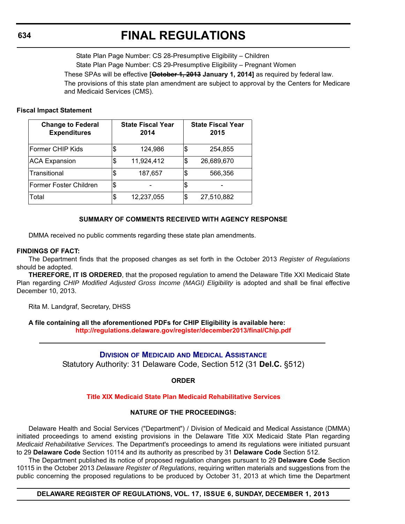# **FINAL REGULATIONS**

State Plan Page Number: CS 28-Presumptive Eligibility – Children State Plan Page Number: CS 29-Presumptive Eligibility – Pregnant Women These SPAs will be effective **[October 1, 2013 January 1, 2014]** as required by federal law. The provisions of this state plan amendment are subject to approval by the Centers for Medicare and Medicaid Services (CMS).

#### **Fiscal Impact Statement**

| <b>Change to Federal</b><br><b>Expenditures</b> |    | <b>State Fiscal Year</b><br>2014 | <b>State Fiscal Year</b><br>2015 |
|-------------------------------------------------|----|----------------------------------|----------------------------------|
| Former CHIP Kids                                | \$ | 124,986                          | \$<br>254,855                    |
| <b>ACA Expansion</b>                            | S  | 11,924,412                       | \$<br>26,689,670                 |
| Transitional                                    | \$ | 187,657                          | \$<br>566,356                    |
| Former Foster Children                          | \$ |                                  |                                  |
| Total                                           | \$ | 12,237,055                       | \$<br>27,510,882                 |

## **SUMMARY OF COMMENTS RECEIVED WITH AGENCY RESPONSE**

DMMA received no public comments regarding these state plan amendments.

#### **FINDINGS OF FACT:**

The Department finds that the proposed changes as set forth in the October 2013 *Register of Regulations* should be adopted.

**THEREFORE, IT IS ORDERED**, that the proposed regulation to amend the Delaware Title XXI Medicaid State Plan regarding *CHIP Modified Adjusted Gross Income (MAGI) Eligibility* is adopted and shall be final effective December 10, 2013.

Rita M. Landgraf, Secretary, DHSS

**A file containing all the aforementioned PDFs for CHIP Eligibility is available here:** 

**<http://regulations.delaware.gov/register/december2013/final/Chip.pdf>**

### **DIVISION OF MEDICAID AND MEDICAL A[SSISTANCE](http://www.dhss.delaware.gov/dhss/dmma/)**

Statutory Authority: 31 Delaware Code, Section 512 (31 **Del.C.** §512)

**ORDER**

### **[Title XIX Medicaid State Plan Medicaid Rehabilitative Services](#page-4-0)**

### **NATURE OF THE PROCEEDINGS:**

Delaware Health and Social Services ("Department") / Division of Medicaid and Medical Assistance (DMMA) initiated proceedings to amend existing provisions in the Delaware Title XIX Medicaid State Plan regarding *Medicaid Rehabilitative Services*. The Department's proceedings to amend its regulations were initiated pursuant to 29 **Delaware Code** Section 10114 and its authority as prescribed by 31 **Delaware Code** Section 512.

The Department published its notice of proposed regulation changes pursuant to 29 **Delaware Code** Section 10115 in the October 2013 *Delaware Register of Regulations*, requiring written materials and suggestions from the public concerning the proposed regulations to be produced by October 31, 2013 at which time the Department

**DELAWARE REGISTER OF REGULATIONS, VOL. 17, ISSUE 6, SUNDAY, DECEMBER 1, 2013**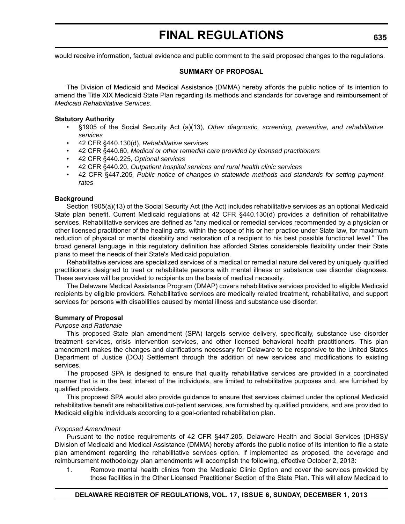would receive information, factual evidence and public comment to the said proposed changes to the regulations.

#### **SUMMARY OF PROPOSAL**

The Division of Medicaid and Medical Assistance (DMMA) hereby affords the public notice of its intention to amend the Title XIX Medicaid State Plan regarding its methods and standards for coverage and reimbursement of *Medicaid Rehabilitative Services*.

#### **Statutory Authority**

- §1905 of the Social Security Act (a)(13), *Other diagnostic, screening, preventive, and rehabilitative services*
- 42 CFR §440.130(d), *Rehabilitative services*
- 42 CFR §440.60, *Medical or other remedial care provided by licensed practitioners*
- 42 CFR §440.225, *Optional services*
- 42 CFR §440.20, *Outpatient hospital services and rural health clinic services*
- 42 CFR §447.205*, Public notice of changes in statewide methods and standards for setting payment rates*

#### **Background**

Section 1905(a)(13) of the Social Security Act (the Act) includes rehabilitative services as an optional Medicaid State plan benefit. Current Medicaid regulations at 42 CFR §440.130(d) provides a definition of rehabilitative services. Rehabilitative services are defined as "any medical or remedial services recommended by a physician or other licensed practitioner of the healing arts, within the scope of his or her practice under State law, for maximum reduction of physical or mental disability and restoration of a recipient to his best possible functional level." The broad general language in this regulatory definition has afforded States considerable flexibility under their State plans to meet the needs of their State's Medicaid population.

Rehabilitative services are specialized services of a medical or remedial nature delivered by uniquely qualified practitioners designed to treat or rehabilitate persons with mental illness or substance use disorder diagnoses. These services will be provided to recipients on the basis of medical necessity.

The Delaware Medical Assistance Program (DMAP) covers rehabilitative services provided to eligible Medicaid recipients by eligible providers. Rehabilitative services are medically related treatment, rehabilitative, and support services for persons with disabilities caused by mental illness and substance use disorder.

### **Summary of Proposal**

#### *Purpose and Rationale*

This proposed State plan amendment (SPA) targets service delivery, specifically, substance use disorder treatment services, crisis intervention services, and other licensed behavioral health practitioners. This plan amendment makes the changes and clarifications necessary for Delaware to be responsive to the United States Department of Justice (DOJ) Settlement through the addition of new services and modifications to existing services.

The proposed SPA is designed to ensure that quality rehabilitative services are provided in a coordinated manner that is in the best interest of the individuals, are limited to rehabilitative purposes and, are furnished by qualified providers.

This proposed SPA would also provide guidance to ensure that services claimed under the optional Medicaid rehabilitative benefit are rehabilitative out-patient services, are furnished by qualified providers, and are provided to Medicaid eligible individuals according to a goal-oriented rehabilitation plan.

#### *Proposed Amendment*

Pursuant to the notice requirements of 42 CFR §447.205, Delaware Health and Social Services (DHSS)/ Division of Medicaid and Medical Assistance (DMMA) hereby affords the public notice of its intention to file a state plan amendment regarding the rehabilitative services option. If implemented as proposed, the coverage and reimbursement methodology plan amendments will accomplish the following, effective October 2, 2013:

1. Remove mental health clinics from the Medicaid Clinic Option and cover the services provided by those facilities in the Other Licensed Practitioner Section of the State Plan. This will allow Medicaid to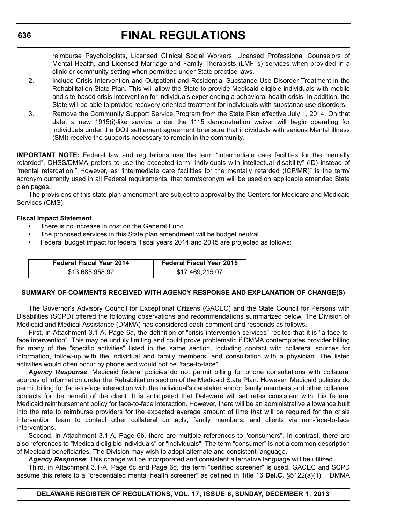reimburse Psychologists, Licensed Clinical Social Workers, Licensed Professional Counselors of Mental Health, and Licensed Marriage and Family Therapists (LMFTs) services when provided in a clinic or community setting when permitted under State practice laws.

- 2. Include Crisis Intervention and Outpatient and Residential Substance Use Disorder Treatment in the Rehabilitation State Plan. This will allow the State to provide Medicaid eligible individuals with mobile and site-based crisis intervention for individuals experiencing a behavioral health crisis. In addition, the State will be able to provide recovery-oriented treatment for individuals with substance use disorders.
- 3. Remove the Community Support Service Program from the State Plan effective July 1, 2014. On that date, a new 1915(i)-like service under the 1115 demonstration waiver will begin operating for individuals under the DOJ settlement agreement to ensure that individuals with serious Mental illness (SMI) receive the supports necessary to remain in the community.

**IMPORTANT NOTE:** Federal law and regulations use the term "intermediate care facilities for the mentally retarded". DHSS/DMMA prefers to use the accepted term "individuals with intellectual disability" (ID) instead of "mental retardation." However, as "intermediate care facilities for the mentally retarded (ICF/MR)" is the term/ acronym currently used in all Federal requirements, that term/acronym will be used on applicable amended State plan pages.

The provisions of this state plan amendment are subject to approval by the Centers for Medicare and Medicaid Services (CMS).

#### **Fiscal Impact Statement**

- There is no increase in cost on the General Fund.
- The proposed services in this State plan amendment will be budget neutral.
- Federal budget impact for federal fiscal years 2014 and 2015 are projected as follows:

| <b>Federal Fiscal Year 2014</b> | <b>Federal Fiscal Year 2015</b> |
|---------------------------------|---------------------------------|
| \$13,685,958.92                 | \$17,469,215.07                 |

# **SUMMARY OF COMMENTS RECEIVED WITH AGENCY RESPONSE AND EXPLANATION OF CHANGE(S)**

The Governor's Advisory Council for Exceptional Citizens (GACEC) and the State Council for Persons with Disabilities (SCPD) offered the following observations and recommendations summarized below. The Division of Medicaid and Medical Assistance (DMMA) has considered each comment and responds as follows.

First, in Attachment 3.1-A, Page 6a, the definition of "crisis intervention services" recites that it is "a face-toface intervention". This may be unduly limiting and could prove problematic if DMMA contemplates provider billing for many of the "specific activities" listed in the same section, including contact with collateral sources for information, follow-up with the individual and family members, and consultation with a physician. The listed activities would often occur by phone and would not be "face-to-face".

*Agency Response*: Medicaid federal policies do not permit billing for phone consultations with collateral sources of information under the Rehabilitation section of the Medicaid State Plan. However, Medicaid policies do permit billing for face-to-face interaction with the individual's caretaker and/or family members and other collateral contacts for the benefit of the client. It is anticipated that Delaware will set rates consistent with this federal Medicaid reimbursement policy for face-to-face interaction. However, there will be an administrative allowance built into the rate to reimburse providers for the expected average amount of time that will be required for the crisis intervention team to contact other collateral contacts, family members, and clients via non-face-to-face interventions.

Second, in Attachment 3.1-A, Page 6b, there are multiple references to "consumers". In contrast, there are also references to "Medicaid eligible individuals" or "individuals". The term "consumer" is not a common description of Medicaid beneficiaries. The Division may wish to adopt alternate and consistent language.

*Agency Response*: This change will be incorporated and consistent alternative language will be utilized.

Third, in Attachment 3.1-A, Page 6c and Page 6d, the term "certified screener" is used. GACEC and SCPD assume this refers to a "credentialed mental health screener" as defined in Title 16 **Del.C.** §5122(a)(1). DMMA

### **DELAWARE REGISTER OF REGULATIONS, VOL. 17, ISSUE 6, SUNDAY, DECEMBER 1, 2013**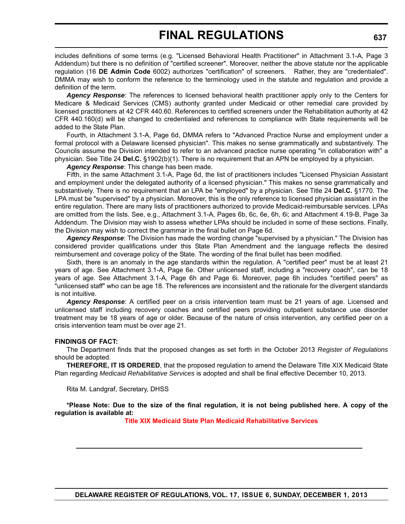includes definitions of some terms (e.g. "Licensed Behavioral Health Practitioner" in Attachment 3.1-A, Page 3 Addendum) but there is no definition of "certified screener". Moreover, neither the above statute nor the applicable regulation (16 **DE Admin Code** 6002) authorizes "certification" of screeners. Rather, they are "credentialed". DMMA may wish to conform the reference to the terminology used in the statute and regulation and provide a definition of the term.

*Agency Response*: The references to licensed behavioral health practitioner apply only to the Centers for Medicare & Medicaid Services (CMS) authority granted under Medicaid or other remedial care provided by licensed practitioners at 42 CFR 440.60. References to certified screeners under the Rehabilitation authority at 42 CFR 440.160(d) will be changed to credentialed and references to compliance with State requirements will be added to the State Plan.

Fourth, in Attachment 3.1-A, Page 6d, DMMA refers to "Advanced Practice Nurse and employment under a formal protocol with a Delaware licensed physician". This makes no sense grammatically and substantively. The Councils assume the Division intended to refer to an advanced practice nurse operating "in collaboration with" a physician. See Title 24 **Del.C.** §1902(b)(1). There is no requirement that an APN be employed by a physician.

*Agency Response*: This change has been made.

Fifth, in the same Attachment 3.1-A, Page 6d, the list of practitioners includes "Licensed Physician Assistant and employment under the delegated authority of a licensed physician." This makes no sense grammatically and substantively. There is no requirement that an LPA be "employed" by a physician. See Title 24 **Del.C.** §1770. The LPA must be "supervised" by a physician. Moreover, this is the only reference to licensed physician assistant in the entire regulation. There are many lists of practitioners authorized to provide Medicaid-reimbursable services. LPAs are omitted from the lists. See, e.g., Attachment 3.1-A, Pages 6b, 6c, 6e, 6h, 6i; and Attachment 4.19-B, Page 3a Addendum. The Division may wish to assess whether LPAs should be included in some of these sections. Finally, the Division may wish to correct the grammar in the final bullet on Page 6d.

*Agency Response*: The Division has made the wording change "supervised by a physician." The Division has considered provider qualifications under this State Plan Amendment and the language reflects the desired reimbursement and coverage policy of the State. The wording of the final bullet has been modified.

Sixth, there is an anomaly in the age standards within the regulation. A "certified peer" must be at least 21 years of age. See Attachment 3.1-A, Page 6e. Other unlicensed staff, including a "recovery coach", can be 18 years of age. See Attachment 3.1-A, Page 6h and Page 6i. Moreover, page 6h includes "certified peers" as "unlicensed staff" who can be age 18. The references are inconsistent and the rationale for the divergent standards is not intuitive.

*Agency Response*: A certified peer on a crisis intervention team must be 21 years of age. Licensed and unlicensed staff including recovery coaches and certified peers providing outpatient substance use disorder treatment may be 18 years of age or older. Because of the nature of crisis intervention, any certified peer on a crisis intervention team must be over age 21.

#### **FINDINGS OF FACT:**

The Department finds that the proposed changes as set forth in the October 2013 *Register of Regulations* should be adopted.

**THEREFORE, IT IS ORDERED**, that the proposed regulation to amend the Delaware Title XIX Medicaid State Plan regarding *Medicaid Rehabilitative Services* is adopted and shall be final effective December 10, 2013.

Rita M. Landgraf, Secretary, DHSS

**\*Please Note: Due to the size of the final regulation, it is not being published here. A copy of the regulation is available at:**

**[Title XIX Medicaid State Plan Medicaid Rehabilitative Services](http://regulations.delaware.gov/register/december2013/final/17 DE Reg 634 12-01-13.htm)**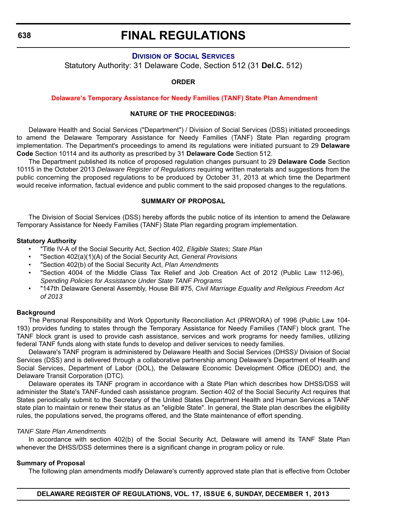# **FINAL REGULATIONS**

# **DIVISION OF SOCIAL S[ERVICES](http://www.dhss.delaware.gov/dhss/dss/index.html)**

Statutory Authority: 31 Delaware Code, Section 512 (31 **Del.C.** 512)

#### **ORDER**

#### **Delaware's Temporary Assistance for Needy Families (TANF) [State Plan Amendment](#page-4-0)**

#### **NATURE OF THE PROCEEDINGS:**

Delaware Health and Social Services ("Department") / Division of Social Services (DSS) initiated proceedings to amend the Delaware Temporary Assistance for Needy Families (TANF) State Plan regarding program implementation. The Department's proceedings to amend its regulations were initiated pursuant to 29 **Delaware Code** Section 10114 and its authority as prescribed by 31 **Delaware Code** Section 512.

The Department published its notice of proposed regulation changes pursuant to 29 **Delaware Code** Section 10115 in the October 2013 *Delaware Register of Regulations* requiring written materials and suggestions from the public concerning the proposed regulations to be produced by October 31, 2013 at which time the Department would receive information, factual evidence and public comment to the said proposed changes to the regulations.

#### **SUMMARY OF PROPOSAL**

The Division of Social Services (DSS) hereby affords the public notice of its intention to amend the Delaware Temporary Assistance for Needy Families (TANF) State Plan regarding program implementation.

#### **Statutory Authority**

- "Title IV-A of the Social Security Act, Section 402, *Eligible States; State Plan*
- "Section 402(a)(1)(A) of the Social Security Act, *General Provisions*
- "Section 402(b) of the Social Security Act, *Plan Amendments*
- "Section 4004 of the Middle Class Tax Relief and Job Creation Act of 2012 (Public Law 112-96), *Spending Policies for Assistance Under State TANF Programs*
- "147th Delaware General Assembly, House Bill #75, *Civil Marriage Equality and Religious Freedom Act of 2013*

### **Background**

The Personal Responsibility and Work Opportunity Reconciliation Act (PRWORA) of 1996 (Public Law 104- 193) provides funding to states through the Temporary Assistance for Needy Families (TANF) block grant. The TANF block grant is used to provide cash assistance, services and work programs for needy families, utilizing federal TANF funds along with state funds to develop and deliver services to needy families.

Delaware's TANF program is administered by Delaware Health and Social Services (DHSS)/ Division of Social Services (DSS) and is delivered through a collaborative partnership among Delaware's Department of Health and Social Services, Department of Labor (DOL), the Delaware Economic Development Office (DEDO) and, the Delaware Transit Corporation (DTC).

Delaware operates its TANF program in accordance with a State Plan which describes how DHSS/DSS will administer the State's TANF-funded cash assistance program. Section 402 of the Social Security Act requires that States periodically submit to the Secretary of the United States Department Health and Human Services a TANF state plan to maintain or renew their status as an "eligible State". In general, the State plan describes the eligibility rules, the populations served, the programs offered, and the State maintenance of effort spending.

### *TANF State Plan Amendments*

In accordance with section 402(b) of the Social Security Act, Delaware will amend its TANF State Plan whenever the DHSS/DSS determines there is a significant change in program policy or rule.

### **Summary of Proposal**

The following plan amendments modify Delaware's currently approved state plan that is effective from October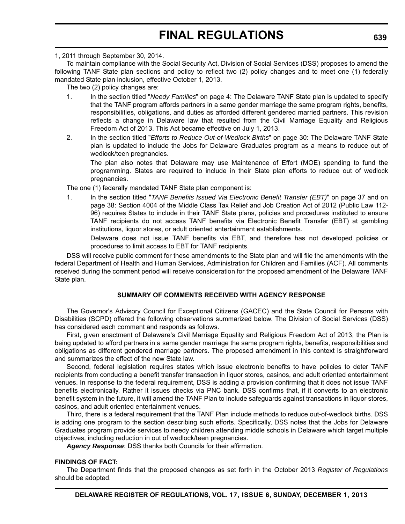#### 1, 2011 through September 30, 2014.

To maintain compliance with the Social Security Act, Division of Social Services (DSS) proposes to amend the following TANF State plan sections and policy to reflect two (2) policy changes and to meet one (1) federally mandated State plan inclusion, effective October 1, 2013.

The two (2) policy changes are:

- 1. In the section titled "*Needy Families*" on page 4: The Delaware TANF State plan is updated to specify that the TANF program affords partners in a same gender marriage the same program rights, benefits, responsibilities, obligations, and duties as afforded different gendered married partners. This revision reflects a change in Delaware law that resulted from the Civil Marriage Equality and Religious Freedom Act of 2013. This Act became effective on July 1, 2013.
- 2. In the section titled "*Efforts to Reduce Out-of-Wedlock Births*" on page 30: The Delaware TANF State plan is updated to include the Jobs for Delaware Graduates program as a means to reduce out of wedlock/teen pregnancies.

The plan also notes that Delaware may use Maintenance of Effort (MOE) spending to fund the programming. States are required to include in their State plan efforts to reduce out of wedlock pregnancies.

The one (1) federally mandated TANF State plan component is:

1. In the section titled "*TANF Benefits Issued Via Electronic Benefit Transfer (EBT)*" on page 37 and on page 38: Section 4004 of the Middle Class Tax Relief and Job Creation Act of 2012 (Public Law 112- 96) requires States to include in their TANF State plans, policies and procedures instituted to ensure TANF recipients do not access TANF benefits via Electronic Benefit Transfer (EBT) at gambling institutions, liquor stores, or adult oriented entertainment establishments.

Delaware does not issue TANF benefits via EBT, and therefore has not developed policies or procedures to limit access to EBT for TANF recipients.

DSS will receive public comment for these amendments to the State plan and will file the amendments with the federal Department of Health and Human Services, Administration for Children and Families (ACF). All comments received during the comment period will receive consideration for the proposed amendment of the Delaware TANF State plan.

### **SUMMARY OF COMMENTS RECEIVED WITH AGENCY RESPONSE**

The Governor's Advisory Council for Exceptional Citizens (GACEC) and the State Council for Persons with Disabilities (SCPD) offered the following observations summarized below. The Division of Social Services (DSS) has considered each comment and responds as follows.

First, given enactment of Delaware's Civil Marriage Equality and Religious Freedom Act of 2013, the Plan is being updated to afford partners in a same gender marriage the same program rights, benefits, responsibilities and obligations as different gendered marriage partners. The proposed amendment in this context is straightforward and summarizes the effect of the new State law.

Second, federal legislation requires states which issue electronic benefits to have policies to deter TANF recipients from conducting a benefit transfer transaction in liquor stores, casinos, and adult oriented entertainment venues. In response to the federal requirement, DSS is adding a provision confirming that it does not issue TANF benefits electronically. Rather it issues checks via PNC bank. DSS confirms that, if it converts to an electronic benefit system in the future, it will amend the TANF Plan to include safeguards against transactions in liquor stores, casinos, and adult oriented entertainment venues.

Third, there is a federal requirement that the TANF Plan include methods to reduce out-of-wedlock births. DSS is adding one program to the section describing such efforts. Specifically, DSS notes that the Jobs for Delaware Graduates program provide services to needy children attending middle schools in Delaware which target multiple objectives, including reduction in out of wedlock/teen pregnancies.

*Agency Response*: DSS thanks both Councils for their affirmation.

### **FINDINGS OF FACT:**

The Department finds that the proposed changes as set forth in the October 2013 *Register of Regulations* should be adopted.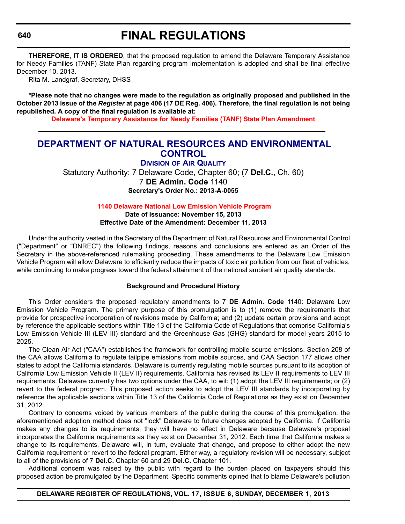**THEREFORE, IT IS ORDERED**, that the proposed regulation to amend the Delaware Temporary Assistance for Needy Families (TANF) State Plan regarding program implementation is adopted and shall be final effective December 10, 2013.

Rita M. Landgraf, Secretary, DHSS

**\*Please note that no changes were made to the regulation as originally proposed and published in the October 2013 issue of the** *Register* **at page 406 (17 DE Reg. 406). Therefore, the final regulation is not being republished. A copy of the final regulation is available at:**

**[Delaware's Temporary Assistance for Needy Families \(TANF\) State Plan Amendment](http://regulations.delaware.gov/register/december2013/final/17 DE Reg 638 12-01-13.htm)**

# **[DEPARTMENT OF NATURAL RESOURCES AND ENVIRONMENTAL](http://www.dnrec.delaware.gov/Air/Pages/Air-Quality.aspx) CONTROL**

**DIVISION OF AIR QUALITY**

Statutory Authority: 7 Delaware Code, Chapter 60; (7 **Del.C.**, Ch. 60) 7 **DE Admin. Code** 1140 **Secretary's Order No.: 2013-A-0055**

**1140 [Delaware National Low Emission Vehicle Program](#page-4-0)**

**Date of Issuance: November 15, 2013 Effective Date of the Amendment: December 11, 2013**

Under the authority vested in the Secretary of the Department of Natural Resources and Environmental Control ("Department" or "DNREC") the following findings, reasons and conclusions are entered as an Order of the Secretary in the above-referenced rulemaking proceeding. These amendments to the Delaware Low Emission Vehicle Program will allow Delaware to efficiently reduce the impacts of toxic air pollution from our fleet of vehicles, while continuing to make progress toward the federal attainment of the national ambient air quality standards.

#### **Background and Procedural History**

This Order considers the proposed regulatory amendments to 7 **DE Admin. Code** 1140: Delaware Low Emission Vehicle Program. The primary purpose of this promulgation is to (1) remove the requirements that provide for prospective incorporation of revisions made by California; and (2) update certain provisions and adopt by reference the applicable sections within Title 13 of the California Code of Regulations that comprise California's Low Emission Vehicle III (LEV III) standard and the Greenhouse Gas (GHG) standard for model years 2015 to 2025.

The Clean Air Act ("CAA") establishes the framework for controlling mobile source emissions. Section 208 of the CAA allows California to regulate tailpipe emissions from mobile sources, and CAA Section 177 allows other states to adopt the California standards. Delaware is currently regulating mobile sources pursuant to its adoption of California Low Emission Vehicle II (LEV II) requirements. California has revised its LEV II requirements to LEV III requirements. Delaware currently has two options under the CAA, to wit: (1) adopt the LEV III requirements; or (2) revert to the federal program. This proposed action seeks to adopt the LEV III standards by incorporating by reference the applicable sections within Title 13 of the California Code of Regulations as they exist on December 31, 2012.

Contrary to concerns voiced by various members of the public during the course of this promulgation, the aforementioned adoption method does not "lock" Delaware to future changes adopted by California. If California makes any changes to its requirements, they will have no effect in Delaware because Delaware's proposal incorporates the California requirements as they exist on December 31, 2012. Each time that California makes a change to its requirements, Delaware will, in turn, evaluate that change, and propose to either adopt the new California requirement or revert to the federal program. Either way, a regulatory revision will be necessary, subject to all of the provisions of 7 **Del.C.** Chapter 60 and 29 **Del.C.** Chapter 101.

Additional concern was raised by the public with regard to the burden placed on taxpayers should this proposed action be promulgated by the Department. Specific comments opined that to blame Delaware's pollution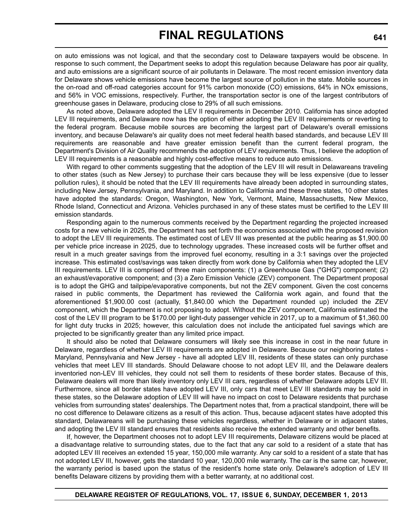on auto emissions was not logical, and that the secondary cost to Delaware taxpayers would be obscene. In response to such comment, the Department seeks to adopt this regulation because Delaware has poor air quality, and auto emissions are a significant source of air pollutants in Delaware. The most recent emission inventory data for Delaware shows vehicle emissions have become the largest source of pollution in the state. Mobile sources in the on-road and off-road categories account for 91% carbon monoxide (CO) emissions, 64% in NOx emissions, and 56% in VOC emissions, respectively. Further, the transportation sector is one of the largest contributors of greenhouse gases in Delaware, producing close to 29% of all such emissions.

As noted above, Delaware adopted the LEV II requirements in December 2010. California has since adopted LEV III requirements, and Delaware now has the option of either adopting the LEV III requirements or reverting to the federal program. Because mobile sources are becoming the largest part of Delaware's overall emissions inventory, and because Delaware's air quality does not meet federal health based standards, and because LEV III requirements are reasonable and have greater emission benefit than the current federal program, the Department's Division of Air Quality recommends the adoption of LEV requirements. Thus, I believe the adoption of LEV III requirements is a reasonable and highly cost-effective means to reduce auto emissions.

With regard to other comments suggesting that the adoption of the LEV III will result in Delawareans traveling to other states (such as New Jersey) to purchase their cars because they will be less expensive (due to lesser pollution rules), it should be noted that the LEV III requirements have already been adopted in surrounding states, including New Jersey, Pennsylvania, and Maryland. In addition to California and these three states, 10 other states have adopted the standards: Oregon, Washington, New York, Vermont, Maine, Massachusetts, New Mexico, Rhode Island, Connecticut and Arizona. Vehicles purchased in any of these states must be certified to the LEV III emission standards.

Responding again to the numerous comments received by the Department regarding the projected increased costs for a new vehicle in 2025, the Department has set forth the economics associated with the proposed revision to adopt the LEV III requirements. The estimated cost of LEV III was presented at the public hearing as \$1,900.00 per vehicle price increase in 2025, due to technology upgrades. These increased costs will be further offset and result in a much greater savings from the improved fuel economy, resulting in a 3:1 savings over the projected increase. This estimated cost/savings was taken directly from work done by California when they adopted the LEV III requirements. LEV III is comprised of three main components: (1) a Greenhouse Gas ("GHG") component; (2) an exhaust/evaporative component; and (3) a Zero Emission Vehicle (ZEV) component. The Department proposal is to adopt the GHG and tailpipe/evaporative components, but not the ZEV component. Given the cost concerns raised in public comments, the Department has reviewed the California work again, and found that the aforementioned \$1,900.00 cost (actually, \$1,840.00 which the Department rounded up) included the ZEV component, which the Department is not proposing to adopt. Without the ZEV component, California estimated the cost of the LEV III program to be \$170.00 per light-duty passenger vehicle in 2017, up to a maximum of \$1,360.00 for light duty trucks in 2025; however, this calculation does not include the anticipated fuel savings which are projected to be significantly greater than any limited price impact.

It should also be noted that Delaware consumers will likely see this increase in cost in the near future in Delaware, regardless of whether LEV III requirements are adopted in Delaware. Because our neighboring states - Maryland, Pennsylvania and New Jersey - have all adopted LEV III, residents of these states can only purchase vehicles that meet LEV III standards. Should Delaware choose to not adopt LEV III, and the Delaware dealers inventoried non-LEV III vehicles, they could not sell them to residents of these border states. Because of this, Delaware dealers will more than likely inventory only LEV III cars, regardless of whether Delaware adopts LEV III. Furthermore, since all border states have adopted LEV III, only cars that meet LEV III standards may be sold in these states, so the Delaware adoption of LEV III will have no impact on cost to Delaware residents that purchase vehicles from surrounding states' dealerships. The Department notes that, from a practical standpoint, there will be no cost difference to Delaware citizens as a result of this action. Thus, because adjacent states have adopted this standard, Delawareans will be purchasing these vehicles regardless, whether in Delaware or in adjacent states, and adopting the LEV III standard ensures that residents also receive the extended warranty and other benefits.

If, however, the Department chooses not to adopt LEV III requirements, Delaware citizens would be placed at a disadvantage relative to surrounding states, due to the fact that any car sold to a resident of a state that has adopted LEV III receives an extended 15 year, 150,000 mile warranty. Any car sold to a resident of a state that has not adopted LEV III, however, gets the standard 10 year, 120,000 mile warranty. The car is the same car, however, the warranty period is based upon the status of the resident's home state only. Delaware's adoption of LEV III benefits Delaware citizens by providing them with a better warranty, at no additional cost.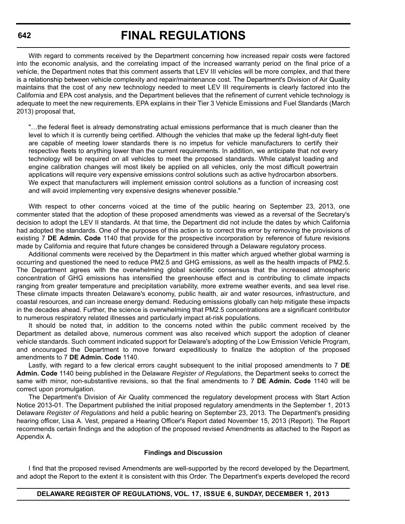# **FINAL REGULATIONS**

With regard to comments received by the Department concerning how increased repair costs were factored into the economic analysis, and the correlating impact of the increased warranty period on the final price of a vehicle, the Department notes that this comment asserts that LEV III vehicles will be more complex, and that there is a relationship between vehicle complexity and repair/maintenance cost. The Department's Division of Air Quality maintains that the cost of any new technology needed to meet LEV III requirements is clearly factored into the California and EPA cost analysis, and the Department believes that the refinement of current vehicle technology is adequate to meet the new requirements. EPA explains in their Tier 3 Vehicle Emissions and Fuel Standards (March 2013) proposal that,

"…the federal fleet is already demonstrating actual emissions performance that is much cleaner than the level to which it is currently being certified. Although the vehicles that make up the federal light-duty fleet are capable of meeting lower standards there is no impetus for vehicle manufacturers to certify their respective fleets to anything lower than the current requirements. In addition, we anticipate that not every technology will be required on all vehicles to meet the proposed standards. While catalyst loading and engine calibration changes will most likely be applied on all vehicles, only the most difficult powertrain applications will require very expensive emissions control solutions such as active hydrocarbon absorbers. We expect that manufacturers will implement emission control solutions as a function of increasing cost and will avoid implementing very expensive designs whenever possible."

With respect to other concerns voiced at the time of the public hearing on September 23, 2013, one commenter stated that the adoption of these proposed amendments was viewed as a reversal of the Secretary's decision to adopt the LEV II standards. At that time, the Department did not include the dates by which California had adopted the standards. One of the purposes of this action is to correct this error by removing the provisions of existing 7 **DE Admin. Code** 1140 that provide for the prospective incorporation by reference of future revisions made by California and require that future changes be considered through a Delaware regulatory process.

Additional comments were received by the Department in this matter which argued whether global warming is occurring and questioned the need to reduce PM2.5 and GHG emissions, as well as the health impacts of PM2.5. The Department agrees with the overwhelming global scientific consensus that the increased atmospheric concentration of GHG emissions has intensified the greenhouse effect and is contributing to climate impacts ranging from greater temperature and precipitation variability, more extreme weather events, and sea level rise. These climate impacts threaten Delaware's economy, public health, air and water resources, infrastructure, and coastal resources, and can increase energy demand. Reducing emissions globally can help mitigate these impacts in the decades ahead. Further, the science is overwhelming that PM2.5 concentrations are a significant contributor to numerous respiratory related illnesses and particularly impact at-risk populations.

It should be noted that, in addition to the concerns noted within the public comment received by the Department as detailed above, numerous comment was also received which support the adoption of cleaner vehicle standards. Such comment indicated support for Delaware's adopting of the Low Emission Vehicle Program, and encouraged the Department to move forward expeditiously to finalize the adoption of the proposed amendments to 7 **DE Admin. Code** 1140.

Lastly, with regard to a few clerical errors caught subsequent to the initial proposed amendments to 7 **DE Admin. Code** 1140 being published in the Delaware *Register of Regulations*, the Department seeks to correct the same with minor, non-substantive revisions, so that the final amendments to 7 **DE Admin. Code** 1140 will be correct upon promulgation.

The Department's Division of Air Quality commenced the regulatory development process with Start Action Notice 2013-01. The Department published the initial proposed regulatory amendments in the September 1, 2013 Delaware *Register of Regulations* and held a public hearing on September 23, 2013. The Department's presiding hearing officer, Lisa A. Vest, prepared a Hearing Officer's Report dated November 15, 2013 (Report). The Report recommends certain findings and the adoption of the proposed revised Amendments as attached to the Report as Appendix A.

#### **Findings and Discussion**

I find that the proposed revised Amendments are well-supported by the record developed by the Department, and adopt the Report to the extent it is consistent with this Order. The Department's experts developed the record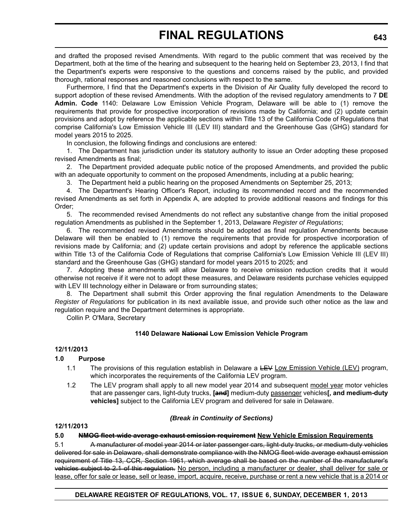and drafted the proposed revised Amendments. With regard to the public comment that was received by the Department, both at the time of the hearing and subsequent to the hearing held on September 23, 2013, I find that the Department's experts were responsive to the questions and concerns raised by the public, and provided thorough, rational responses and reasoned conclusions with respect to the same.

Furthermore, I find that the Department's experts in the Division of Air Quality fully developed the record to support adoption of these revised Amendments. With the adoption of the revised regulatory amendments to 7 **DE Admin. Code** 1140: Delaware Low Emission Vehicle Program, Delaware will be able to (1) remove the requirements that provide for prospective incorporation of revisions made by California; and (2) update certain provisions and adopt by reference the applicable sections within Title 13 of the California Code of Regulations that comprise California's Low Emission Vehicle III (LEV III) standard and the Greenhouse Gas (GHG) standard for model years 2015 to 2025.

In conclusion, the following findings and conclusions are entered:

1. The Department has jurisdiction under its statutory authority to issue an Order adopting these proposed revised Amendments as final;

2. The Department provided adequate public notice of the proposed Amendments, and provided the public with an adequate opportunity to comment on the proposed Amendments, including at a public hearing;

3. The Department held a public hearing on the proposed Amendments on September 25, 2013;

4. The Department's Hearing Officer's Report, including its recommended record and the recommended revised Amendments as set forth in Appendix A, are adopted to provide additional reasons and findings for this Order;

5. The recommended revised Amendments do not reflect any substantive change from the initial proposed regulation Amendments as published in the September 1, 2013, Delaware *Register of Regulations*;

6. The recommended revised Amendments should be adopted as final regulation Amendments because Delaware will then be enabled to (1) remove the requirements that provide for prospective incorporation of revisions made by California; and (2) update certain provisions and adopt by reference the applicable sections within Title 13 of the California Code of Regulations that comprise California's Low Emission Vehicle III (LEV III) standard and the Greenhouse Gas (GHG) standard for model years 2015 to 2025; and

7. Adopting these amendments will allow Delaware to receive omission reduction credits that it would otherwise not receive if it were not to adopt these measures, and Delaware residents purchase vehicles equipped with LEV III technology either in Delaware or from surrounding states;

8. The Department shall submit this Order approving the final regulation Amendments to the Delaware *Register of Regulations* for publication in its next available issue, and provide such other notice as the law and regulation require and the Department determines is appropriate.

Collin P. O'Mara, Secretary

### **1140 Delaware National Low Emission Vehicle Program**

### **12/11/2013**

### **1.0 Purpose**

- 1.1 The provisions of this regulation establish in Delaware a LEV Low Emission Vehicle (LEV) program, which incorporates the requirements of the California LEV program.
- 1.2 The LEV program shall apply to all new model year 2014 and subsequent model year motor vehicles that are passenger cars, light-duty trucks, **[and]** medium-duty passenger vehicles**[, and medium-duty vehicles]** subject to the California LEV program and delivered for sale in Delaware.

### *(Break in Continuity of Sections)*

#### **12/11/2013**

### **5.0 NMOG fleet-wide average exhaust emission requirement New Vehicle Emission Requirements**

5.1 A manufacturer of model year 2014 or later passenger cars, light-duty trucks, or medium-duty vehicles delivered for sale in Delaware, shall demonstrate compliance with the NMOG fleet wide average exhaust emission requirement of Title 13, CCR, Section 1961, which average shall be based on the number of the manufacturer's vehicles subject to 2.1 of this regulation. No person, including a manufacturer or dealer, shall deliver for sale or lease, offer for sale or lease, sell or lease, import, acquire, receive, purchase or rent a new vehicle that is a 2014 or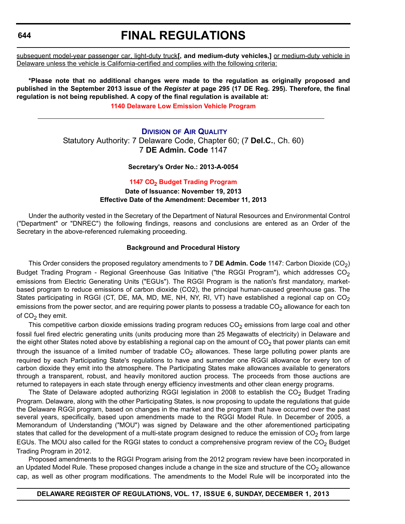# **FINAL REGULATIONS**

subsequent model-year passenger car, light-duty truck**[, and medium-duty vehicles,]** or medium-duty vehicle in Delaware unless the vehicle is California-certified and complies with the following criteria:

**\*Please note that no additional changes were made to the regulation as originally proposed and published in the September 2013 issue of the** *Register* **at page 295 (17 DE Reg. 295). Therefore, the final regulation is not being republished. A copy of the final regulation is available at: [1140 Delaware Low Emission Vehicle Program](http://regulations.delaware.gov/register/december2013/final/17 DE Reg 640 12-01-13.htm)**

**D[IVISION](http://www.dnrec.delaware.gov/fw/Pages/FWPortal.aspx) OF AIR QUALITY** Statutory Authority: 7 Delaware Code, Chapter 60; (7 **Del.C.**, Ch. 60) 7 **DE Admin. Code** 1147

**Secretary's Order No.: 2013-A-0054**

**1147 CO<sup>2</sup> Budget [Trading Program](#page-4-0) Date of Issuance: November 19, 2013 Effective Date of the Amendment: December 11, 2013**

Under the authority vested in the Secretary of the Department of Natural Resources and Environmental Control ("Department" or "DNREC") the following findings, reasons and conclusions are entered as an Order of the Secretary in the above-referenced rulemaking proceeding.

#### **Background and Procedural History**

This Order considers the proposed regulatory amendments to 7 **DE Admin. Code** 1147: Carbon Dioxide (CO2) Budget Trading Program - Regional Greenhouse Gas Initiative ("the RGGI Program"), which addresses  $CO<sub>2</sub>$ emissions from Electric Generating Units ("EGUs"). The RGGI Program is the nation's first mandatory, marketbased program to reduce emissions of carbon dioxide (CO2), the principal human-caused greenhouse gas. The States participating in RGGI (CT, DE, MA, MD, ME, NH, NY, RI, VT) have established a regional cap on CO<sub>2</sub> emissions from the power sector, and are requiring power plants to possess a tradable  $CO<sub>2</sub>$  allowance for each ton of  $CO<sub>2</sub>$  they emit.

This competitive carbon dioxide emissions trading program reduces  $CO<sub>2</sub>$  emissions from large coal and other fossil fuel fired electric generating units (units producing more than 25 Megawatts of electricity) in Delaware and the eight other States noted above by establishing a regional cap on the amount of  $CO<sub>2</sub>$  that power plants can emit through the issuance of a limited number of tradable  $CO<sub>2</sub>$  allowances. These large polluting power plants are required by each Participating State's regulations to have and surrender one RGGI allowance for every ton of carbon dioxide they emit into the atmosphere. The Participating States make allowances available to generators through a transparent, robust, and heavily monitored auction process. The proceeds from those auctions are returned to ratepayers in each state through energy efficiency investments and other clean energy programs.

The State of Delaware adopted authorizing RGGI legislation in 2008 to establish the  $CO<sub>2</sub>$  Budget Trading Program. Delaware, along with the other Participating States, is now proposing to update the regulations that guide the Delaware RGGI program, based on changes in the market and the program that have occurred over the past several years, specifically, based upon amendments made to the RGGI Model Rule. In December of 2005, a Memorandum of Understanding ("MOU") was signed by Delaware and the other aforementioned participating states that called for the development of a multi-state program designed to reduce the emission of  $CO<sub>2</sub>$  from large EGUs. The MOU also called for the RGGI states to conduct a comprehensive program review of the  $CO<sub>2</sub>$  Budget Trading Program in 2012.

Proposed amendments to the RGGI Program arising from the 2012 program review have been incorporated in an Updated Model Rule. These proposed changes include a change in the size and structure of the  $CO<sub>2</sub>$  allowance cap, as well as other program modifications. The amendments to the Model Rule will be incorporated into the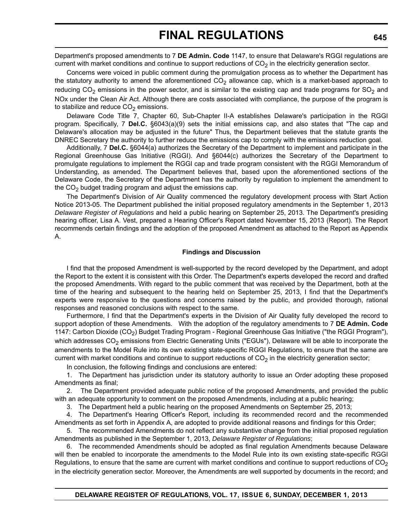Department's proposed amendments to 7 **DE Admin. Code** 1147, to ensure that Delaware's RGGI regulations are current with market conditions and continue to support reductions of  $CO<sub>2</sub>$  in the electricity generation sector.

Concerns were voiced in public comment during the promulgation process as to whether the Department has the statutory authority to amend the aforementioned  $CO<sub>2</sub>$  allowance cap, which is a market-based approach to reducing  $CO<sub>2</sub>$  emissions in the power sector, and is similar to the existing cap and trade programs for  $SO<sub>2</sub>$  and NOx under the Clean Air Act. Although there are costs associated with compliance, the purpose of the program is to stabilize and reduce  $CO<sub>2</sub>$  emissions.

Delaware Code Title 7, Chapter 60, Sub-Chapter II-A establishes Delaware's participation in the RGGI program. Specifically, 7 **Del.C.** §6043(a)(9) sets the initial emissions cap, and also states that "The cap and Delaware's allocation may be adjusted in the future" Thus, the Department believes that the statute grants the DNREC Secretary the authority to further reduce the emissions cap to comply with the emissions reduction goal.

Additionally, 7 **Del.C.** §6044(a) authorizes the Secretary of the Department to implement and participate in the Regional Greenhouse Gas Initiative (RGGI). And §6044(c) authorizes the Secretary of the Department to promulgate regulations to implement the RGGI cap and trade program consistent with the RGGI Memorandum of Understanding, as amended. The Department believes that, based upon the aforementioned sections of the Delaware Code, the Secretary of the Department has the authority by regulation to implement the amendment to the  $CO<sub>2</sub>$  budget trading program and adjust the emissions cap.

The Department's Division of Air Quality commenced the regulatory development process with Start Action Notice 2013-05. The Department published the initial proposed regulatory amendments in the September 1, 2013 *Delaware Register of Regulations* and held a public hearing on September 25, 2013. The Department's presiding hearing officer, Lisa A. Vest, prepared a Hearing Officer's Report dated November 15, 2013 (Report). The Report recommends certain findings and the adoption of the proposed Amendment as attached to the Report as Appendix A.

#### **Findings and Discussion**

I find that the proposed Amendment is well-supported by the record developed by the Department, and adopt the Report to the extent it is consistent with this Order. The Department's experts developed the record and drafted the proposed Amendments. With regard to the public comment that was received by the Department, both at the time of the hearing and subsequent to the hearing held on September 25, 2013, I find that the Department's experts were responsive to the questions and concerns raised by the public, and provided thorough, rational responses and reasoned conclusions with respect to the same.

Furthermore, I find that the Department's experts in the Division of Air Quality fully developed the record to support adoption of these Amendments. With the adoption of the regulatory amendments to 7 **DE Admin. Code** 1147: Carbon Dioxide (CO<sub>2</sub>) Budget Trading Program - Regional Greenhouse Gas Initiative ("the RGGI Program"), which addresses  $CO<sub>2</sub>$  emissions from Electric Generating Units ("EGUs"), Delaware will be able to incorporate the amendments to the Model Rule into its own existing state-specific RGGI Regulations, to ensure that the same are current with market conditions and continue to support reductions of  $CO<sub>2</sub>$  in the electricity generation sector;

In conclusion, the following findings and conclusions are entered:

1. The Department has jurisdiction under its statutory authority to issue an Order adopting these proposed Amendments as final;

2. The Department provided adequate public notice of the proposed Amendments, and provided the public with an adequate opportunity to comment on the proposed Amendments, including at a public hearing;

3. The Department held a public hearing on the proposed Amendments on September 25, 2013;

4. The Department's Hearing Officer's Report, including its recommended record and the recommended Amendments as set forth in Appendix A, are adopted to provide additional reasons and findings for this Order;

5. The recommended Amendments do not reflect any substantive change from the initial proposed regulation Amendments as published in the September 1, 2013, *Delaware Register of Regulations*;

6. The recommended Amendments should be adopted as final regulation Amendments because Delaware will then be enabled to incorporate the amendments to the Model Rule into its own existing state-specific RGGI Regulations, to ensure that the same are current with market conditions and continue to support reductions of  $CO<sub>2</sub>$ in the electricity generation sector. Moreover, the Amendments are well supported by documents in the record; and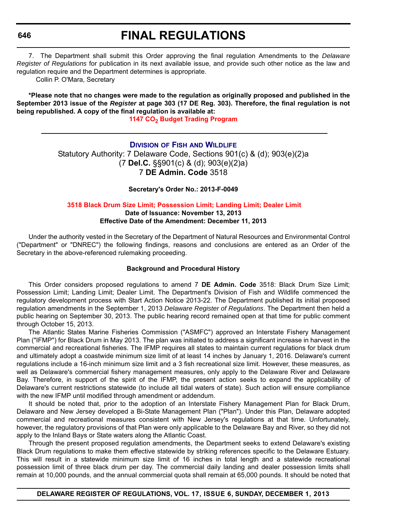# **FINAL REGULATIONS**

7. The Department shall submit this Order approving the final regulation Amendments to the *Delaware Register of Regulations* for publication in its next available issue, and provide such other notice as the law and regulation require and the Department determines is appropriate.

Collin P. O'Mara, Secretary

**\*Please note that no changes were made to the regulation as originally proposed and published in the September 2013 issue of the** *Register* **at page 303 (17 DE Reg. 303). Therefore, the final regulation is not being republished. A copy of the final regulation is available at:**

**1147 CO<sub>2</sub> Budget Trading Program** 

# **DIVISION OF FISH AND W[ILDLIFE](http://www.dnrec.delaware.gov/fw/Pages/FWPortal.aspx)** Statutory Authority: 7 Delaware Code, Sections 901(c) & (d); 903(e)(2)a (7 **Del.C.** §§901(c) & (d); 903(e)(2)a) 7 **DE Admin. Code** 3518

**Secretary's Order No.: 2013-F-0049**

#### **3518 Black Drum Size Limit; [Possession Limit;](#page-4-0) Landing Limit; Dealer Limit Date of Issuance: November 13, 2013 Effective Date of the Amendment: December 11, 2013**

Under the authority vested in the Secretary of the Department of Natural Resources and Environmental Control ("Department" or "DNREC") the following findings, reasons and conclusions are entered as an Order of the Secretary in the above-referenced rulemaking proceeding.

## **Background and Procedural History**

This Order considers proposed regulations to amend 7 **DE Admin. Code** 3518: Black Drum Size Limit; Possession Limit; Landing Limit; Dealer Limit. The Department's Division of Fish and Wildlife commenced the regulatory development process with Start Action Notice 2013-22. The Department published its initial proposed regulation amendments in the September 1, 2013 *Delaware Register of Regulations*. The Department then held a public hearing on September 30, 2013. The public hearing record remained open at that time for public comment through October 15, 2013.

The Atlantic States Marine Fisheries Commission ("ASMFC") approved an Interstate Fishery Management Plan ("IFMP") for Black Drum in May 2013. The plan was initiated to address a significant increase in harvest in the commercial and recreational fisheries. The IFMP requires all states to maintain current regulations for black drum and ultimately adopt a coastwide minimum size limit of at least 14 inches by January 1, 2016. Delaware's current regulations include a 16-inch minimum size limit and a 3 fish recreational size limit. However, these measures, as well as Delaware's commercial fishery management measures, only apply to the Delaware River and Delaware Bay. Therefore, in support of the spirit of the IFMP, the present action seeks to expand the applicability of Delaware's current restrictions statewide (to include all tidal waters of state). Such action will ensure compliance with the new IFMP until modified through amendment or addendum.

It should be noted that, prior to the adoption of an Interstate Fishery Management Plan for Black Drum, Delaware and New Jersey developed a Bi-State Management Plan ("Plan"). Under this Plan, Delaware adopted commercial and recreational measures consistent with New Jersey's regulations at that time. Unfortunately, however, the regulatory provisions of that Plan were only applicable to the Delaware Bay and River, so they did not apply to the Inland Bays or State waters along the Atlantic Coast.

Through the present proposed regulation amendments, the Department seeks to extend Delaware's existing Black Drum regulations to make them effective statewide by striking references specific to the Delaware Estuary. This will result in a statewide minimum size limit of 16 inches in total length and a statewide recreational possession limit of three black drum per day. The commercial daily landing and dealer possession limits shall remain at 10,000 pounds, and the annual commercial quota shall remain at 65,000 pounds. It should be noted that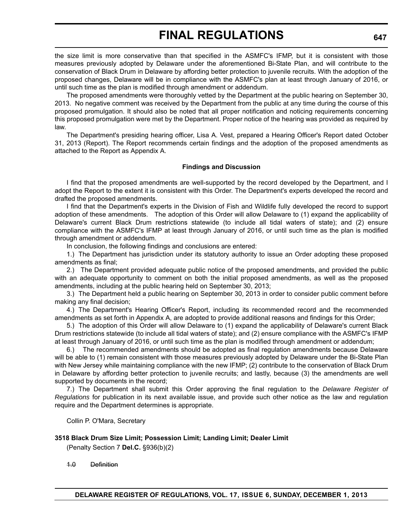the size limit is more conservative than that specified in the ASMFC's IFMP, but it is consistent with those measures previously adopted by Delaware under the aforementioned Bi-State Plan, and will contribute to the conservation of Black Drum in Delaware by affording better protection to juvenile recruits. With the adoption of the proposed changes, Delaware will be in compliance with the ASMFC's plan at least through January of 2016, or until such time as the plan is modified through amendment or addendum.

The proposed amendments were thoroughly vetted by the Department at the public hearing on September 30, 2013. No negative comment was received by the Department from the public at any time during the course of this proposed promulgation. It should also be noted that all proper notification and noticing requirements concerning this proposed promulgation were met by the Department. Proper notice of the hearing was provided as required by law.

The Department's presiding hearing officer, Lisa A. Vest, prepared a Hearing Officer's Report dated October 31, 2013 (Report). The Report recommends certain findings and the adoption of the proposed amendments as attached to the Report as Appendix A.

#### **Findings and Discussion**

I find that the proposed amendments are well-supported by the record developed by the Department, and I adopt the Report to the extent it is consistent with this Order. The Department's experts developed the record and drafted the proposed amendments.

I find that the Department's experts in the Division of Fish and Wildlife fully developed the record to support adoption of these amendments. The adoption of this Order will allow Delaware to (1) expand the applicability of Delaware's current Black Drum restrictions statewide (to include all tidal waters of state); and (2) ensure compliance with the ASMFC's IFMP at least through January of 2016, or until such time as the plan is modified through amendment or addendum.

In conclusion, the following findings and conclusions are entered:

1.) The Department has jurisdiction under its statutory authority to issue an Order adopting these proposed amendments as final;

2.) The Department provided adequate public notice of the proposed amendments, and provided the public with an adequate opportunity to comment on both the initial proposed amendments, as well as the proposed amendments, including at the public hearing held on September 30, 2013;

3.) The Department held a public hearing on September 30, 2013 in order to consider public comment before making any final decision;

4.) The Department's Hearing Officer's Report, including its recommended record and the recommended amendments as set forth in Appendix A, are adopted to provide additional reasons and findings for this Order;

5.) The adoption of this Order will allow Delaware to (1) expand the applicability of Delaware's current Black Drum restrictions statewide (to include all tidal waters of state); and (2) ensure compliance with the ASMFC's IFMP at least through January of 2016, or until such time as the plan is modified through amendment or addendum;

6.) The recommended amendments should be adopted as final regulation amendments because Delaware will be able to (1) remain consistent with those measures previously adopted by Delaware under the Bi-State Plan with New Jersey while maintaining compliance with the new IFMP; (2) contribute to the conservation of Black Drum in Delaware by affording better protection to juvenile recruits; and lastly, because (3) the amendments are well supported by documents in the record;

7.) The Department shall submit this Order approving the final regulation to the *Delaware Register of Regulations* for publication in its next available issue, and provide such other notice as the law and regulation require and the Department determines is appropriate.

Collin P. O'Mara, Secretary

## **3518 Black Drum Size Limit; Possession Limit; Landing Limit; Dealer Limit**

(Penalty Section 7 **Del.C.** §936(b)(2)

1.0 Definition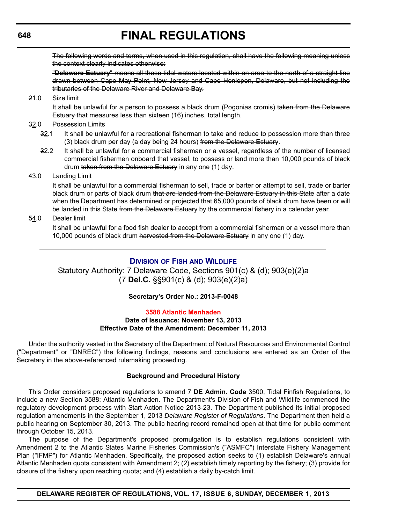The following words and terms, when used in this regulation, shall have the following meaning unless the context clearly indicates otherwise:

"**Delaware Estuary**" means all those tidal waters located within an area to the north of a straight line drawn between Cape May Point, New Jersey and Cape Henlopen, Delaware, but not including the tributaries of the Delaware River and Delaware Bay.

## 21.0 Size limit

It shall be unlawful for a person to possess a black drum (Pogonias cromis) taken from the Delaware Estuary that measures less than sixteen (16) inches, total length.

#### 32.0 Possession Limits

- 32.1 It shall be unlawful for a recreational fisherman to take and reduce to possession more than three (3) black drum per day (a day being 24 hours) from the Delaware Estuary.
- 32.2 It shall be unlawful for a commercial fisherman or a vessel, regardless of the number of licensed commercial fishermen onboard that vessel, to possess or land more than 10,000 pounds of black drum taken from the Delaware Estuary in any one (1) day.

#### 43.0 Landing Limit

It shall be unlawful for a commercial fisherman to sell, trade or barter or attempt to sell, trade or barter black drum or parts of black drum that are landed from the Delaware Estuary in this State after a date when the Department has determined or projected that 65,000 pounds of black drum have been or will be landed in this State from the Delaware Estuary by the commercial fishery in a calendar year.

## 54.0 Dealer limit

It shall be unlawful for a food fish dealer to accept from a commercial fisherman or a vessel more than 10,000 pounds of black drum harvested from the Delaware Estuary in any one (1) day.

## **DIVISION OF FISH AND W[ILDLIFE](http://www.dnrec.delaware.gov/fw/Pages/FWPortal.aspx)**

Statutory Authority: 7 Delaware Code, Sections 901(c) & (d); 903(e)(2)a (7 **Del.C.** §§901(c) & (d); 903(e)(2)a)

## **Secretary's Order No.: 2013-F-0048**

# **[3588 Atlantic Menhaden](#page-4-0)**

## **Date of Issuance: November 13, 2013 Effective Date of the Amendment: December 11, 2013**

Under the authority vested in the Secretary of the Department of Natural Resources and Environmental Control ("Department" or "DNREC") the following findings, reasons and conclusions are entered as an Order of the Secretary in the above-referenced rulemaking proceeding.

#### **Background and Procedural History**

This Order considers proposed regulations to amend 7 **DE Admin. Code** 3500, Tidal Finfish Regulations, to include a new Section 3588: Atlantic Menhaden. The Department's Division of Fish and Wildlife commenced the regulatory development process with Start Action Notice 2013-23. The Department published its initial proposed regulation amendments in the September 1, 2013 *Delaware Register of Regulations*. The Department then held a public hearing on September 30, 2013. The public hearing record remained open at that time for public comment through October 15, 2013.

The purpose of the Department's proposed promulgation is to establish regulations consistent with Amendment 2 to the Atlantic States Marine Fisheries Commission's ("ASMFC") Interstate Fishery Management Plan ("IFMP") for Atlantic Menhaden. Specifically, the proposed action seeks to (1) establish Delaware's annual Atlantic Menhaden quota consistent with Amendment 2; (2) establish timely reporting by the fishery; (3) provide for closure of the fishery upon reaching quota; and (4) establish a daily by-catch limit.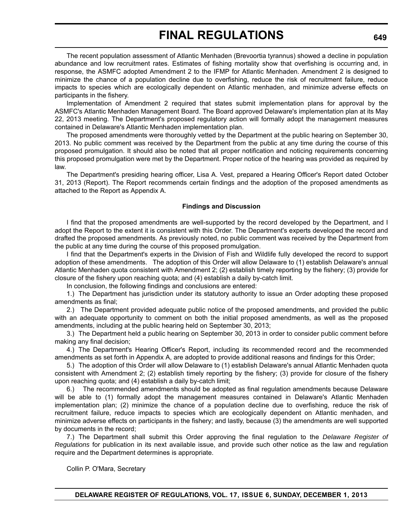The recent population assessment of Atlantic Menhaden (Brevoortia tyrannus) showed a decline in population abundance and low recruitment rates. Estimates of fishing mortality show that overfishing is occurring and, in response, the ASMFC adopted Amendment 2 to the IFMP for Atlantic Menhaden. Amendment 2 is designed to minimize the chance of a population decline due to overfishing, reduce the risk of recruitment failure, reduce impacts to species which are ecologically dependent on Atlantic menhaden, and minimize adverse effects on participants in the fishery.

Implementation of Amendment 2 required that states submit implementation plans for approval by the ASMFC's Atlantic Menhaden Management Board. The Board approved Delaware's implementation plan at its May 22, 2013 meeting. The Department's proposed regulatory action will formally adopt the management measures contained in Delaware's Atlantic Menhaden implementation plan.

The proposed amendments were thoroughly vetted by the Department at the public hearing on September 30, 2013. No public comment was received by the Department from the public at any time during the course of this proposed promulgation. It should also be noted that all proper notification and noticing requirements concerning this proposed promulgation were met by the Department. Proper notice of the hearing was provided as required by law.

The Department's presiding hearing officer, Lisa A. Vest, prepared a Hearing Officer's Report dated October 31, 2013 (Report). The Report recommends certain findings and the adoption of the proposed amendments as attached to the Report as Appendix A.

#### **Findings and Discussion**

I find that the proposed amendments are well-supported by the record developed by the Department, and I adopt the Report to the extent it is consistent with this Order. The Department's experts developed the record and drafted the proposed amendments. As previously noted, no public comment was received by the Department from the public at any time during the course of this proposed promulgation.

I find that the Department's experts in the Division of Fish and Wildlife fully developed the record to support adoption of these amendments. The adoption of this Order will allow Delaware to (1) establish Delaware's annual Atlantic Menhaden quota consistent with Amendment 2; (2) establish timely reporting by the fishery; (3) provide for closure of the fishery upon reaching quota; and (4) establish a daily by-catch limit.

In conclusion, the following findings and conclusions are entered:

1.) The Department has jurisdiction under its statutory authority to issue an Order adopting these proposed amendments as final;

2.) The Department provided adequate public notice of the proposed amendments, and provided the public with an adequate opportunity to comment on both the initial proposed amendments, as well as the proposed amendments, including at the public hearing held on September 30, 2013;

3.) The Department held a public hearing on September 30, 2013 in order to consider public comment before making any final decision;

4.) The Department's Hearing Officer's Report, including its recommended record and the recommended amendments as set forth in Appendix A, are adopted to provide additional reasons and findings for this Order;

5.) The adoption of this Order will allow Delaware to (1) establish Delaware's annual Atlantic Menhaden quota consistent with Amendment 2; (2) establish timely reporting by the fishery; (3) provide for closure of the fishery upon reaching quota; and (4) establish a daily by-catch limit;

6.) The recommended amendments should be adopted as final regulation amendments because Delaware will be able to (1) formally adopt the management measures contained in Delaware's Atlantic Menhaden implementation plan; (2) minimize the chance of a population decline due to overfishing, reduce the risk of recruitment failure, reduce impacts to species which are ecologically dependent on Atlantic menhaden, and minimize adverse effects on participants in the fishery; and lastly, because (3) the amendments are well supported by documents in the record;

7.) The Department shall submit this Order approving the final regulation to the *Delaware Register of Regulations* for publication in its next available issue, and provide such other notice as the law and regulation require and the Department determines is appropriate.

Collin P. O'Mara, Secretary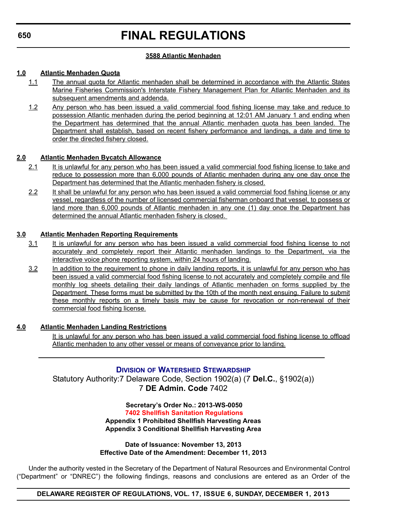## **3588 Atlantic Menhaden**

# **1.0 Atlantic Menhaden Quota**

- 1.1 The annual quota for Atlantic menhaden shall be determined in accordance with the Atlantic States Marine Fisheries Commission's Interstate Fishery Management Plan for Atlantic Menhaden and its subsequent amendments and addenda.
- 1.2 Any person who has been issued a valid commercial food fishing license may take and reduce to possession Atlantic menhaden during the period beginning at 12:01 AM January 1 and ending when the Department has determined that the annual Atlantic menhaden quota has been landed. The Department shall establish, based on recent fishery performance and landings, a date and time to order the directed fishery closed.

## **2.0 Atlantic Menhaden Bycatch Allowance**

- 2.1 It is unlawful for any person who has been issued a valid commercial food fishing license to take and reduce to possession more than 6,000 pounds of Atlantic menhaden during any one day once the Department has determined that the Atlantic menhaden fishery is closed.
- 2.2 It shall be unlawful for any person who has been issued a valid commercial food fishing license or any vessel, regardless of the number of licensed commercial fisherman onboard that vessel, to possess or land more than 6,000 pounds of Atlantic menhaden in any one (1) day once the Department has determined the annual Atlantic menhaden fishery is closed.

## **3.0 Atlantic Menhaden Reporting Requirements**

- 3.1 It is unlawful for any person who has been issued a valid commercial food fishing license to not accurately and completely report their Atlantic menhaden landings to the Department, via the interactive voice phone reporting system, within 24 hours of landing.
- 3.2 In addition to the requirement to phone in daily landing reports, it is unlawful for any person who has been issued a valid commercial food fishing license to not accurately and completely compile and file monthly log sheets detailing their daily landings of Atlantic menhaden on forms supplied by the Department. These forms must be submitted by the 10th of the month next ensuing. Failure to submit these monthly reports on a timely basis may be cause for revocation or non-renewal of their commercial food fishing license.

# **4.0 Atlantic Menhaden Landing Restrictions**

It is unlawful for any person who has been issued a valid commercial food fishing license to offload Atlantic menhaden to any other vessel or means of conveyance prior to landing.

# **DIVISION OF WATERSHED S[TEWARDSHIP](http://www.dnrec.delaware.gov/swc/Pages/default.aspx)**

Statutory Authority:7 Delaware Code, Section 1902(a) (7 **Del.C.**, §1902(a)) 7 **DE Admin. Code** 7402

> **Secretary's Order No.: 2013-WS-0050 [7402 Shellfish Sanitation Regulations](#page-4-0) Appendix 1 Prohibited Shellfish Harvesting Areas Appendix 3 Conditional Shellfish Harvesting Area**

**Date of Issuance: November 13, 2013 Effective Date of the Amendment: December 11, 2013**

Under the authority vested in the Secretary of the Department of Natural Resources and Environmental Control ("Department" or "DNREC") the following findings, reasons and conclusions are entered as an Order of the

**DELAWARE REGISTER OF REGULATIONS, VOL. 17, ISSUE 6, SUNDAY, DECEMBER 1, 2013**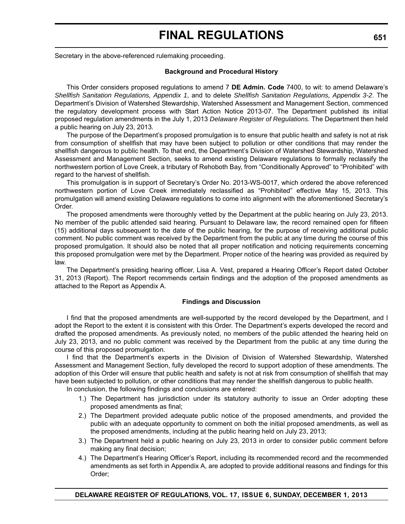Secretary in the above-referenced rulemaking proceeding.

#### **Background and Procedural History**

This Order considers proposed regulations to amend 7 **DE Admin. Code** 7400, to wit: to amend Delaware's *Shellfish Sanitation Regulations, Appendix 1*, and to delete *Shellfish Sanitation Regulations, Appendix 3-2*. The Department's Division of Watershed Stewardship, Watershed Assessment and Management Section, commenced the regulatory development process with Start Action Notice 2013-07. The Department published its initial proposed regulation amendments in the July 1, 2013 *Delaware Register of Regulations.* The Department then held a public hearing on July 23, 2013.

The purpose of the Department's proposed promulgation is to ensure that public health and safety is not at risk from consumption of shellfish that may have been subject to pollution or other conditions that may render the shellfish dangerous to public health. To that end, the Department's Division of Watershed Stewardship, Watershed Assessment and Management Section, seeks to amend existing Delaware regulations to formally reclassify the northwestern portion of Love Creek, a tributary of Rehoboth Bay, from "Conditionally Approved" to "Prohibited" with regard to the harvest of shellfish.

This promulgation is in support of Secretary's Order No. 2013-WS-0017, which ordered the above referenced northwestern portion of Love Creek immediately reclassified as "Prohibited" effective May 15, 2013. This promulgation will amend existing Delaware regulations to come into alignment with the aforementioned Secretary's Order.

The proposed amendments were thoroughly vetted by the Department at the public hearing on July 23, 2013. No member of the public attended said hearing. Pursuant to Delaware law, the record remained open for fifteen (15) additional days subsequent to the date of the public hearing, for the purpose of receiving additional public comment. No public comment was received by the Department from the public at any time during the course of this proposed promulgation. It should also be noted that all proper notification and noticing requirements concerning this proposed promulgation were met by the Department. Proper notice of the hearing was provided as required by law.

The Department's presiding hearing officer, Lisa A. Vest, prepared a Hearing Officer's Report dated October 31, 2013 (Report). The Report recommends certain findings and the adoption of the proposed amendments as attached to the Report as Appendix A.

#### **Findings and Discussion**

I find that the proposed amendments are well-supported by the record developed by the Department, and I adopt the Report to the extent it is consistent with this Order. The Department's experts developed the record and drafted the proposed amendments. As previously noted, no members of the public attended the hearing held on July 23, 2013, and no public comment was received by the Department from the public at any time during the course of this proposed promulgation.

I find that the Department's experts in the Division of Division of Watershed Stewardship, Watershed Assessment and Management Section, fully developed the record to support adoption of these amendments. The adoption of this Order will ensure that public health and safety is not at risk from consumption of shellfish that may have been subjected to pollution, or other conditions that may render the shellfish dangerous to public health.

In conclusion, the following findings and conclusions are entered:

- 1.) The Department has jurisdiction under its statutory authority to issue an Order adopting these proposed amendments as final;
- 2.) The Department provided adequate public notice of the proposed amendments, and provided the public with an adequate opportunity to comment on both the initial proposed amendments, as well as the proposed amendments, including at the public hearing held on July 23, 2013;
- 3.) The Department held a public hearing on July 23, 2013 in order to consider public comment before making any final decision;
- 4.) The Department's Hearing Officer's Report, including its recommended record and the recommended amendments as set forth in Appendix A, are adopted to provide additional reasons and findings for this Order;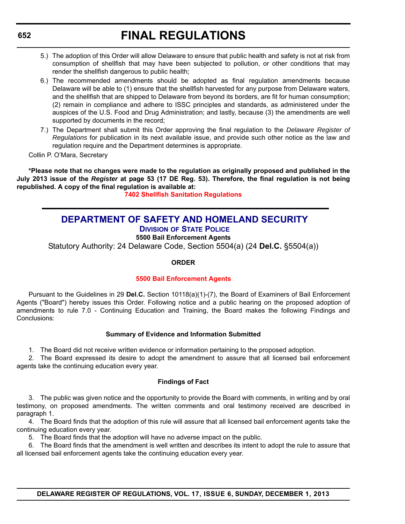- 5.) The adoption of this Order will allow Delaware to ensure that public health and safety is not at risk from consumption of shellfish that may have been subjected to pollution, or other conditions that may render the shellfish dangerous to public health;
- 6.) The recommended amendments should be adopted as final regulation amendments because Delaware will be able to (1) ensure that the shellfish harvested for any purpose from Delaware waters, and the shellfish that are shipped to Delaware from beyond its borders, are fit for human consumption; (2) remain in compliance and adhere to ISSC principles and standards, as administered under the auspices of the U.S. Food and Drug Administration; and lastly, because (3) the amendments are well supported by documents in the record;
- 7.) The Department shall submit this Order approving the final regulation to the *Delaware Register of Regulations* for publication in its next available issue, and provide such other notice as the law and regulation require and the Department determines is appropriate.

Collin P. O'Mara, Secretary

**\*Please note that no changes were made to the regulation as originally proposed and published in the July 2013 issue of the** *Register* **at page 53 (17 DE Reg. 53). Therefore, the final regulation is not being republished. A copy of the final regulation is available at:**

**[7402 Shellfish Sanitation Regulations](http://regulations.delaware.gov/register/december2013/final/17 DE Reg 650 12-01-13.htm)**

# **[DEPARTMENT OF SAFETY AND HOMELAND SECURITY](http://dsp.delaware.gov/)**

**DIVISION OF STATE POLICE**

**5500 Bail Enforcement Agents**

Statutory Authority: 24 Delaware Code, Section 5504(a) (24 **Del.C.** §5504(a))

## **ORDER**

## **[5500 Bail Enforcement](#page-4-0) Agents**

Pursuant to the Guidelines in 29 **Del.C.** Section 10118(a)(1)-(7), the Board of Examiners of Bail Enforcement Agents ("Board") hereby issues this Order. Following notice and a public hearing on the proposed adoption of amendments to rule 7.0 - Continuing Education and Training, the Board makes the following Findings and Conclusions:

## **Summary of Evidence and Information Submitted**

1. The Board did not receive written evidence or information pertaining to the proposed adoption.

2. The Board expressed its desire to adopt the amendment to assure that all licensed bail enforcement agents take the continuing education every year.

## **Findings of Fact**

3. The public was given notice and the opportunity to provide the Board with comments, in writing and by oral testimony, on proposed amendments. The written comments and oral testimony received are described in paragraph 1.

4. The Board finds that the adoption of this rule will assure that all licensed bail enforcement agents take the continuing education every year.

5. The Board finds that the adoption will have no adverse impact on the public.

6. The Board finds that the amendment is well written and describes its intent to adopt the rule to assure that all licensed bail enforcement agents take the continuing education every year.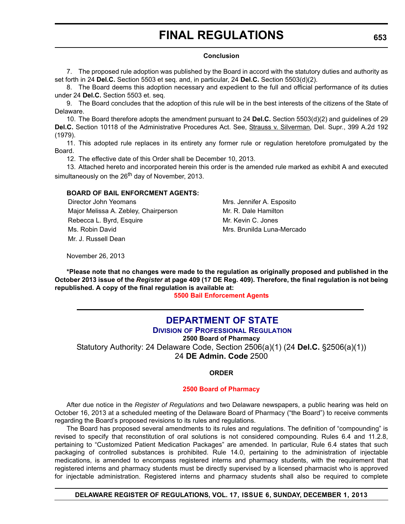#### **Conclusion**

7. The proposed rule adoption was published by the Board in accord with the statutory duties and authority as set forth in 24 **Del.C.** Section 5503 et seq. and, in particular, 24 **Del.C.** Section 5503(d)(2).

8. The Board deems this adoption necessary and expedient to the full and official performance of its duties under 24 **Del.C.** Section 5503 et. seq.

9. The Board concludes that the adoption of this rule will be in the best interests of the citizens of the State of Delaware.

10. The Board therefore adopts the amendment pursuant to 24 **Del.C.** Section 5503(d)(2) and guidelines of 29 **Del.C.** Section 10118 of the Administrative Procedures Act. See, Strauss v. Silverman, Del. Supr., 399 A.2d 192 (1979).

11. This adopted rule replaces in its entirety any former rule or regulation heretofore promulgated by the Board.

12. The effective date of this Order shall be December 10, 2013.

13. Attached hereto and incorporated herein this order is the amended rule marked as exhibit A and executed simultaneously on the  $26<sup>th</sup>$  day of November, 2013.

## **BOARD OF BAIL ENFORCMENT AGENTS:**

Director John Yeomans Mrs. Jennifer A. Esposito Major Melissa A. Zebley, Chairperson Mr. R. Dale Hamilton Rebecca L. Byrd, Esquire Mr. Kevin C. Jones Ms. Robin David Mrs. Brunilda Luna-Mercado Mr. J. Russell Dean

November 26, 2013

**\*Please note that no changes were made to the regulation as originally proposed and published in the October 2013 issue of the** *Register* **at page 409 (17 DE Reg. 409). Therefore, the final regulation is not being republished. A copy of the final regulation is available at:**

**[5500 Bail Enforcement Agents](http://regulations.delaware.gov/register/december2013/final/17 DE Reg 652 12-01-13.htm)**

# **[DEPARTMENT OF STATE](http://dpr.delaware.gov/)**

**DIVISION OF PROFESSIONAL REGULATION**

**2500 Board of Pharmacy**

Statutory Authority: 24 Delaware Code, Section 2506(a)(1) (24 **Del.C.** §2506(a)(1))

24 **DE Admin. Code** 2500

## **ORDER**

#### **2500 Board of [Pharmacy](#page-4-0)**

After due notice in the *Register of Regulations* and two Delaware newspapers, a public hearing was held on October 16, 2013 at a scheduled meeting of the Delaware Board of Pharmacy ("the Board") to receive comments regarding the Board's proposed revisions to its rules and regulations.

The Board has proposed several amendments to its rules and regulations. The definition of "compounding" is revised to specify that reconstitution of oral solutions is not considered compounding. Rules 6.4 and 11.2.8, pertaining to "Customized Patient Medication Packages" are amended. In particular, Rule 6.4 states that such packaging of controlled substances is prohibited. Rule 14.0, pertaining to the administration of injectable medications, is amended to encompass registered interns and pharmacy students, with the requirement that registered interns and pharmacy students must be directly supervised by a licensed pharmacist who is approved for injectable administration. Registered interns and pharmacy students shall also be required to complete

## **DELAWARE REGISTER OF REGULATIONS, VOL. 17, ISSUE 6, SUNDAY, DECEMBER 1, 2013**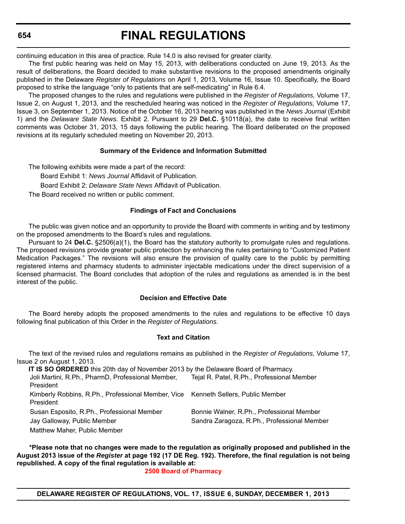# **FINAL REGULATIONS**

continuing education in this area of practice. Rule 14.0 is also revised for greater clarity.

The first public hearing was held on May 15, 2013, with deliberations conducted on June 19, 2013. As the result of deliberations, the Board decided to make substantive revisions to the proposed amendments originally published in the Delaware *Register of Regulations* on April 1, 2013, Volume 16, Issue 10. Specifically, the Board proposed to strike the language "only to patients that are self-medicating" in Rule 6.4.

The proposed changes to the rules and regulations were published in the *Register of Regulations,* Volume 17, Issue 2, on August 1, 2013, and the rescheduled hearing was noticed in the *Register of Regulations,* Volume 17, Issue 3, on September 1, 2013. Notice of the October 16, 2013 hearing was published in the *News Journal* (Exhibit 1) and the *Delaware State News.* Exhibit 2. Pursuant to 29 **Del.C.** §10118(a), the date to receive final written comments was October 31, 2013, 15 days following the public hearing. The Board deliberated on the proposed revisions at its regularly scheduled meeting on November 20, 2013.

## **Summary of the Evidence and Information Submitted**

The following exhibits were made a part of the record:

Board Exhibit 1: *News Journal* Affidavit of Publication.

Board Exhibit 2: *Delaware State News* Affidavit of Publication.

The Board received no written or public comment.

#### **Findings of Fact and Conclusions**

The public was given notice and an opportunity to provide the Board with comments in writing and by testimony on the proposed amendments to the Board's rules and regulations.

Pursuant to 24 **Del.C.** §2506(a)(1), the Board has the statutory authority to promulgate rules and regulations. The proposed revisions provide greater public protection by enhancing the rules pertaining to "Customized Patient Medication Packages." The revisions will also ensure the provision of quality care to the public by permitting registered interns and pharmacy students to administer injectable medications under the direct supervision of a licensed pharmacist. The Board concludes that adoption of the rules and regulations as amended is in the best interest of the public.

## **Decision and Effective Date**

The Board hereby adopts the proposed amendments to the rules and regulations to be effective 10 days following final publication of this Order in the *Register of Regulations*.

#### **Text and Citation**

The text of the revised rules and regulations remains as published in the *Register of Regulations*, Volume 17, Issue 2 on August 1, 2013.

| IT IS SO ORDERED this 20th day of November 2013 by the Delaware Board of Pharmacy.     |                                                                                          |
|----------------------------------------------------------------------------------------|------------------------------------------------------------------------------------------|
| Joli Martini, R.Ph., PharmD, Professional Member,                                      | Tejal R. Patel, R.Ph., Professional Member                                               |
| President                                                                              |                                                                                          |
| Kimberly Robbins, R.Ph., Professional Member, Vice Kenneth Sellers, Public Member      |                                                                                          |
|                                                                                        |                                                                                          |
|                                                                                        |                                                                                          |
|                                                                                        |                                                                                          |
| Matthew Maher, Public Member                                                           |                                                                                          |
| President<br>Susan Esposito, R.Ph., Professional Member<br>Jay Galloway, Public Member | Bonnie Walner, R.Ph., Professional Member<br>Sandra Zaragoza, R.Ph., Professional Member |

**\*Please note that no changes were made to the regulation as originally proposed and published in the August 2013 issue of the** *Register* **at page 192 (17 DE Reg. 192). Therefore, the final regulation is not being republished. A copy of the final regulation is available at:**

**[2500 Board of Pharmacy](http://regulations.delaware.gov/register/december2013/final/17 DE Reg 653 12-01-13.htm)**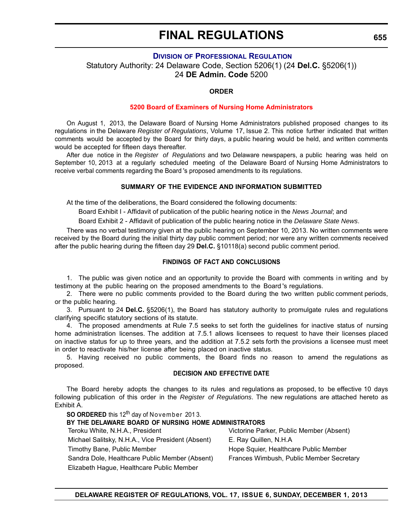## **DIVISION OF P[ROFESSIONAL](http://dpr.delaware.gov/) REGULATION**

Statutory Authority: 24 Delaware Code, Section 5206(1) (24 **Del.C.** §5206(1)) 24 **DE Admin. Code** 5200

#### **ORDER**

#### **5200 Board of Examiners of [Nursing Home Administrators](#page-4-0)**

On August 1, 2013, the Delaware Board of Nursing Home Administrators published proposed changes to its regulations in the Delaware *Register of Regulations*, Volume 17, Issue 2. This notice further indicated that written comments would be accepted by the Board for thirty days, a public hearing would be held, and written comments would be accepted for fifteen days thereafter.

After due notice in the *Register of Regulations* and two Delaware newspapers, a public hearing was held on September 10, 2013 at a regularly scheduled meeting of the Delaware Board of Nursing Home Administrators to receive verbal comments regarding the Board 's proposed amendments to its regulations.

#### **SUMMARY OF THE EVIDENCE AND INFORMATION SUBMITTED**

At the time of the deliberations, the Board considered the following documents:

Board Exhibit I - Affidavit of publication of the public hearing notice in the *News Journal*; and

Board Exhibit 2 - Affidavit of publication of the public hearing notice in the *Delaware State News*.

There was no verbal testimony given at the public hearing on September 10, 2013. No written comments were received by the Board during the initial thirty day public comment period; nor were any written comments received after the public hearing during the fifteen day 29 **Del.C.** §10118(a) second public comment period.

#### **FINDINGS OF FACT AND CONCLUSIONS**

1. The public was given notice and an opportunity to provide the Board with comments in writing and by testimony at the public hearing on the proposed amendments to the Board 's regulations.

2. There were no public comments provided to the Board during the two written public comment periods, or the public hearing.

3. Pursuant to 24 **Del.C.** §5206(1), the Board has statutory authority to promulgate rules and regulations clarifying specific statutory sections of its statute.

4. The proposed amendments at Rule 7.5 seeks to set forth the guidelines for inactive status of nursing home administration licenses. The addition at 7.5.1 allows licensees to request to have their licenses placed on inactive status for up to three years, and the addition at 7.5.2 sets forth the provisions a licensee must meet in order to reactivate his/her license after being placed on inactive status.

5. Having received no public comments, the Board finds no reason to amend the regulations as proposed.

#### **DECISION AND EFFECTIVE DATE**

The Board hereby adopts the changes to its rules and regulations as proposed, to be effective 10 days following publication of this order in the *Register of Regulations*. The new regulations are attached hereto as Exhibit A.

**SO ORDERED** this 12<sup>th</sup> day of November 2013. **BY THE DELAWARE BOARD OF NURSING HOME ADMINISTRATORS** Teroku White, N.H.A., President Victorine Parker, Public Member (Absent) Michael Salitsky, N.H.A., Vice President (Absent) E. Ray Quillen, N.H.A Timothy Bane, Public Member **Hope Squier, Healthcare Public Member** Hope Squier, Healthcare Public Member Sandra Dole, Healthcare Public Member (Absent) Frances Wimbush, Public Member Secretary Elizabeth Hague, Healthcare Public Member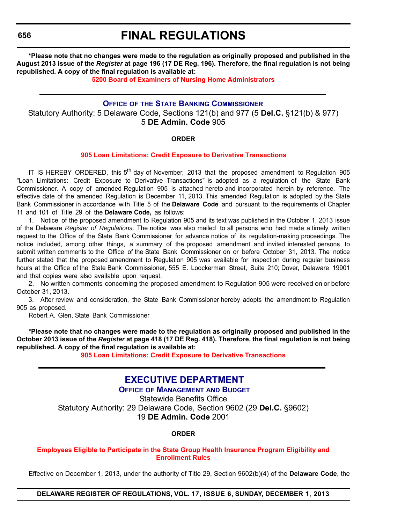# **FINAL REGULATIONS**

**\*Please note that no changes were made to the regulation as originally proposed and published in the August 2013 issue of the** *Register* **at page 196 (17 DE Reg. 196). Therefore, the final regulation is not being republished. A copy of the final regulation is available at:**

**[5200 Board of Examiners of Nursing Home Administrators](http://regulations.delaware.gov/register/december2013/final/17 DE Reg 655 12-01-13.htm)**

# **OFFICE OF THE STATE BANKING C[OMMISSIONER](http://banking.delaware.gov/)**

Statutory Authority: 5 Delaware Code, Sections 121(b) and 977 (5 **Del.C.** §121(b) & 977) 5 **DE Admin. Code** 905

#### **ORDER**

## **905 [Loan Limitations:](#page-4-0) Credit Exposure to Derivative Transactions**

IT IS HEREBY ORDERED, this  $5<sup>th</sup>$  day of November, 2013 that the proposed amendment to Regulation 905 "Loan Limitations: Credit Exposure to Derivative Transactions" is adopted as a regulation of the State Bank Commissioner. A copy of amended Regulation 905 is attached hereto and incorporated herein by reference. The effective date of the amended Regulation is December 11, 2013. This amended Regulation is adopted by the State Bank Commissioner in accordance with Title 5 of the **Delaware Code** and pursuant to the requirements of Chapter 11 and 101 of Title 29 of the **Delaware Code,** as follows:

1. Notice of the proposed amendment to Regulation 905 and its text was published in the October 1, 2013 issue of the Delaware *Register of Regulations*. The notice was also mailed to all persons who had made a timely written request to the Office of the State Bank Commissioner for advance notice of its regulation-making proceedings. The notice included, among other things, a summary of the proposed amendment and invited interested persons to submit written comments to the Office of the State Bank Commissioner on or before October 31, 2013. The notice further stated that the proposed amendment to Regulation 905 was available for inspection during regular business hours at the Office of the State Bank Commissioner, 555 E. Loockerman Street, Suite 210; Dover, Delaware 19901 and that copies were also available upon request.

2. No written comments concerning the proposed amendment to Regulation 905 were received on or before October 31, 2013.

3. After review and consideration, the State Bank Commissioner hereby adopts the amendment to Regulation 905 as proposed.

Robert A. Glen, State Bank Commissioner

**\*Please note that no changes were made to the regulation as originally proposed and published in the October 2013 issue of the** *Register* **at page 418 (17 DE Reg. 418). Therefore, the final regulation is not being republished. A copy of the final regulation is available at:**

**[905 Loan Limitations: Credit Exposure to Derivative Transactions](http://regulations.delaware.gov/register/december2013/final/17 DE Reg 656 12-01-13.htm)**

# **[EXECUTIVE DEPARTMENT](http://omb.delaware.gov/)**

**OFFICE OF MANAGEMENT AND BUDGET** Statewide Benefits Office Statutory Authority: 29 Delaware Code, Section 9602 (29 **Del.C.** §9602) 19 **DE Admin. Code** 2001

**ORDER**

#### **[Employees Eligible to Participate in the State Group Health Insurance Program Eligibility and](#page-4-0)  Enrollment Rules**

Effective on December 1, 2013, under the authority of Title 29, Section 9602(b)(4) of the **Delaware Code**, the

**DELAWARE REGISTER OF REGULATIONS, VOL. 17, ISSUE 6, SUNDAY, DECEMBER 1, 2013**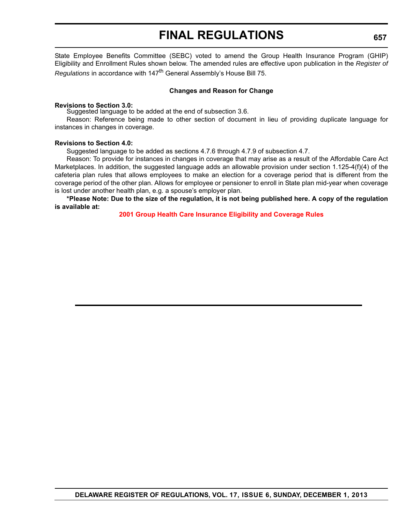State Employee Benefits Committee (SEBC) voted to amend the Group Health Insurance Program (GHIP) Eligibility and Enrollment Rules shown below. The amended rules are effective upon publication in the *Register of Regulations* in accordance with 147th General Assembly's House Bill 75.

#### **Changes and Reason for Change**

#### **Revisions to Section 3.0:**

Suggested language to be added at the end of subsection 3.6.

Reason: Reference being made to other section of document in lieu of providing duplicate language for instances in changes in coverage.

#### **Revisions to Section 4.0:**

Suggested language to be added as sections 4.7.6 through 4.7.9 of subsection 4.7.

Reason: To provide for instances in changes in coverage that may arise as a result of the Affordable Care Act Marketplaces. In addition, the suggested language adds an allowable provision under section 1.125-4(f)(4) of the cafeteria plan rules that allows employees to make an election for a coverage period that is different from the coverage period of the other plan. Allows for employee or pensioner to enroll in State plan mid-year when coverage is lost under another health plan, e.g. a spouse's employer plan.

**\*Please Note: Due to the size of the regulation, it is not being published here. A copy of the regulation is available at:**

**[2001 Group Health Care Insurance Eligibility and Coverage Rules](http://regulations.delaware.gov/register/december2013/final/17 DE Reg 656a 12-01-13.htm)**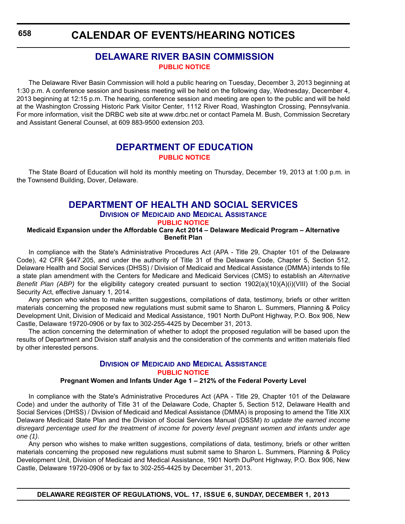**CALENDAR OF EVENTS/HEARING NOTICES**

# **[DELAWARE RIVER BASIN COMMISSION](http://www.state.nj.us/drbc/) PUBLIC [NOTICE](#page-4-0)**

The Delaware River Basin Commission will hold a public hearing on Tuesday, December 3, 2013 beginning at 1:30 p.m. A conference session and business meeting will be held on the following day, Wednesday, December 4, 2013 beginning at 12:15 p.m. The hearing, conference session and meeting are open to the public and will be held at the Washington Crossing Historic Park Visitor Center, 1112 River Road, Washington Crossing, Pennsylvania. For more information, visit the DRBC web site at www.drbc.net or contact Pamela M. Bush, Commission Secretary and Assistant General Counsel, at 609 883-9500 extension 203.

# **[DEPARTMENT OF EDUCATION](http://www.doe.k12.de.us/) PUBLIC [NOTICE](#page-4-0)**

The State Board of Education will hold its monthly meeting on Thursday, December 19, 2013 at 1:00 p.m. in the Townsend Building, Dover, Delaware.

# **[DEPARTMENT OF HEALTH AND SOCIAL SERVICES](http://www.dhss.delaware.gov/dhss/dmma/)**

#### **DIVISION OF MEDICAID AND MEDICAL ASSISTANCE PUBLIC [NOTICE](#page-4-0)**

#### **Medicaid Expansion under the Affordable Care Act 2014 – Delaware Medicaid Program – Alternative Benefit Plan**

In compliance with the State's Administrative Procedures Act (APA - Title 29, Chapter 101 of the Delaware Code), 42 CFR §447.205, and under the authority of Title 31 of the Delaware Code, Chapter 5, Section 512, Delaware Health and Social Services (DHSS) / Division of Medicaid and Medical Assistance (DMMA) intends to file a state plan amendment with the Centers for Medicare and Medicaid Services (CMS) to establish an *Alternative Benefit Plan (ABP)* for the eligibility category created pursuant to section 1902(a)(10)(A)(i)(VIII) of the Social Security Act, effective January 1, 2014.

Any person who wishes to make written suggestions, compilations of data, testimony, briefs or other written materials concerning the proposed new regulations must submit same to Sharon L. Summers, Planning & Policy Development Unit, Division of Medicaid and Medical Assistance, 1901 North DuPont Highway, P.O. Box 906, New Castle, Delaware 19720-0906 or by fax to 302-255-4425 by December 31, 2013.

The action concerning the determination of whether to adopt the proposed regulation will be based upon the results of Department and Division staff analysis and the consideration of the comments and written materials filed by other interested persons.

# **DIVISION OF MEDICAID AND MEDICAL A[SSISTANCE](http://www.dhss.delaware.gov/dhss/dmma/) PUBLIC [NOTICE](#page-4-0)**

## **Pregnant Women and Infants Under Age 1 – 212% of the Federal Poverty Level**

In compliance with the State's Administrative Procedures Act (APA - Title 29, Chapter 101 of the Delaware Code) and under the authority of Title 31 of the Delaware Code, Chapter 5, Section 512, Delaware Health and Social Services (DHSS) / Division of Medicaid and Medical Assistance (DMMA) is proposing to amend the Title XIX Delaware Medicaid State Plan and the Division of Social Services Manual (DSSM) *to update the earned income disregard percentage used for the treatment of income for poverty level pregnant women and infants under age one (1)*.

Any person who wishes to make written suggestions, compilations of data, testimony, briefs or other written materials concerning the proposed new regulations must submit same to Sharon L. Summers, Planning & Policy Development Unit, Division of Medicaid and Medical Assistance, 1901 North DuPont Highway, P.O. Box 906, New Castle, Delaware 19720-0906 or by fax to 302-255-4425 by December 31, 2013.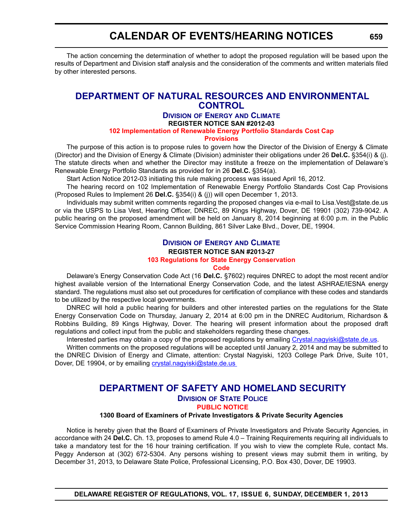# **CALENDAR OF EVENTS/HEARING NOTICES**

The action concerning the determination of whether to adopt the proposed regulation will be based upon the results of Department and Division staff analysis and the consideration of the comments and written materials filed by other interested persons.

# **[DEPARTMENT OF NATURAL RESOURCES AND ENVIRONMENTAL](http://www.dnrec.delaware.gov/energy/Pages/default.aspx) CONTROL**

# **DIVISION OF ENERGY AND CLIMATE REGISTER NOTICE SAN #2012-03**

#### **102 [Implementation of Renewable Energy](#page-4-0) Portfolio Standards Cost Cap**

#### **Provisions**

The purpose of this action is to propose rules to govern how the Director of the Division of Energy & Climate (Director) and the Division of Energy & Climate (Division) administer their obligations under 26 **Del.C.** §354(i) & (j). The statute directs when and whether the Director may institute a freeze on the implementation of Delaware's Renewable Energy Portfolio Standards as provided for in 26 **Del.C.** §354(a).

Start Action Notice 2012-03 initiating this rule making process was issued April 16, 2012.

The hearing record on 102 Implementation of Renewable Energy Portfolio Standards Cost Cap Provisions (Proposed Rules to Implement 26 **Del.C.** §354(i) & (j)) will open December 1, 2013.

Individuals may submit written comments regarding the proposed changes via e-mail to Lisa.Vest@state.de.us or via the USPS to Lisa Vest, Hearing Officer, DNREC, 89 Kings Highway, Dover, DE 19901 (302) 739-9042. A public hearing on the proposed amendment will be held on January 8, 2014 beginning at 6:00 p.m. in the Public Service Commission Hearing Room, Cannon Building, 861 Silver Lake Blvd., Dover, DE, 19904.

# **DIVISION OF ENERGY AND C[LIMATE](http://www.dnrec.delaware.gov/energy/Pages/default.aspx) REGISTER NOTICE SAN #2013-27 103 Regulations [for State Energy Conservation](#page-4-0)**

#### **Code**

Delaware's Energy Conservation Code Act (16 **Del.C.** §7602) requires DNREC to adopt the most recent and/or highest available version of the International Energy Conservation Code, and the latest ASHRAE/IESNA energy standard. The regulations must also set out procedures for certification of compliance with these codes and standards to be utilized by the respective local governments.

DNREC will hold a public hearing for builders and other interested parties on the regulations for the State Energy Conservation Code on Thursday, January 2, 2014 at 6:00 pm in the DNREC Auditorium, Richardson & Robbins Building, 89 Kings Highway, Dover. The hearing will present information about the proposed draft regulations and collect input from the public and stakeholders regarding these changes.

Interested parties may obtain a copy of the proposed regulations by emailing [Crystal.nagyiski@state.de.us](mailto:Crystal.nagyiski@state.de.us).

Written comments on the proposed regulations will be accepted until January 2, 2014 and may be submitted to the DNREC Division of Energy and Climate, attention: Crystal Nagyiski, 1203 College Park Drive, Suite 101, Dover, DE 19904, or by emailing crystal.nagyiski@state.de.us

# **DEPARTMENT OF SAFETY [AND HOMELAND SECURITY](http://dsp.delaware.gov/)**

# **DIVISION OF STATE POLICE**

# **PUBLIC [NOTICE](#page-4-0)**

#### **1300 Board of Examiners of Private Investigators & Private Security Agencies**

Notice is hereby given that the Board of Examiners of Private Investigators and Private Security Agencies, in accordance with 24 **Del.C.** Ch. 13, proposes to amend Rule 4.0 – Training Requirements requiring all individuals to take a mandatory test for the 16 hour training certification. If you wish to view the complete Rule, contact Ms. Peggy Anderson at (302) 672-5304. Any persons wishing to present views may submit them in writing, by December 31, 2013, to Delaware State Police, Professional Licensing, P.O. Box 430, Dover, DE 19903.